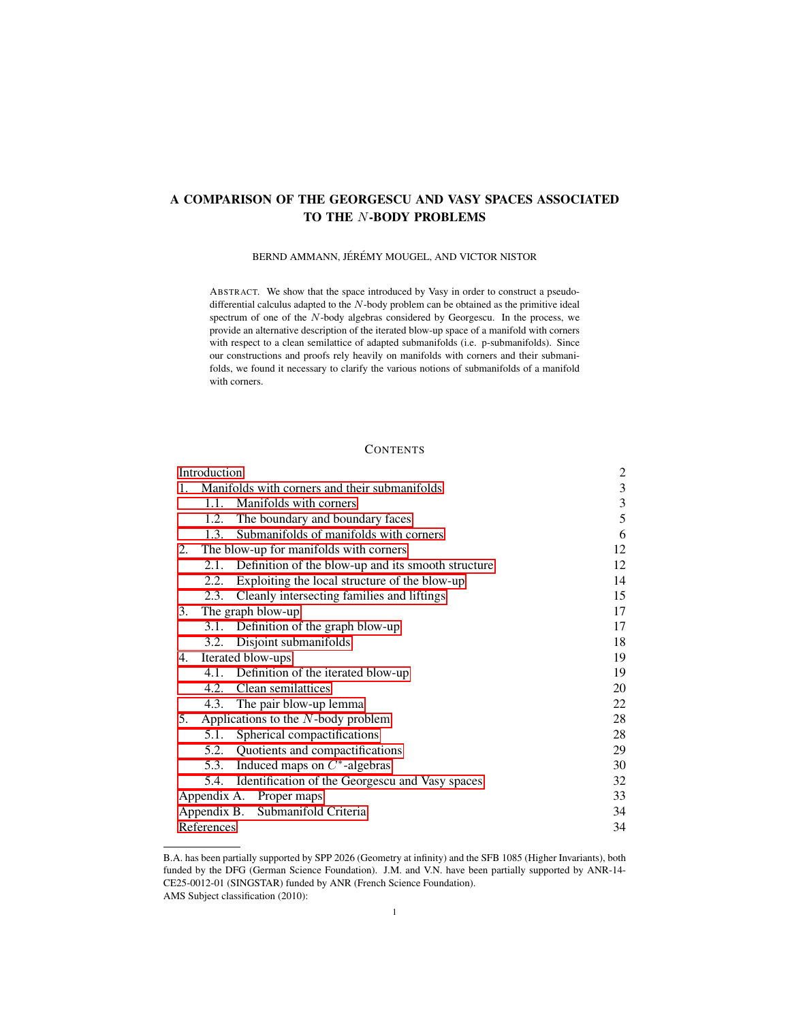# A COMPARISON OF THE GEORGESCU AND VASY SPACES ASSOCIATED TO THE N-BODY PROBLEMS

# BERND AMMANN, JÉRÉMY MOUGEL, AND VICTOR NISTOR

ABSTRACT. We show that the space introduced by Vasy in order to construct a pseudodifferential calculus adapted to the N-body problem can be obtained as the primitive ideal spectrum of one of the N-body algebras considered by Georgescu. In the process, we provide an alternative description of the iterated blow-up space of a manifold with corners with respect to a clean semilattice of adapted submanifolds (i.e. p-submanifolds). Since our constructions and proofs rely heavily on manifolds with corners and their submanifolds, we found it necessary to clarify the various notions of submanifolds of a manifold with corners.

### **CONTENTS**

| Introduction                     |                                               |                                                         | $\overline{c}$ |
|----------------------------------|-----------------------------------------------|---------------------------------------------------------|----------------|
| 1.                               | Manifolds with corners and their submanifolds |                                                         | 3              |
|                                  | 1.1.                                          | Manifolds with corners                                  | $\mathfrak{Z}$ |
|                                  |                                               | 1.2. The boundary and boundary faces                    | 5              |
|                                  | 1.3.                                          | Submanifolds of manifolds with corners                  | 6              |
| 2.                               | The blow-up for manifolds with corners        |                                                         | 12             |
|                                  |                                               | 2.1. Definition of the blow-up and its smooth structure | 12             |
|                                  | 2.2.                                          | Exploiting the local structure of the blow-up           | 14             |
|                                  | 2.3.                                          | Cleanly intersecting families and liftings              | 15             |
| 3.                               | The graph blow-up                             |                                                         | 17             |
|                                  |                                               | 3.1. Definition of the graph blow-up                    | 17             |
|                                  |                                               | 3.2. Disjoint submanifolds                              | 18             |
| 4.                               | Iterated blow-ups                             |                                                         | 19             |
|                                  |                                               | 4.1. Definition of the iterated blow-up                 | 19             |
|                                  |                                               | 4.2. Clean semilattices                                 | 20             |
|                                  |                                               | 4.3. The pair blow-up lemma                             | 22             |
| 5.                               | Applications to the $N$ -body problem         |                                                         | 28             |
|                                  |                                               | 5.1. Spherical compactifications                        | 28             |
|                                  |                                               | 5.2. Quotients and compactifications                    | 29             |
|                                  |                                               | 5.3. Induced maps on $C^*$ -algebras                    | 30             |
|                                  |                                               | 5.4. Identification of the Georgescu and Vasy spaces    | 32             |
| Appendix A. Proper maps          |                                               |                                                         | 33             |
| Appendix B. Submanifold Criteria |                                               |                                                         | 34             |
| References                       |                                               |                                                         | 34             |

B.A. has been partially supported by SPP 2026 (Geometry at infinity) and the SFB 1085 (Higher Invariants), both funded by the DFG (German Science Foundation). J.M. and V.N. have been partially supported by ANR-14- CE25-0012-01 (SINGSTAR) funded by ANR (French Science Foundation). AMS Subject classification (2010):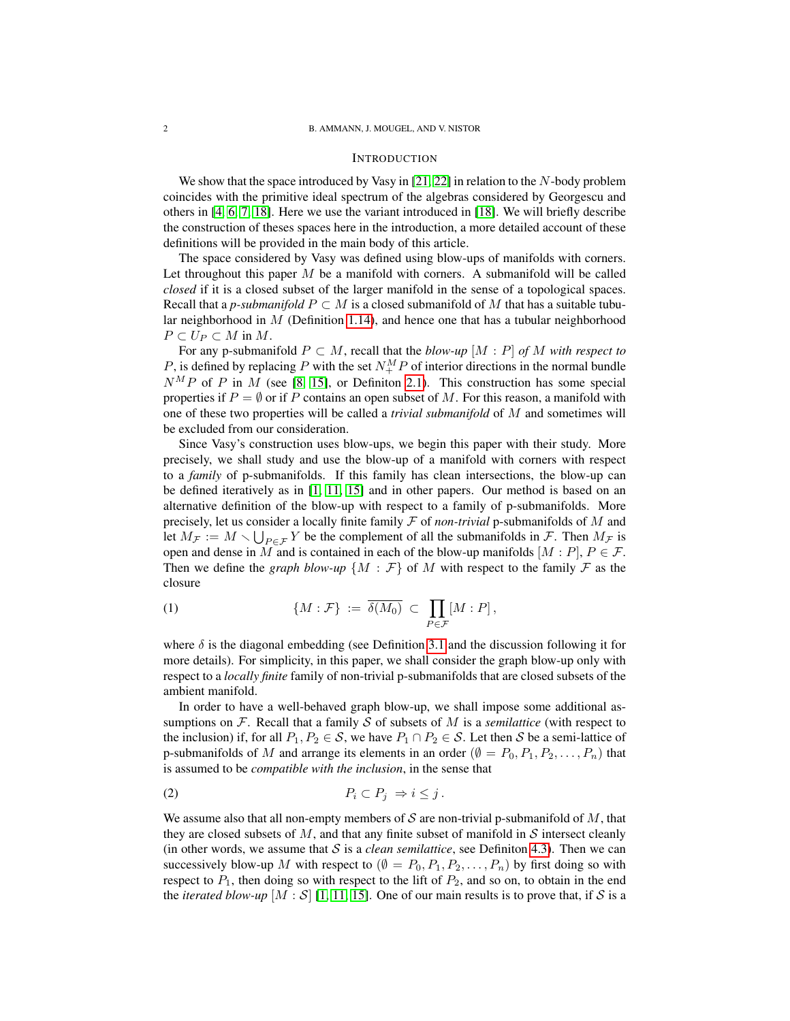### <span id="page-1-0"></span>INTRODUCTION

We show that the space introduced by Vasy in [\[21,](#page-34-0) [22\]](#page-34-1) in relation to the N-body problem coincides with the primitive ideal spectrum of the algebras considered by Georgescu and others in [\[4,](#page-33-2) [6,](#page-33-3) [7,](#page-33-4) [18\]](#page-34-2). Here we use the variant introduced in [\[18\]](#page-34-2). We will briefly describe the construction of theses spaces here in the introduction, a more detailed account of these definitions will be provided in the main body of this article.

The space considered by Vasy was defined using blow-ups of manifolds with corners. Let throughout this paper  $M$  be a manifold with corners. A submanifold will be called *closed* if it is a closed subset of the larger manifold in the sense of a topological spaces. Recall that a *p-submanifold*  $P \subset M$  is a closed submanifold of M that has a suitable tubular neighborhood in  $M$  (Definition [1.14\)](#page-8-0), and hence one that has a tubular neighborhood  $P \subset U_P \subset M$  in M.

For any p-submanifold  $P \subset M$ , recall that the *blow-up*  $[M : P]$  *of* M *with respect to* P, is defined by replacing P with the set  $N_{+}^{M}P$  of interior directions in the normal bundle  $N^M P$  of P in M (see [\[8,](#page-33-5) [15\]](#page-34-3), or Definiton [2.1\)](#page-11-2). This construction has some special properties if  $P = \emptyset$  or if P contains an open subset of M. For this reason, a manifold with one of these two properties will be called a *trivial submanifold* of M and sometimes will be excluded from our consideration.

Since Vasy's construction uses blow-ups, we begin this paper with their study. More precisely, we shall study and use the blow-up of a manifold with corners with respect to a *family* of p-submanifolds. If this family has clean intersections, the blow-up can be defined iteratively as in [\[1,](#page-33-6) [11,](#page-34-4) [15\]](#page-34-3) and in other papers. Our method is based on an alternative definition of the blow-up with respect to a family of p-submanifolds. More precisely, let us consider a locally finite family F of *non-trivial* p-submanifolds of M and let  $M_{\mathcal{F}} := M \setminus \bigcup_{P \in \mathcal{F}} Y$  be the complement of all the submanifolds in  $\mathcal{F}$ . Then  $M_{\mathcal{F}}$  is open and dense in M and is contained in each of the blow-up manifolds  $[M : P]$ ,  $P \in \mathcal{F}$ . Then we define the *graph blow-up*  $\{M : \mathcal{F}\}\$  of M with respect to the family  $\mathcal F$  as the closure

(1) 
$$
\{M:\mathcal{F}\} := \overline{\delta(M_0)} \subset \prod_{P \in \mathcal{F}} [M:P],
$$

where  $\delta$  is the diagonal embedding (see Definition [3.1](#page-16-2) and the discussion following it for more details). For simplicity, in this paper, we shall consider the graph blow-up only with respect to a *locally finite* family of non-trivial p-submanifolds that are closed subsets of the ambient manifold.

In order to have a well-behaved graph blow-up, we shall impose some additional assumptions on  $F$ . Recall that a family  $S$  of subsets of  $M$  is a *semilattice* (with respect to the inclusion) if, for all  $P_1, P_2 \in S$ , we have  $P_1 \cap P_2 \in S$ . Let then S be a semi-lattice of p-submanifolds of M and arrange its elements in an order ( $\emptyset = P_0, P_1, P_2, \ldots, P_n$ ) that is assumed to be *compatible with the inclusion*, in the sense that

<span id="page-1-1"></span>
$$
(2) \t\t\t P_i \subset P_j \Rightarrow i \leq j.
$$

We assume also that all non-empty members of S are non-trivial p-submanifold of  $M$ , that they are closed subsets of  $M$ , and that any finite subset of manifold in  $S$  intersect cleanly (in other words, we assume that  $S$  is a *clean semilattice*, see Definiton [4.3\)](#page-19-1). Then we can successively blow-up M with respect to  $(\emptyset = P_0, P_1, P_2, \ldots, P_n)$  by first doing so with respect to  $P_1$ , then doing so with respect to the lift of  $P_2$ , and so on, to obtain in the end the *iterated blow-up*  $[M : S]$  [\[1,](#page-33-6) [11,](#page-34-4) [15\]](#page-34-3). One of our main results is to prove that, if S is a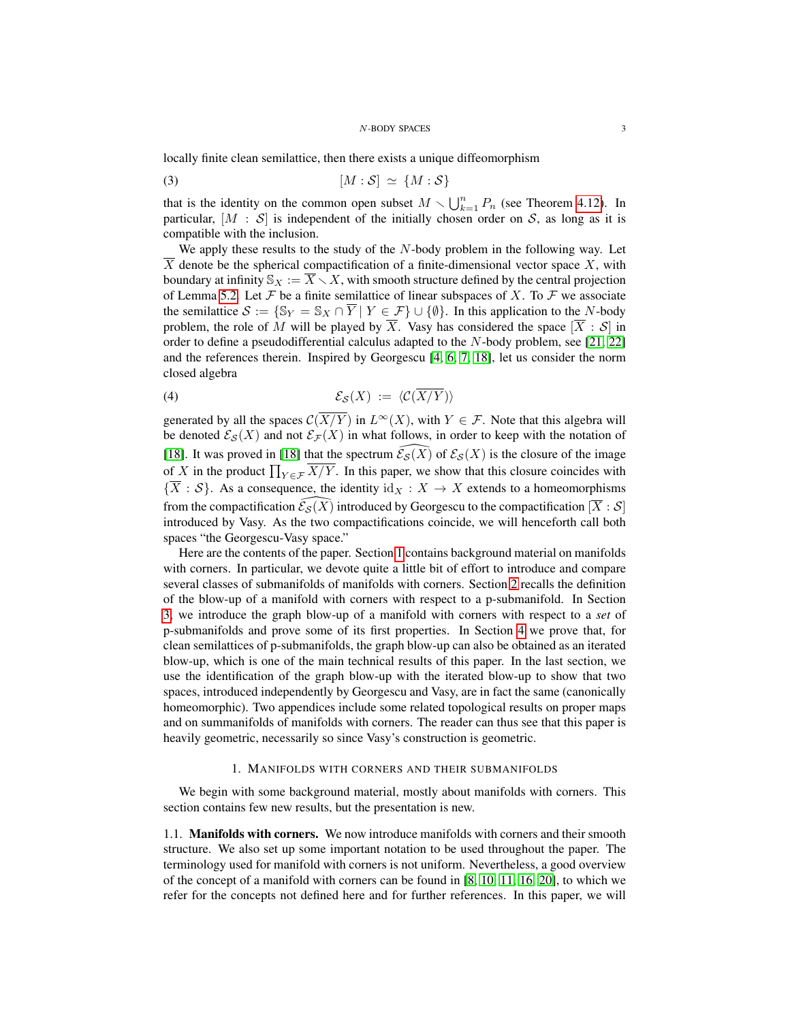locally finite clean semilattice, then there exists a unique diffeomorphism

<span id="page-2-2"></span>
$$
[M : \mathcal{S}] \simeq \{M : \mathcal{S}\}
$$

that is the identity on the common open subset  $M \setminus \bigcup_{k=1}^{n} P_n$  (see Theorem [4.12\)](#page-25-0). In particular,  $[M : S]$  is independent of the initially chosen order on S, as long as it is compatible with the inclusion.

We apply these results to the study of the  $N$ -body problem in the following way. Let  $\overline{X}$  denote be the spherical compactification of a finite-dimensional vector space X, with boundary at infinity  $\mathbb{S}_X := \overline{X} \setminus X$ , with smooth structure defined by the central projection of Lemma [5.2.](#page-28-1) Let  $\mathcal F$  be a finite semilattice of linear subspaces of X. To  $\mathcal F$  we associate the semilattice  $S := \{ \mathbb{S}_Y = \mathbb{S}_X \cap \overline{Y} \mid Y \in \mathcal{F} \} \cup \{ \emptyset \}.$  In this application to the N-body problem, the role of M will be played by  $\overline{X}$ . Vasy has considered the space  $[\overline{X} : S]$  in order to define a pseudodifferential calculus adapted to the  $N$ -body problem, see [\[21,](#page-34-0) [22\]](#page-34-1) and the references therein. Inspired by Georgescu [\[4,](#page-33-2) [6,](#page-33-3) [7,](#page-33-4) [18\]](#page-34-2), let us consider the norm closed algebra

<span id="page-2-3"></span>
$$
(4) \t\t\t\mathcal{E}_{\mathcal{S}}(X) := \langle \mathcal{C}(\overline{X/Y}) \rangle
$$

generated by all the spaces  $\mathcal{C}(\overline{X/Y})$  in  $L^{\infty}(X)$ , with  $Y \in \mathcal{F}$ . Note that this algebra will be denoted  $\mathcal{E}_{\mathcal{S}}(X)$  and not  $\mathcal{E}_{\mathcal{F}}(X)$  in what follows, in order to keep with the notation of [\[18\]](#page-34-2). It was proved in [18] that the spectrum  $\widehat{\mathcal{E}_{\mathcal{S}}}(\widehat{X})$  of  $\mathcal{E}_{\mathcal{S}}(X)$  is the closure of the image of X in the product  $\prod_{Y \in \mathcal{F}} X/Y$ . In this paper, we show that this closure coincides with  ${\overline{X} : S}$ . As a consequence, the identity  $\mathrm{id}_X : X \to X$  extends to a homeomorphisms from the compactification  $\mathcal{E}_{\mathcal{S}} (X)$  introduced by Georgescu to the compactification  $[\overline{X} : \mathcal{S}]$ introduced by Vasy. As the two compactifications coincide, we will henceforth call both spaces "the Georgescu-Vasy space."

Here are the contents of the paper. Section [1](#page-2-0) contains background material on manifolds with corners. In particular, we devote quite a little bit of effort to introduce and compare several classes of submanifolds of manifolds with corners. Section [2](#page-11-0) recalls the definition of the blow-up of a manifold with corners with respect to a p-submanifold. In Section [3,](#page-16-0) we introduce the graph blow-up of a manifold with corners with respect to a *set* of p-submanifolds and prove some of its first properties. In Section [4](#page-18-0) we prove that, for clean semilattices of p-submanifolds, the graph blow-up can also be obtained as an iterated blow-up, which is one of the main technical results of this paper. In the last section, we use the identification of the graph blow-up with the iterated blow-up to show that two spaces, introduced independently by Georgescu and Vasy, are in fact the same (canonically homeomorphic). Two appendices include some related topological results on proper maps and on summanifolds of manifolds with corners. The reader can thus see that this paper is heavily geometric, necessarily so since Vasy's construction is geometric.

### 1. MANIFOLDS WITH CORNERS AND THEIR SUBMANIFOLDS

<span id="page-2-0"></span>We begin with some background material, mostly about manifolds with corners. This section contains few new results, but the presentation is new.

<span id="page-2-1"></span>1.1. Manifolds with corners. We now introduce manifolds with corners and their smooth structure. We also set up some important notation to be used throughout the paper. The terminology used for manifold with corners is not uniform. Nevertheless, a good overview of the concept of a manifold with corners can be found in [\[8,](#page-33-5) [10,](#page-33-7) [11,](#page-34-4) [16,](#page-34-5) [20\]](#page-34-6), to which we refer for the concepts not defined here and for further references. In this paper, we will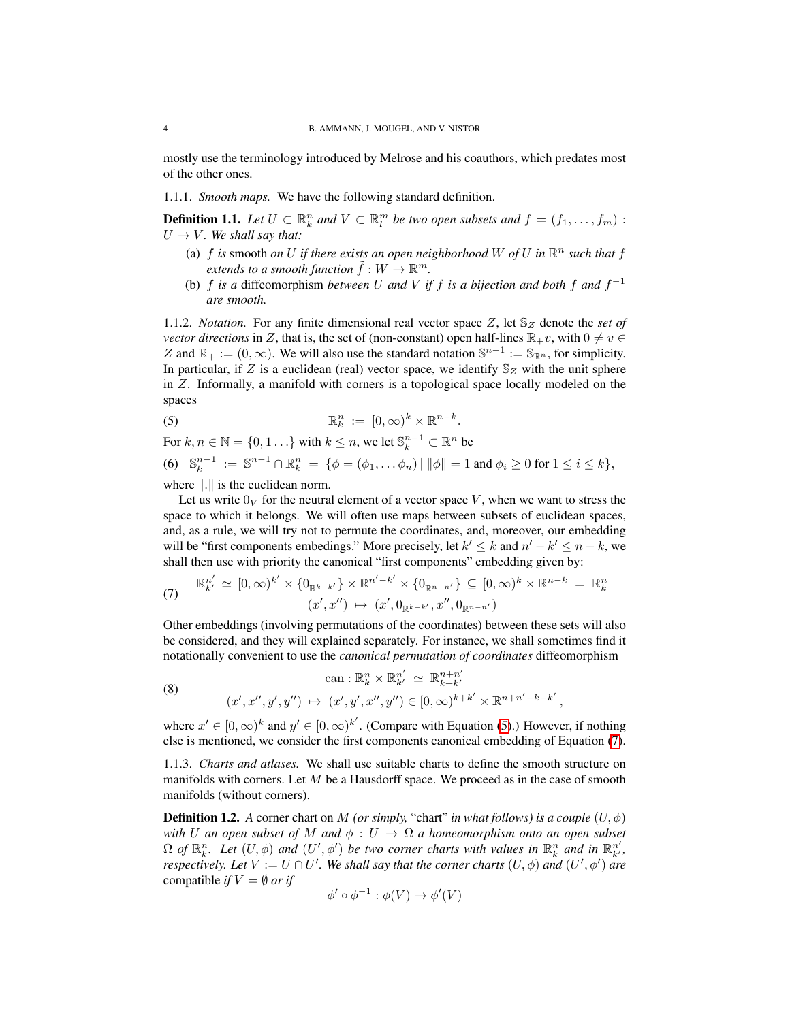mostly use the terminology introduced by Melrose and his coauthors, which predates most of the other ones.

1.1.1. *Smooth maps.* We have the following standard definition.

<span id="page-3-2"></span>**Definition 1.1.** Let  $U \subset \mathbb{R}^n_k$  and  $V \subset \mathbb{R}^m_l$  be two open subsets and  $f = (f_1, \ldots, f_m)$ :  $U \rightarrow V$ *. We shall say that:* 

- (a)  $f$  *is* smooth *on*  $U$  *if there exists an open neighborhood*  $W$  *of*  $U$  *in*  $\mathbb{R}^n$  *such that*  $f$ extends to a smooth function  $\tilde{f}:W\to \mathbb{R}^m.$
- (b)  $f$  *is a* diffeomorphism *between*  $U$  *and*  $V$  *if*  $f$  *is a bijection and both*  $f$  *and*  $f^{-1}$ *are smooth.*

<span id="page-3-3"></span>1.1.2. *Notation.* For any finite dimensional real vector space Z, let  $\mathbb{S}_Z$  denote the *set of vector directions* in Z, that is, the set of (non-constant) open half-lines  $\mathbb{R}_+v$ , with  $0 \neq v \in$ Z and  $\mathbb{R}_+ := (0, \infty)$ . We will also use the standard notation  $\mathbb{S}^{n-1} := \mathbb{S}_{\mathbb{R}^n}$ , for simplicity. In particular, if Z is a euclidean (real) vector space, we identify  $\mathbb{S}_Z$  with the unit sphere in Z. Informally, a manifold with corners is a topological space locally modeled on the spaces

<span id="page-3-0"></span>(5) 
$$
\mathbb{R}_k^n := [0,\infty)^k \times \mathbb{R}^{n-k}.
$$

For  $k, n \in \mathbb{N} = \{0, 1, \ldots\}$  with  $k \leq n$ , we let  $\mathbb{S}_k^{n-1} \subset \mathbb{R}^n$  be

<span id="page-3-4"></span>(6) 
$$
\mathbb{S}_k^{n-1} := \mathbb{S}^{n-1} \cap \mathbb{R}_k^n = \{ \phi = (\phi_1, \dots \phi_n) | \|\phi\| = 1 \text{ and } \phi_i \ge 0 \text{ for } 1 \le i \le k \},
$$

where  $\Vert . \Vert$  is the euclidean norm.

Let us write  $0_V$  for the neutral element of a vector space V, when we want to stress the space to which it belongs. We will often use maps between subsets of euclidean spaces, and, as a rule, we will try not to permute the coordinates, and, moreover, our embedding will be "first components embedings." More precisely, let  $k' \le k$  and  $n' - k' \le n - k$ , we shall then use with priority the canonical "first components" embedding given by:

<span id="page-3-1"></span>(7) 
$$
\mathbb{R}_{k'}^{n'} \simeq [0, \infty)^{k'} \times \{0_{\mathbb{R}^{k-k'}}\} \times \mathbb{R}^{n'-k'} \times \{0_{\mathbb{R}^{n-n'}}\} \subseteq [0, \infty)^k \times \mathbb{R}^{n-k} = \mathbb{R}_{k}^{n}
$$

$$
(x', x'') \mapsto (x', 0_{\mathbb{R}^{k-k'}}, x'', 0_{\mathbb{R}^{n-n'}})
$$

Other embeddings (involving permutations of the coordinates) between these sets will also be considered, and they will explained separately. For instance, we shall sometimes find it notationally convenient to use the *canonical permutation of coordinates* diffeomorphism

<span id="page-3-5"></span>(8) 
$$
\operatorname{can}: \mathbb{R}^n_k \times \mathbb{R}^{n'}_{k'} \simeq \mathbb{R}^{n+n'}_{k+k'}
$$

$$
(x', x'', y', y'') \mapsto (x', y', x'', y'') \in [0, \infty)^{k+k'} \times \mathbb{R}^{n+n'-k-k'},
$$

where  $x' \in [0, \infty)^k$  and  $y' \in [0, \infty)^{k'}$ . (Compare with Equation [\(5\)](#page-3-0).) However, if nothing else is mentioned, we consider the first components canonical embedding of Equation [\(7\)](#page-3-1).

1.1.3. *Charts and atlases.* We shall use suitable charts to define the smooth structure on manifolds with corners. Let  $M$  be a Hausdorff space. We proceed as in the case of smooth manifolds (without corners).

**Definition 1.2.** A corner chart on M *(or simply, "chart" in what follows) is a couple*  $(U, \phi)$ *with* U an open subset of M and  $\phi: U \to \Omega$  a homeomorphism onto an open subset  $\Omega$  *of*  $\mathbb{R}^n_k$ . Let  $(U, \phi)$  and  $(U', \phi')$  be two corner charts with values in  $\mathbb{R}^n_k$  and in  $\mathbb{R}^{n'}_{k'}$ , *respectively. Let*  $V := U \cap U'$ . We shall say that the corner charts  $(U, \phi)$  and  $(U', \phi')$  are compatible *if*  $V = \emptyset$  *or if* 

$$
\phi' \circ \phi^{-1} : \phi(V) \to \phi'(V)
$$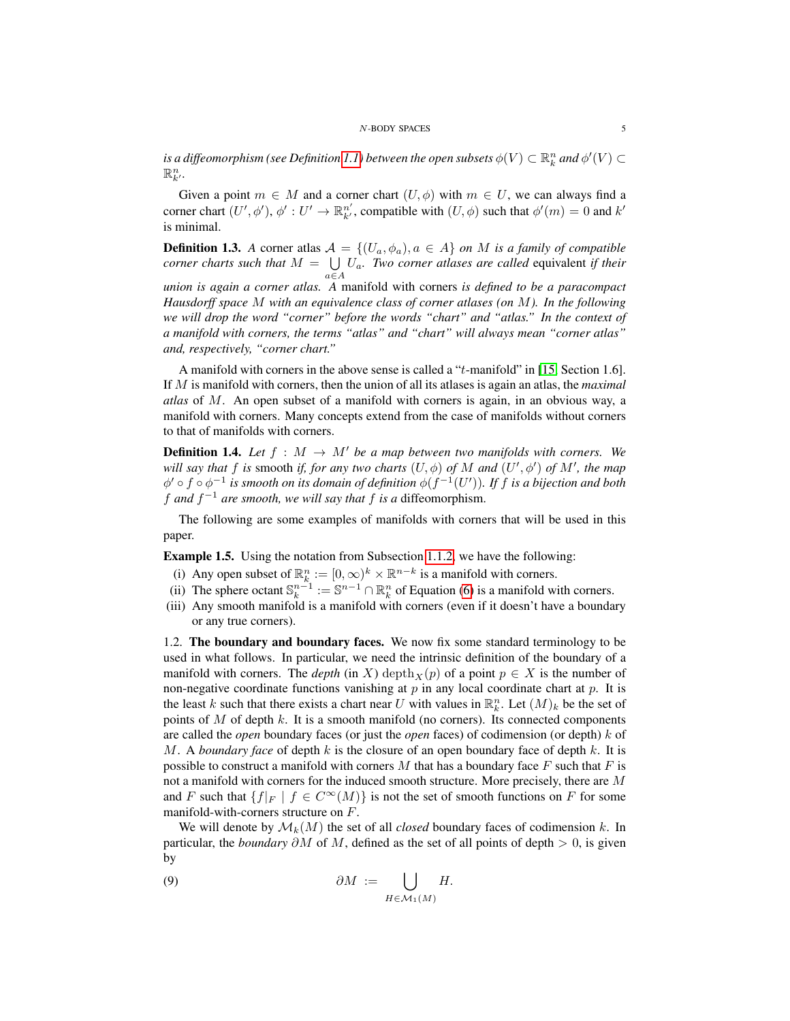is a diffeomorphism (see Definition [1.1\)](#page-3-2) between the open subsets  $\phi(V) \subset \mathbb{R}^n_k$  and  $\phi'(V) \subset$  $\mathbb{R}^n_{k}$ .

Given a point  $m \in M$  and a corner chart  $(U, \phi)$  with  $m \in U$ , we can always find a corner chart  $(U', \phi')$ ,  $\phi' : U' \to \mathbb{R}^{n'}_{k'}$ , compatible with  $(U, \phi)$  such that  $\phi'(m) = 0$  and  $k'$ is minimal.

<span id="page-4-2"></span>**Definition 1.3.** *A* corner atlas  $A = \{(U_a, \phi_a), a \in A\}$  *on M is a family of compatible corner charts such that*  $M = \bigcup U_a$ . *Two corner atlases are called* equivalent *if their*  $a \in A$ *union is again a corner atlas. A* manifold with corners *is defined to be a paracompact Hausdorff space* M *with an equivalence class of corner atlases (on* M*). In the following we will drop the word "corner" before the words "chart" and "atlas." In the context of a manifold with corners, the terms "atlas" and "chart" will always mean "corner atlas"*

A manifold with corners in the above sense is called a "t-manifold" in [\[15,](#page-34-3) Section 1.6]. If M is manifold with corners, then the union of all its atlases is again an atlas, the *maximal atlas* of M. An open subset of a manifold with corners is again, in an obvious way, a manifold with corners. Many concepts extend from the case of manifolds without corners to that of manifolds with corners.

*and, respectively, "corner chart."*

**Definition 1.4.** Let  $f : M \to M'$  be a map between two manifolds with corners. We *will say that*  $f$  *is* smooth *if, for any two charts*  $(U, \phi)$  *of*  $M$  *and*  $(U', \phi')$  *of*  $M'$ *, the map*  $\phi' \circ f \circ \phi^{-1}$  is smooth on its domain of definition  $\phi(f^{-1}(U'))$ . If f is a bijection and both f and  $f^{-1}$  are smooth, we will say that f is a diffeomorphism.

The following are some examples of manifolds with corners that will be used in this paper.

<span id="page-4-1"></span>Example 1.5. Using the notation from Subsection [1.1.2,](#page-3-3) we have the following:

- (i) Any open subset of  $\mathbb{R}^n_k := [0, \infty)^k \times \mathbb{R}^{n-k}$  is a manifold with corners.
- (ii) The sphere octant  $\mathbb{S}_k^{n-1} := \mathbb{S}^{n-1} \cap \mathbb{R}_k^n$  of Equation [\(6\)](#page-3-4) is a manifold with corners.
- (iii) Any smooth manifold is a manifold with corners (even if it doesn't have a boundary or any true corners).

<span id="page-4-0"></span>1.2. The boundary and boundary faces. We now fix some standard terminology to be used in what follows. In particular, we need the intrinsic definition of the boundary of a manifold with corners. The *depth* (in X) depth<sub>X</sub>(p) of a point  $p \in X$  is the number of non-negative coordinate functions vanishing at  $p$  in any local coordinate chart at  $p$ . It is the least k such that there exists a chart near U with values in  $\mathbb{R}_k^n$ . Let  $(M)_k$  be the set of points of  $M$  of depth  $k$ . It is a smooth manifold (no corners). Its connected components are called the *open* boundary faces (or just the *open* faces) of codimension (or depth) k of M. A *boundary face* of depth k is the closure of an open boundary face of depth k. It is possible to construct a manifold with corners  $M$  that has a boundary face  $F$  such that  $F$  is not a manifold with corners for the induced smooth structure. More precisely, there are M and F such that  $\{f|_F \mid f \in C^{\infty}(M)\}$  is not the set of smooth functions on F for some manifold-with-corners structure on F.

We will denote by  $\mathcal{M}_k(M)$  the set of all *closed* boundary faces of codimension k. In particular, the *boundary*  $\partial M$  of M, defined as the set of all points of depth  $> 0$ , is given by

$$
\partial M := \bigcup_{H \in \mathcal{M}_1(M)} H.
$$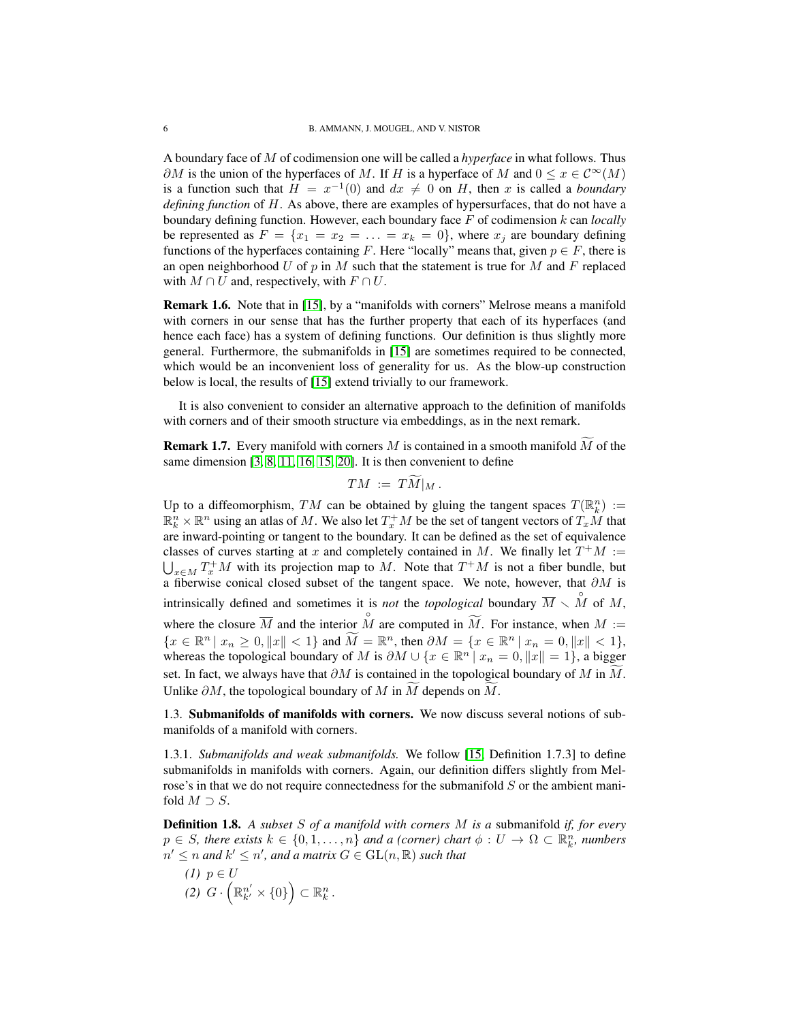A boundary face of M of codimension one will be called a *hyperface* in what follows. Thus  $\partial M$  is the union of the hyperfaces of M. If H is a hyperface of M and  $0 \le x \in C^{\infty}(M)$ is a function such that  $H = x^{-1}(0)$  and  $dx \neq 0$  on H, then x is called a *boundary defining function* of H. As above, there are examples of hypersurfaces, that do not have a boundary defining function. However, each boundary face F of codimension k can *locally* be represented as  $F = \{x_1 = x_2 = \ldots = x_k = 0\}$ , where  $x_j$  are boundary defining functions of the hyperfaces containing F. Here "locally" means that, given  $p \in F$ , there is an open neighborhood U of p in M such that the statement is true for M and F replaced with  $M \cap U$  and, respectively, with  $F \cap U$ .

Remark 1.6. Note that in [\[15\]](#page-34-3), by a "manifolds with corners" Melrose means a manifold with corners in our sense that has the further property that each of its hyperfaces (and hence each face) has a system of defining functions. Our definition is thus slightly more general. Furthermore, the submanifolds in [\[15\]](#page-34-3) are sometimes required to be connected, which would be an inconvenient loss of generality for us. As the blow-up construction below is local, the results of [\[15\]](#page-34-3) extend trivially to our framework.

It is also convenient to consider an alternative approach to the definition of manifolds with corners and of their smooth structure via embeddings, as in the next remark.

**Remark 1.7.** Every manifold with corners  $M$  is contained in a smooth manifold  $\overline{M}$  of the same dimension [\[3,](#page-33-8) [8,](#page-33-5) [11,](#page-34-4) [16,](#page-34-5) [15,](#page-34-3) [20\]](#page-34-6). It is then convenient to define

$$
TM := TM|_M.
$$

Up to a diffeomorphism, TM can be obtained by gluing the tangent spaces  $T(\mathbb{R}^n_k) :=$  $\mathbb{R}^n_k \times \mathbb{R}^n$  using an atlas of M. We also let  $T_x^+M$  be the set of tangent vectors of  $T_xM$  that are inward-pointing or tangent to the boundary. It can be defined as the set of equivalence classes of curves starting at x and completely contained in M. We finally let  $T^+M :=$  $\bigcup_{x \in M} T_x^+ M$  with its projection map to M. Note that  $T^+ M$  is not a fiber bundle, but a fiberwise conical closed subset of the tangent space. We note, however, that ∂M is intrinsically defined and sometimes it is *not* the *topological* boundary  $\overline{M} \setminus \overset{\circ}{M}$  of M, where the closure  $\overline{M}$  and the interior  $\stackrel{\circ}{M}$  are computed in  $\widetilde{M}$ . For instance, when  $M :=$  ${x \in \mathbb{R}^n \mid x_n \ge 0, \|x\| < 1}$  and  $\widetilde{M} = \mathbb{R}^n$ , then  $\partial M = \{x \in \mathbb{R}^n \mid x_n = 0, \|x\| < 1}$ , whereas the topological boundary of M is  $\partial M \cup \{x \in \mathbb{R}^n \mid x_n = 0, \|x\| = 1\}$ , a bigger set. In fact, we always have that  $\partial M$  is contained in the topological boundary of M in M. Unlike  $\partial M$ , the topological boundary of M in M depends on M.

<span id="page-5-0"></span>1.3. Submanifolds of manifolds with corners. We now discuss several notions of submanifolds of a manifold with corners.

1.3.1. *Submanifolds and weak submanifolds.* We follow [\[15,](#page-34-3) Definition 1.7.3] to define submanifolds in manifolds with corners. Again, our definition differs slightly from Melrose's in that we do not require connectedness for the submanifold  $S$  or the ambient manifold  $M \supset S$ .

<span id="page-5-1"></span>Definition 1.8. *A subset* S *of a manifold with corners* M *is a* submanifold *if, for every*  $p \in S$ , there exists  $k \in \{0, 1, ..., n\}$  and a (corner) chart  $\phi: U \to \Omega \subset \mathbb{R}^n_k$ , numbers  $n' \leq n$  and  $k' \leq n'$ , and a matrix  $G \in \mathrm{GL}(n,\mathbb{R})$  such that

*(1)* p ∈ U  $(2)$   $G \cdot \left(\mathbb{R}_{k'}^{n'} \times \{0\}\right) \subset \mathbb{R}_k^n$ .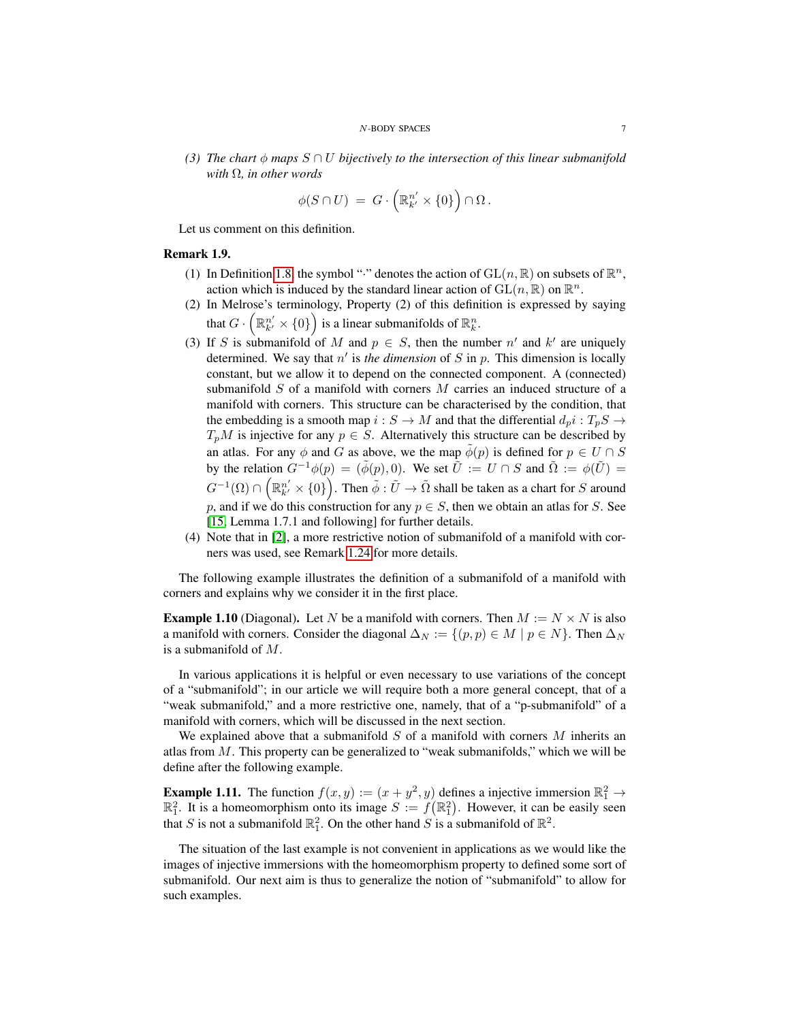*(3) The chart*  $\phi$  *maps*  $S \cap U$  *bijectively to the intersection of this linear submanifold with* Ω*, in other words*

$$
\phi(S\cap U) \ = \ G\cdot \left(\mathbb{R}_{k'}^{n'}\times \{0\}\right)\cap \Omega\, .
$$

Let us comment on this definition.

# Remark 1.9.

- (1) In Definition [1.8,](#page-5-1) the symbol "." denotes the action of  $GL(n, \mathbb{R})$  on subsets of  $\mathbb{R}^n$ , action which is induced by the standard linear action of  $GL(n,\mathbb{R})$  on  $\mathbb{R}^n$ .
- (2) In Melrose's terminology, Property (2) of this definition is expressed by saying that  $G \cdot \left(\mathbb{R}_{k'}^{n'} \times \{0\}\right)$  is a linear submanifolds of  $\mathbb{R}_{k}^{n}$ .
- (3) If S is submanifold of M and  $p \in S$ , then the number n' and k' are uniquely determined. We say that  $n'$  is the dimension of  $S$  in  $p$ . This dimension is locally constant, but we allow it to depend on the connected component. A (connected) submanifold  $S$  of a manifold with corners  $M$  carries an induced structure of a manifold with corners. This structure can be characterised by the condition, that the embedding is a smooth map  $i : S \to M$  and that the differential  $d_p i : T_p S \to M$  $T_pM$  is injective for any  $p \in S$ . Alternatively this structure can be described by an atlas. For any  $\phi$  and G as above, we the map  $\phi(p)$  is defined for  $p \in U \cap S$ by the relation  $G^{-1}\phi(p) = (\tilde{\phi}(p), 0)$ . We set  $\tilde{U} := U \cap S$  and  $\tilde{\Omega} := \phi(\tilde{U}) =$  $G^{-1}(\Omega)\cap \left(\mathbb{R}_{k'}^{n'}\times\{0\}\right)$ . Then  $\tilde{\phi}:\tilde{U}\to\tilde{\Omega}$  shall be taken as a chart for  $S$  around p, and if we do this construction for any  $p \in S$ , then we obtain an atlas for S. See [\[15,](#page-34-3) Lemma 1.7.1 and following] for further details.
- (4) Note that in [\[2\]](#page-33-9), a more restrictive notion of submanifold of a manifold with corners was used, see Remark [1.24](#page-10-0) for more details.

The following example illustrates the definition of a submanifold of a manifold with corners and explains why we consider it in the first place.

<span id="page-6-1"></span>**Example 1.10** (Diagonal). Let N be a manifold with corners. Then  $M := N \times N$  is also a manifold with corners. Consider the diagonal  $\Delta_N := \{(p, p) \in M \mid p \in N\}$ . Then  $\Delta_N$ is a submanifold of M.

In various applications it is helpful or even necessary to use variations of the concept of a "submanifold"; in our article we will require both a more general concept, that of a "weak submanifold," and a more restrictive one, namely, that of a "p-submanifold" of a manifold with corners, which will be discussed in the next section.

We explained above that a submanifold  $S$  of a manifold with corners  $M$  inherits an atlas from  $M$ . This property can be generalized to "weak submanifolds," which we will be define after the following example.

<span id="page-6-0"></span>**Example 1.11.** The function  $f(x, y) := (x + y^2, y)$  defines a injective immersion  $\mathbb{R}^2_1 \to$  $\mathbb{R}^2$ . It is a homeomorphism onto its image  $S := f(\mathbb{R}^2)$ . However, it can be easily seen that S is not a submanifold  $\mathbb{R}_1^2$ . On the other hand S is a submanifold of  $\mathbb{R}^2$ .

The situation of the last example is not convenient in applications as we would like the images of injective immersions with the homeomorphism property to defined some sort of submanifold. Our next aim is thus to generalize the notion of "submanifold" to allow for such examples.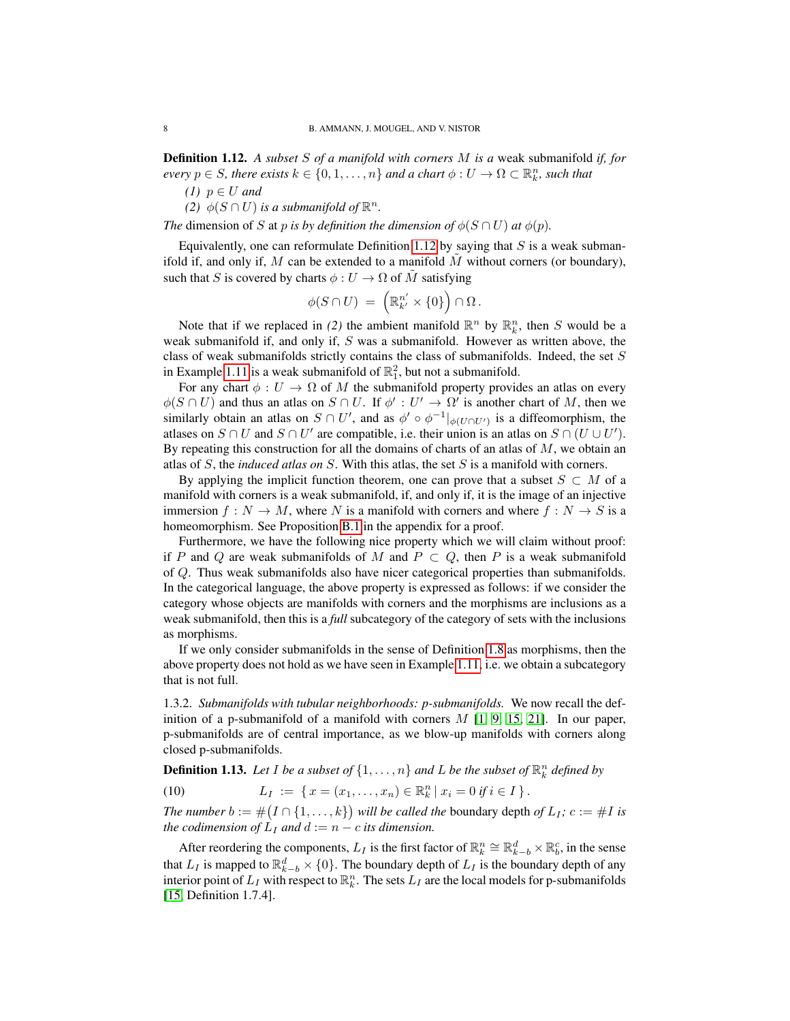<span id="page-7-0"></span>Definition 1.12. *A subset* S *of a manifold with corners* M *is a* weak submanifold *if, for every*  $p \in S$ *, there exists*  $k \in \{0, 1, ..., n\}$  and a chart  $\phi : U \to \Omega \subset \mathbb{R}^n_k$ *, such that* 

*(1)*  $p \in U$  *and* 

(2)  $\phi(S \cap U)$  *is a submanifold of*  $\mathbb{R}^n$ .

*The* dimension of S at p *is by definition the dimension of*  $\phi(S \cap U)$  *at*  $\phi(p)$ *.* 

Equivalently, one can reformulate Definition [1.12](#page-7-0) by saying that  $S$  is a weak submanifold if, and only if, M can be extended to a manifold  $M$  without corners (or boundary), such that S is covered by charts  $\phi: U \to \Omega$  of  $\tilde{M}$  satisfying

$$
\phi(S \cap U) = \left(\mathbb{R}_{k'}^{n'} \times \{0\}\right) \cap \Omega.
$$

Note that if we replaced in (2) the ambient manifold  $\mathbb{R}^n$  by  $\mathbb{R}^n_k$ , then S would be a weak submanifold if, and only if, S was a submanifold. However as written above, the class of weak submanifolds strictly contains the class of submanifolds. Indeed, the set S in Example [1.11](#page-6-0) is a weak submanifold of  $\mathbb{R}^2$ , but not a submanifold.

For any chart  $\phi : U \to \Omega$  of M the submanifold property provides an atlas on every  $\phi(S \cap U)$  and thus an atlas on  $S \cap U$ . If  $\phi' : U' \to \Omega'$  is another chart of M, then we similarly obtain an atlas on  $S \cap U'$ , and as  $\phi' \circ \phi^{-1}|_{\phi(U \cap U')}$  is a diffeomorphism, the atlases on  $S \cap U$  and  $S \cap U'$  are compatible, i.e. their union is an atlas on  $S \cap (U \cup U')$ . By repeating this construction for all the domains of charts of an atlas of  $M$ , we obtain an atlas of S, the *induced atlas on* S. With this atlas, the set S is a manifold with corners.

By applying the implicit function theorem, one can prove that a subset  $S \subset M$  of a manifold with corners is a weak submanifold, if, and only if, it is the image of an injective immersion  $f : N \to M$ , where N is a manifold with corners and where  $f : N \to S$  is a homeomorphism. See Proposition [B.1](#page-33-10) in the appendix for a proof.

Furthermore, we have the following nice property which we will claim without proof: if P and Q are weak submanifolds of M and  $P \subset Q$ , then P is a weak submanifold of Q. Thus weak submanifolds also have nicer categorical properties than submanifolds. In the categorical language, the above property is expressed as follows: if we consider the category whose objects are manifolds with corners and the morphisms are inclusions as a weak submanifold, then this is a *full* subcategory of the category of sets with the inclusions as morphisms.

If we only consider submanifolds in the sense of Definition [1.8](#page-5-1) as morphisms, then the above property does not hold as we have seen in Example [1.11,](#page-6-0) i.e. we obtain a subcategory that is not full.

1.3.2. *Submanifolds with tubular neighborhoods: p-submanifolds.* We now recall the definition of a p-submanifold of a manifold with corners  $M$  [\[1,](#page-33-6) [9,](#page-33-11) [15,](#page-34-3) [21\]](#page-34-0). In our paper, p-submanifolds are of central importance, as we blow-up manifolds with corners along closed p-submanifolds.

**Definition 1.13.** Let I be a subset of  $\{1, \ldots, n\}$  and L be the subset of  $\mathbb{R}^n_k$  defined by

<span id="page-7-1"></span>(10) 
$$
L_I := \{ x = (x_1, \ldots, x_n) \in \mathbb{R}^n_k \mid x_i = 0 \text{ if } i \in I \}.
$$

*The number*  $b := \#(I \cap \{1, \ldots, k\})$  will be called the boundary depth of  $L_I$ ;  $c := \#I$  is *the codimension of*  $L_I$  *and*  $d := n - c$  *its dimension.* 

After reordering the components,  $L_I$  is the first factor of  $\mathbb{R}^n_k \cong \mathbb{R}^d_{k-b} \times \mathbb{R}^c_b$ , in the sense that  $L_I$  is mapped to  $\mathbb{R}_{k-b}^d \times \{0\}$ . The boundary depth of  $L_I$  is the boundary depth of any interior point of  $L_I$  with respect to  $\mathbb{R}^n_k$ . The sets  $L_I$  are the local models for p-submanifolds [\[15,](#page-34-3) Definition 1.7.4].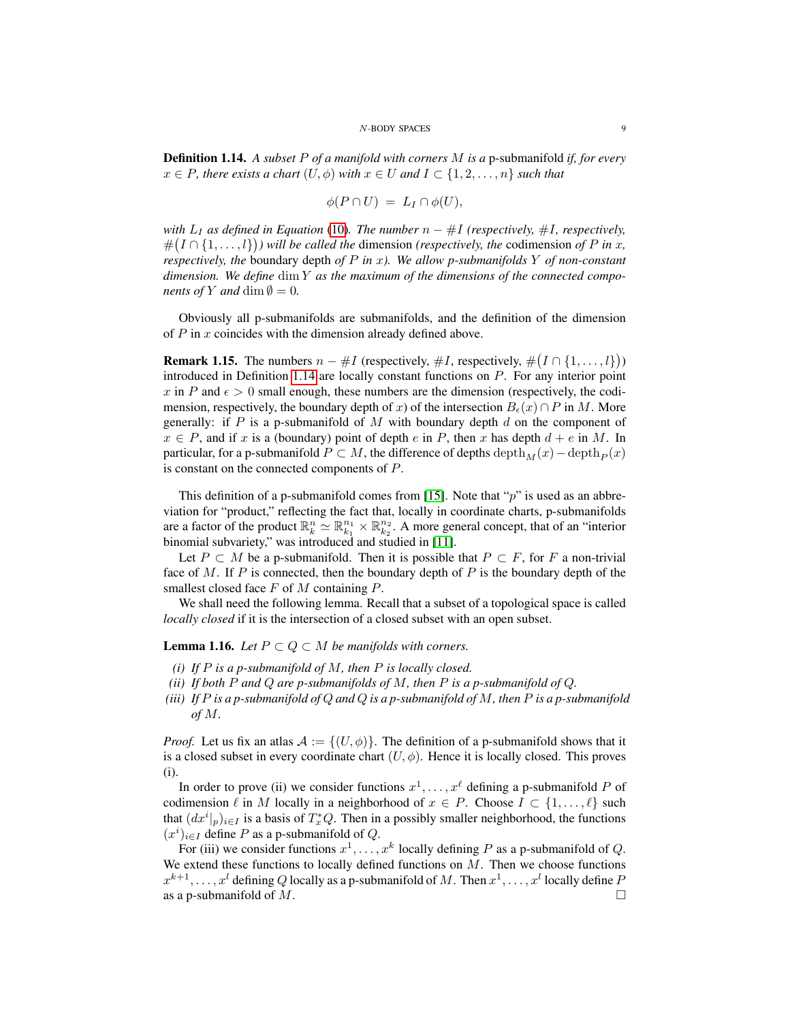<span id="page-8-0"></span>Definition 1.14. *A subset* P *of a manifold with corners* M *is a* p-submanifold *if, for every*  $x \in P$ , there exists a chart  $(U, \phi)$  with  $x \in U$  and  $I \subset \{1, 2, \ldots, n\}$  such that

$$
\phi(P \cap U) = L_I \cap \phi(U),
$$

*with*  $L_I$  *as defined in Equation* [\(10\)](#page-7-1)*. The number*  $n - #I$  *(respectively,* #*I, respectively,*  $\#(I \cap \{1, \ldots, l\})$  will be called the dimension *(respectively, the* codimension *of* P in x, *respectively, the* boundary depth *of* P *in* x*). We allow p-submanifolds* Y *of non-constant dimension. We define* dim Y *as the maximum of the dimensions of the connected components of* Y *and* dim  $\emptyset = 0$ *.* 

Obviously all p-submanifolds are submanifolds, and the definition of the dimension of  $P$  in  $x$  coincides with the dimension already defined above.

<span id="page-8-3"></span>**Remark 1.15.** The numbers  $n - #I$  (respectively,  $#I$ , respectively,  $#(I \cap \{1, ..., l\})$ ) introduced in Definition [1.14](#page-8-0) are locally constant functions on P. For any interior point x in P and  $\epsilon > 0$  small enough, these numbers are the dimension (respectively, the codimension, respectively, the boundary depth of x) of the intersection  $B_{\epsilon}(x) \cap P$  in M. More generally: if P is a p-submanifold of M with boundary depth d on the component of  $x \in P$ , and if x is a (boundary) point of depth e in P, then x has depth  $d + e$  in M. In particular, for a p-submanifold  $P \subset M$ , the difference of depths depth $_M(x)$  – depth $_P(x)$ is constant on the connected components of P.

This definition of a p-submanifold comes from [\[15\]](#page-34-3). Note that " $p$ " is used as an abbreviation for "product," reflecting the fact that, locally in coordinate charts, p-submanifolds are a factor of the product  $\mathbb{R}_k^n \simeq \mathbb{R}_{k_1}^{n_1} \times \mathbb{R}_{k_2}^{n_2}$ . A more general concept, that of an "interior binomial subvariety," was introduced and studied in [\[11\]](#page-34-4).

Let  $P \subset M$  be a p-submanifold. Then it is possible that  $P \subset F$ , for F a non-trivial face of M. If P is connected, then the boundary depth of P is the boundary depth of the smallest closed face  $F$  of  $M$  containing  $P$ .

We shall need the following lemma. Recall that a subset of a topological space is called *locally closed* if it is the intersection of a closed subset with an open subset.

# <span id="page-8-1"></span>**Lemma 1.16.** *Let*  $P \subset Q \subset M$  *be manifolds with corners.*

- *(i) If* P *is a p-submanifold of* M*, then* P *is locally closed.*
- <span id="page-8-2"></span>*(ii) If both* P *and* Q *are p-submanifolds of* M*, then* P *is a p-submanifold of* Q*.*
- *(iii) If* P *is a p-submanifold of* Q *and* Q *is a p-submanifold of* M*, then* P *is a p-submanifold of* M*.*

*Proof.* Let us fix an atlas  $A := \{(U, \phi)\}\.$  The definition of a p-submanifold shows that it is a closed subset in every coordinate chart  $(U, \phi)$ . Hence it is locally closed. This proves (i).

In order to prove (ii) we consider functions  $x^1, \ldots, x^\ell$  defining a p-submanifold P of codimension  $\ell$  in M locally in a neighborhood of  $x \in P$ . Choose  $I \subset \{1, \ldots, \ell\}$  such that  $(dx^{i}|_{p})_{i\in I}$  is a basis of  $T_{x}^{*}Q$ . Then in a possibly smaller neighborhood, the functions  $(x^{i})_{i\in I}$  define P as a p-submanifold of Q.

For (iii) we consider functions  $x^1, \ldots, x^k$  locally defining P as a p-submanifold of Q. We extend these functions to locally defined functions on  $M$ . Then we choose functions  $x^{k+1}, \ldots, x^l$  defining  $Q$  locally as a p-submanifold of  $M$  . Then  $x^1, \ldots, x^l$  locally define  $P$ as a p-submanifold of M.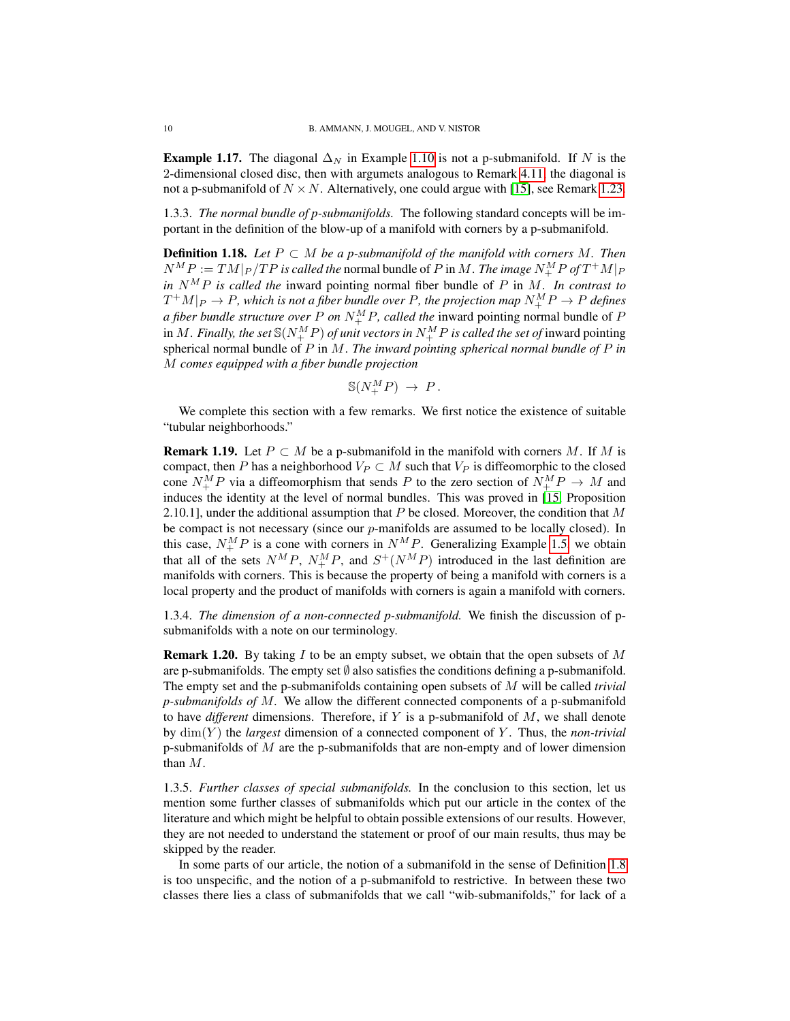**Example 1.17.** The diagonal  $\Delta_N$  in Example [1.10](#page-6-1) is not a p-submanifold. If N is the 2-dimensional closed disc, then with argumets analogous to Remark [4.11,](#page-24-0) the diagonal is not a p-submanifold of  $N \times N$ . Alternatively, one could argue with [\[15\]](#page-34-3), see Remark [1.23.](#page-10-1)

1.3.3. *The normal bundle of p-submanifolds.* The following standard concepts will be important in the definition of the blow-up of a manifold with corners by a p-submanifold.

<span id="page-9-1"></span>**Definition 1.18.** Let  $P \subset M$  be a p-submanifold of the manifold with corners M. Then  $N^MP := TM|_P / TP$  is called the normal bundle of P in M. *The image*  $N^M_+P$  of  $T^+M|_P$ *in*  $N^M P$  *is called the* inward pointing normal fiber bundle of P in M. In contrast to  $T^+M|_P \to P$ , which is not a fiber bundle over P, the projection map  $N^M_+P \to P$  defines *a fiber bundle structure over*  $P$  *on*  $N_{+}^{M}P$ *, called the* inward pointing normal bundle of  $P$ in  $M.$  *Finally, the set*  $\mathbb{S}(N_{+}^{M}P)$  *of unit vectors in*  $N_{+}^{M}P$  *is called the set of* inward pointing spherical normal bundle of P in M. *The inward pointing spherical normal bundle of* P *in* M *comes equipped with a fiber bundle projection*

$$
\mathbb{S}(N^M_+P) \to P.
$$

We complete this section with a few remarks. We first notice the existence of suitable "tubular neighborhoods."

**Remark 1.19.** Let  $P \subset M$  be a p-submanifold in the manifold with corners M. If M is compact, then P has a neighborhood  $V_P \subset M$  such that  $V_P$  is diffeomorphic to the closed cone  $N_{+}^{M}P$  via a diffeomorphism that sends P to the zero section of  $N_{+}^{M}P \rightarrow M$  and induces the identity at the level of normal bundles. This was proved in [\[15,](#page-34-3) Proposition 2.10.1], under the additional assumption that  $P$  be closed. Moreover, the condition that  $M$ be compact is not necessary (since our  $p$ -manifolds are assumed to be locally closed). In this case,  $N_{+}^{M}P$  is a cone with corners in  $N_{-}^{M}P$ . Generalizing Example [1.5,](#page-4-1) we obtain that all of the sets  $N^{M}P$ ,  $N^{M}_{+}P$ , and  $S^{+}(N^{M}P)$  introduced in the last definition are manifolds with corners. This is because the property of being a manifold with corners is a local property and the product of manifolds with corners is again a manifold with corners.

1.3.4. *The dimension of a non-connected p-submanifold.* We finish the discussion of psubmanifolds with a note on our terminology.

<span id="page-9-0"></span>**Remark 1.20.** By taking I to be an empty subset, we obtain that the open subsets of  $M$ are p-submanifolds. The empty set  $\emptyset$  also satisfies the conditions defining a p-submanifold. The empty set and the p-submanifolds containing open subsets of M will be called *trivial p-submanifolds of* M*.* We allow the different connected components of a p-submanifold to have *different* dimensions. Therefore, if Y is a p-submanifold of M, we shall denote by dim(Y ) the *largest* dimension of a connected component of Y . Thus, the *non-trivial* p-submanifolds of  $M$  are the p-submanifolds that are non-empty and of lower dimension than M.

1.3.5. *Further classes of special submanifolds.* In the conclusion to this section, let us mention some further classes of submanifolds which put our article in the contex of the literature and which might be helpful to obtain possible extensions of our results. However, they are not needed to understand the statement or proof of our main results, thus may be skipped by the reader.

In some parts of our article, the notion of a submanifold in the sense of Definition [1.8](#page-5-1) is too unspecific, and the notion of a p-submanifold to restrictive. In between these two classes there lies a class of submanifolds that we call "wib-submanifolds," for lack of a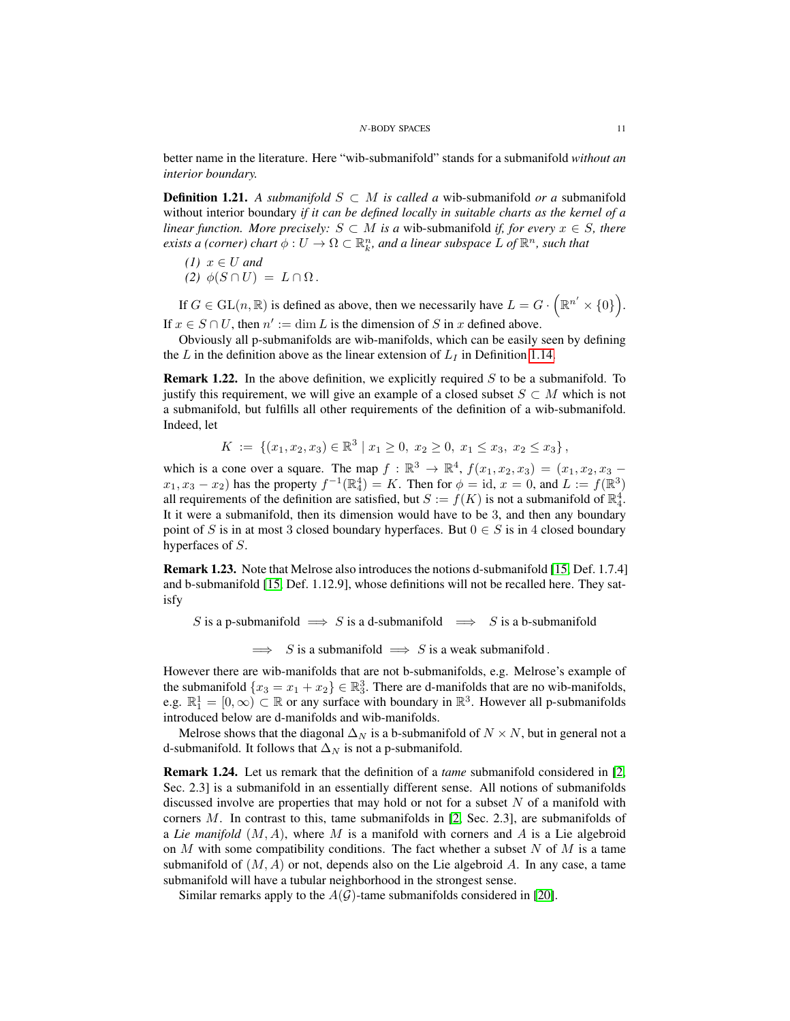better name in the literature. Here "wib-submanifold" stands for a submanifold *without an interior boundary.*

**Definition 1.21.** *A submanifold*  $S ⊂ M$  *is called a* wib-submanifold *or a* submanifold without interior boundary *if it can be defined locally in suitable charts as the kernel of a linear function. More precisely:*  $S \subset M$  *is a wib-submanifold if, for every*  $x \in S$ *, there exists a (corner) chart*  $\phi: U \to \Omega \subset \mathbb{R}^n_k$ , and a linear subspace L of  $\mathbb{R}^n$ , such that

(1) 
$$
x \in U
$$
 and  
(2)  $\phi(S \cap U) = L \cap \Omega$ .

If  $G \in GL(n, \mathbb{R})$  is defined as above, then we necessarily have  $L = G \cdot (\mathbb{R}^{n'} \times \{0\})$ . If  $x \in S \cap U$ , then  $n' := \dim L$  is the dimension of S in x defined above.

Obviously all p-submanifolds are wib-manifolds, which can be easily seen by defining the L in the definition above as the linear extension of  $L_I$  in Definition [1.14.](#page-8-0)

**Remark 1.22.** In the above definition, we explicitly required  $S$  to be a submanifold. To justify this requirement, we will give an example of a closed subset  $S \subset M$  which is not a submanifold, but fulfills all other requirements of the definition of a wib-submanifold. Indeed, let

$$
K := \{ (x_1, x_2, x_3) \in \mathbb{R}^3 \mid x_1 \ge 0, x_2 \ge 0, x_1 \le x_3, x_2 \le x_3 \},
$$

which is a cone over a square. The map  $f : \mathbb{R}^3 \to \mathbb{R}^4$ ,  $f(x_1, x_2, x_3) = (x_1, x_2, x_3$  $x_1, x_3 - x_2$ ) has the property  $f^{-1}(\mathbb{R}^4_4) = K$ . Then for  $\phi = id$ ,  $x = 0$ , and  $L := f(\mathbb{R}^3)$ all requirements of the definition are satisfied, but  $S := f(K)$  is not a submanifold of  $\mathbb{R}_4^4$ . It it were a submanifold, then its dimension would have to be 3, and then any boundary point of S is in at most 3 closed boundary hyperfaces. But  $0 \in S$  is in 4 closed boundary hyperfaces of S.

<span id="page-10-1"></span>Remark 1.23. Note that Melrose also introduces the notions d-submanifold [\[15,](#page-34-3) Def. 1.7.4] and b-submanifold [\[15,](#page-34-3) Def. 1.12.9], whose definitions will not be recalled here. They satisfy

S is a p-submanifold  $\implies$  S is a d-submanifold  $\implies$  S is a b-submanifold

 $\implies$  S is a submanifold  $\implies$  S is a weak submanifold.

However there are wib-manifolds that are not b-submanifolds, e.g. Melrose's example of the submanifold  $\{x_3 = x_1 + x_2\} \in \mathbb{R}_3^3$ . There are d-manifolds that are no wib-manifolds, e.g.  $\mathbb{R}_1^1 = [0, \infty) \subset \mathbb{R}$  or any surface with boundary in  $\mathbb{R}^3$ . However all p-submanifolds introduced below are d-manifolds and wib-manifolds.

Melrose shows that the diagonal  $\Delta_N$  is a b-submanifold of  $N \times N$ , but in general not a d-submanifold. It follows that  $\Delta_N$  is not a p-submanifold.

<span id="page-10-0"></span>Remark 1.24. Let us remark that the definition of a *tame* submanifold considered in [\[2,](#page-33-9) Sec. 2.3] is a submanifold in an essentially different sense. All notions of submanifolds discussed involve are properties that may hold or not for a subset  $N$  of a manifold with corners  $M$ . In contrast to this, tame submanifolds in [\[2,](#page-33-9) Sec. 2.3], are submanifolds of a *Lie manifold*  $(M, A)$ , where M is a manifold with corners and A is a Lie algebroid on  $M$  with some compatibility conditions. The fact whether a subset  $N$  of  $M$  is a tame submanifold of  $(M, A)$  or not, depends also on the Lie algebroid A. In any case, a tame submanifold will have a tubular neighborhood in the strongest sense.

Similar remarks apply to the  $A(G)$ -tame submanifolds considered in [\[20\]](#page-34-6).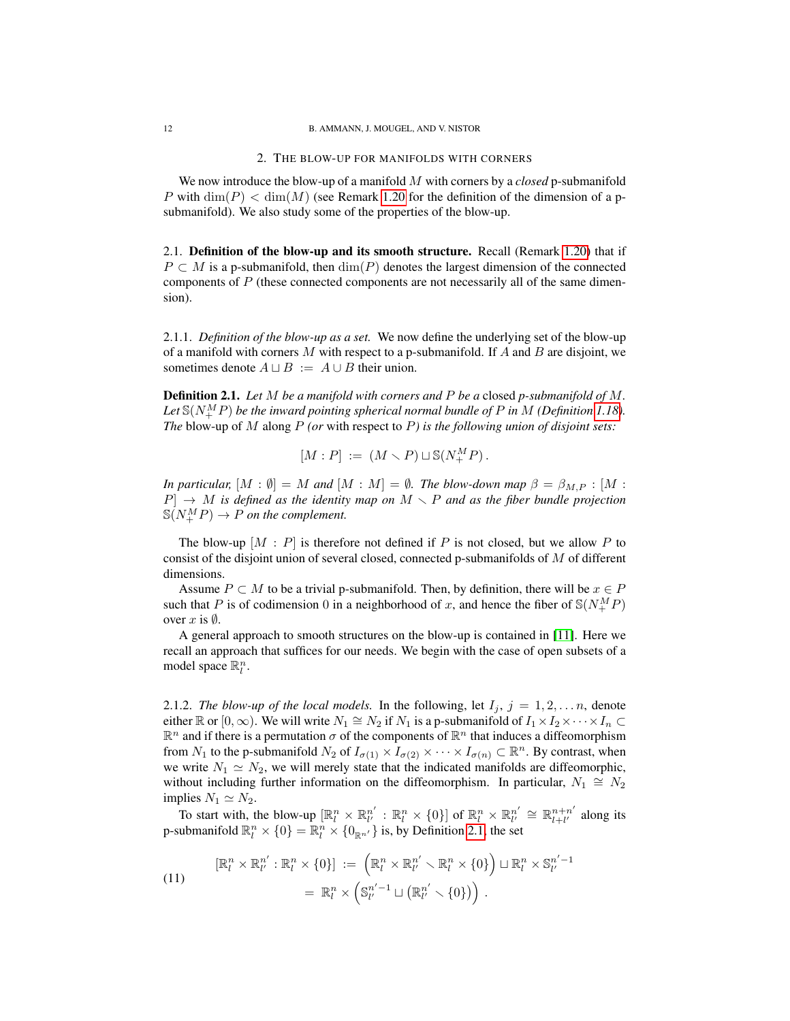## 2. THE BLOW-UP FOR MANIFOLDS WITH CORNERS

<span id="page-11-0"></span>We now introduce the blow-up of a manifold M with corners by a *closed* p-submanifold P with  $\dim(P) < \dim(M)$  (see Remark [1.20](#page-9-0) for the definition of the dimension of a psubmanifold). We also study some of the properties of the blow-up.

<span id="page-11-1"></span>2.1. Definition of the blow-up and its smooth structure. Recall (Remark [1.20\)](#page-9-0) that if  $P \subset M$  is a p-submanifold, then  $\dim(P)$  denotes the largest dimension of the connected components of  $P$  (these connected components are not necessarily all of the same dimension).

2.1.1. *Definition of the blow-up as a set.* We now define the underlying set of the blow-up of a manifold with corners M with respect to a p-submanifold. If A and B are disjoint, we sometimes denote  $A \sqcup B := A \cup B$  their union.

<span id="page-11-2"></span>Definition 2.1. *Let* M *be a manifold with corners and* P *be a* closed *p-submanifold of* M*.* Let  $\mathbb{S}(N_{+}^{M}P)$  be the inward pointing spherical normal bundle of P in M (Definition [1.18\)](#page-9-1). *The* blow-up of M along P *(or* with respect to P*) is the following union of disjoint sets:*

$$
[M:P] \;:=\; (M\smallsetminus P) \sqcup \mathbb{S}(N^M_+P)\,.
$$

*In particular,*  $[M : \emptyset] = M$  *and*  $[M : M] = \emptyset$ *. The blow-down map*  $\beta = \beta_{M,P} : [M : M]$  $P$   $\rightarrow$  *M* is defined as the identity map on  $M \setminus P$  and as the fiber bundle projection  $\mathbb{S}(N_{+}^{M}P) \rightarrow P$  *on the complement.* 

The blow-up  $[M : P]$  is therefore not defined if P is not closed, but we allow P to consist of the disjoint union of several closed, connected p-submanifolds of  $M$  of different dimensions.

Assume  $P \subset M$  to be a trivial p-submanifold. Then, by definition, there will be  $x \in P$ such that P is of codimension 0 in a neighborhood of x, and hence the fiber of  $\mathcal{S}(N_{+}^{M}P)$ over  $x$  is  $\emptyset$ .

A general approach to smooth structures on the blow-up is contained in [\[11\]](#page-34-4). Here we recall an approach that suffices for our needs. We begin with the case of open subsets of a model space  $\mathbb{R}^n_l$ .

2.1.2. *The blow-up of the local models*. In the following, let  $I_j$ ,  $j = 1, 2, \ldots n$ , denote either  $\mathbb R$  or  $[0,\infty)$ . We will write  $N_1 \cong N_2$  if  $N_1$  is a p-submanifold of  $I_1 \times I_2 \times \cdots \times I_n \subset$  $\mathbb{R}^n$  and if there is a permutation  $\sigma$  of the components of  $\mathbb{R}^n$  that induces a diffeomorphism from  $N_1$  to the p-submanifold  $N_2$  of  $I_{\sigma(1)} \times I_{\sigma(2)} \times \cdots \times I_{\sigma(n)} \subset \mathbb{R}^n$ . By contrast, when we write  $N_1 \simeq N_2$ , we will merely state that the indicated manifolds are diffeomorphic, without including further information on the diffeomorphism. In particular,  $N_1 \cong N_2$ implies  $N_1 \simeq N_2$ .

To start with, the blow-up  $[\mathbb{R}^n_l \times \mathbb{R}^{n'}_{l'} : \mathbb{R}^n_l \times \{0\}]$  of  $\mathbb{R}^n_l \times \mathbb{R}^{n'}_{l'} \cong \mathbb{R}^{n+n'}_{l+l'}$  $\prod_{l+l'}^{n+n}$  along its p-submanifold  $\mathbb{R}^n_l \times \{0\} = \mathbb{R}^n_l \times \{0_{\mathbb{R}^{n'}}\}$  is, by Definition [2.1,](#page-11-2) the set

(11)  
\n
$$
[\mathbb{R}^n_l \times \mathbb{R}^{n'}_{l'} : \mathbb{R}^n_l \times \{0\}] := \left( \mathbb{R}^n_l \times \mathbb{R}^{n'}_{l'} \setminus \mathbb{R}^n_l \times \{0\} \right) \sqcup \mathbb{R}^n_l \times \mathbb{S}^{n'-1}_{l'} \n= \mathbb{R}^n_l \times \left( \mathbb{S}^{n'-1}_{l'} \sqcup \left( \mathbb{R}^{n'}_{l'} \setminus \{0\} \right) \right).
$$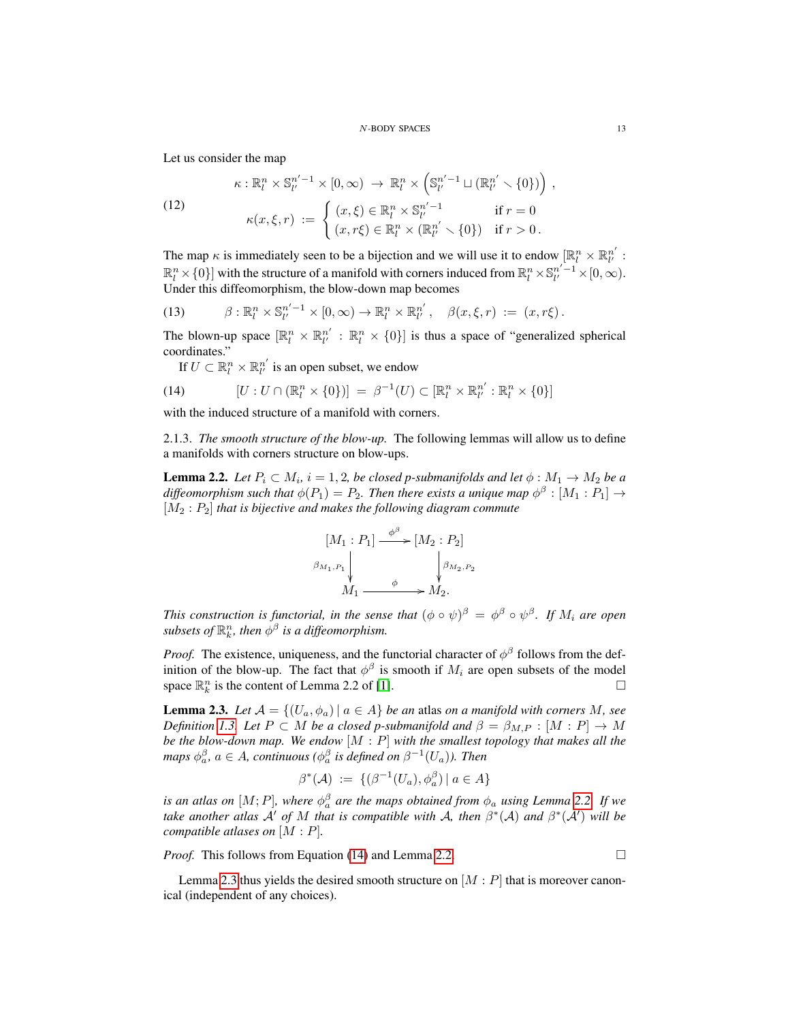Let us consider the map

<span id="page-12-4"></span>(12)  
\n
$$
\kappa: \mathbb{R}^n_l \times \mathbb{S}^{n'-1}_{l'} \times [0, \infty) \to \mathbb{R}^n_l \times \left(\mathbb{S}^{n'-1}_{l'} \sqcup (\mathbb{R}^{n'}_{l'} \smallsetminus \{0\})\right),
$$
\n
$$
\kappa(x, \xi, r) := \begin{cases}\n(x, \xi) \in \mathbb{R}^n_l \times \mathbb{S}^{n'-1}_{l'} & \text{if } r = 0 \\
(x, r\xi) \in \mathbb{R}^n_l \times (\mathbb{R}^{n'}_{l'} \smallsetminus \{0\}) & \text{if } r > 0.\n\end{cases}
$$

The map  $\kappa$  is immediately seen to be a bijection and we will use it to endow  $[\mathbb{R}^n_l \times \mathbb{R}^{n'}_{l'}]$ :  $\mathbb{R}^n_l \times \{0\}$  with the structure of a manifold with corners induced from  $\mathbb{R}^n_l \times \mathbb{S}^{n'-1}_{l'} \times [0,\infty)$ . Under this diffeomorphism, the blow-down map becomes

<span id="page-12-3"></span>(13) 
$$
\beta: \mathbb{R}^n_l \times \mathbb{S}^{n'-1}_{l'} \times [0,\infty) \to \mathbb{R}^n_l \times \mathbb{R}^{n'}_{l'}, \quad \beta(x,\xi,r) := (x,r\xi).
$$

The blown-up space  $[\mathbb{R}^n_l \times \mathbb{R}^{n'}_{l'} : \mathbb{R}^n_l \times \{0\}]$  is thus a space of "generalized spherical coordinates."

<span id="page-12-1"></span>If  $U \subset \mathbb{R}^n_l \times \mathbb{R}^{n'}_{l'}$  is an open subset, we endow

(14) 
$$
[U:U\cap(\mathbb{R}^n_l\times{0})]=\beta^{-1}(U)\subset[\mathbb{R}^n_l\times\mathbb{R}^{n'}_{l'}:\mathbb{R}^n_l\times{0}]
$$

with the induced structure of a manifold with corners.

2.1.3. *The smooth structure of the blow-up.* The following lemmas will allow us to define a manifolds with corners structure on blow-ups.

<span id="page-12-0"></span>**Lemma 2.2.** Let  $P_i \subset M_i$ ,  $i = 1, 2$ , be closed p-submanifolds and let  $\phi : M_1 \rightarrow M_2$  be a diffeomorphism such that  $\phi(P_1) = P_2$ . Then there exists a unique map  $\phi^{\beta} : [M_1 : P_1] \rightarrow$ [M<sup>2</sup> : P2] *that is bijective and makes the following diagram commute*

$$
[M_1 : P_1] \xrightarrow{\phi^{\beta}} [M_2 : P_2]
$$
  

$$
\beta_{M_1, P_1} \downarrow \qquad \qquad \downarrow \beta_{M_2, P_2}
$$
  

$$
M_1 \xrightarrow{\phi} M_2.
$$

*This construction is functorial, in the sense that*  $(\phi \circ \psi)^\beta = \phi^\beta \circ \psi^\beta$ . If  $M_i$  are open subsets of  $\mathbb{R}^n_k$ , then  $\phi^\beta$  is a diffeomorphism.

*Proof.* The existence, uniqueness, and the functorial character of  $\phi^{\beta}$  follows from the definition of the blow-up. The fact that  $\phi^{\beta}$  is smooth if  $M_i$  are open subsets of the model space  $\mathbb{R}_k^n$  is the content of Lemma 2.2 of [\[1\]](#page-33-6).

<span id="page-12-2"></span>**Lemma 2.3.** Let  $A = \{(U_a, \phi_a) | a \in A\}$  be an atlas on a manifold with corners M, see *Definition* [1.3.](#page-4-2) Let  $P \subset M$  *be a closed p-submanifold and*  $\beta = \beta_{M,P} : [M : P] \rightarrow M$ *be the blow-down map. We endow* [M : P] *with the smallest topology that makes all the maps*  $\phi_a^{\beta}$ ,  $a \in A$ , continuous ( $\phi_a^{\beta}$  is defined on  $\beta^{-1}(U_a)$ ). Then

$$
\beta^*(\mathcal{A}) \ := \ \{ (\beta^{-1}(U_a), \phi_a^{\beta}) \ | \ a \in A \}
$$

*is an atlas on*  $[M; P]$ *, where*  $\phi^{\beta}_{a}$  *are the maps obtained from*  $\phi_{a}$  *using Lemma [2.2.](#page-12-0) If we take another atlas*  $\mathcal{A}'$  *of* M *that is compatible with*  $\mathcal{A}$ *, then*  $\beta^*(\mathcal{A})$  *and*  $\beta^*(\mathcal{A}')$  *will be compatible atlases on* [M : P]*.*

*Proof.* This follows from Equation [\(14\)](#page-12-1) and Lemma [2.2.](#page-12-0) □

Lemma [2.3](#page-12-2) thus yields the desired smooth structure on  $[M : P]$  that is moreover canonical (independent of any choices).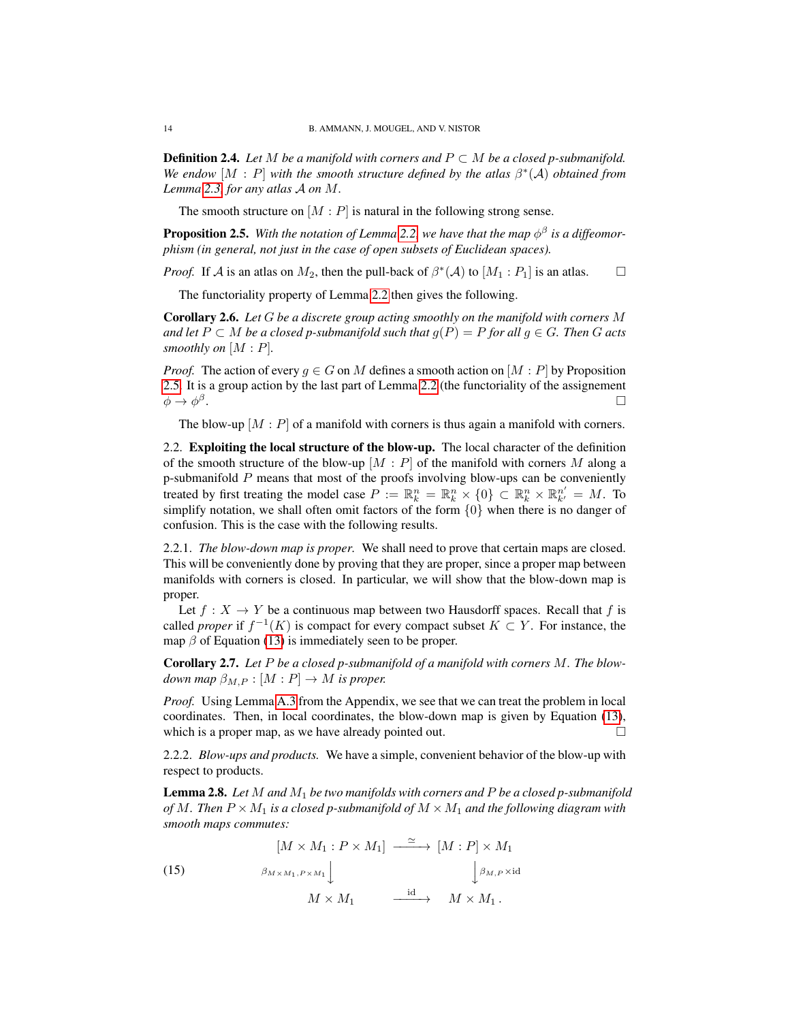**Definition 2.4.** *Let* M *be a manifold with corners and*  $P \subset M$  *be a closed p-submanifold.* We endow  $[M : P]$  with the smooth structure defined by the atlas  $\beta^*(A)$  *obtained from Lemma [2.3,](#page-12-2) for any atlas* A *on* M*.*

The smooth structure on  $[M : P]$  is natural in the following strong sense.

<span id="page-13-1"></span>**Proposition 2.5.** With the notation of Lemma [2.2,](#page-12-0) we have that the map  $\phi^{\beta}$  is a diffeomor*phism (in general, not just in the case of open subsets of Euclidean spaces).*

*Proof.* If A is an atlas on  $M_2$ , then the pull-back of  $\beta^*(A)$  to  $[M_1 : P_1]$  is an atlas.  $\square$ 

The functoriality property of Lemma [2.2](#page-12-0) then gives the following.

<span id="page-13-3"></span>Corollary 2.6. *Let* G *be a discrete group acting smoothly on the manifold with corners* M *and let*  $P ⊂ M$  *be a closed p-submanifold such that*  $g(P) = P$  *for all*  $g ∈ G$ *. Then*  $G$  *acts smoothly on* [M : P]*.*

*Proof.* The action of every  $q \in G$  on M defines a smooth action on  $[M : P]$  by Proposition [2.5.](#page-13-1) It is a group action by the last part of Lemma [2.2](#page-12-0) (the functoriality of the assignement  $\phi \rightarrow \phi^\beta$ . In the second contract of the second contract of the second contract of the second contract of the second co<br>In the second contract of the second contract of the second contract of the second contract of the second contr

The blow-up  $[M : P]$  of a manifold with corners is thus again a manifold with corners.

<span id="page-13-0"></span>2.2. Exploiting the local structure of the blow-up. The local character of the definition of the smooth structure of the blow-up  $[M : P]$  of the manifold with corners M along a p-submanifold P means that most of the proofs involving blow-ups can be conveniently treated by first treating the model case  $P := \mathbb{R}^n_k = \mathbb{R}^n_k \times \{0\} \subset \mathbb{R}^n_k \times \mathbb{R}^{n'}_{k'} = M$ . To simplify notation, we shall often omit factors of the form  $\{0\}$  when there is no danger of confusion. This is the case with the following results.

2.2.1. *The blow-down map is proper.* We shall need to prove that certain maps are closed. This will be conveniently done by proving that they are proper, since a proper map between manifolds with corners is closed. In particular, we will show that the blow-down map is proper.

Let  $f : X \to Y$  be a continuous map between two Hausdorff spaces. Recall that f is called *proper* if  $f^{-1}(K)$  is compact for every compact subset  $K \subset Y$ . For instance, the map  $\beta$  of Equation [\(13\)](#page-12-3) is immediately seen to be proper.

<span id="page-13-4"></span>Corollary 2.7. *Let* P *be a closed p-submanifold of a manifold with corners* M*. The blowdown map*  $\beta_{M,P} : [M : P] \to M$  *is proper.* 

*Proof.* Using Lemma [A.3](#page-32-1) from the Appendix, we see that we can treat the problem in local coordinates. Then, in local coordinates, the blow-down map is given by Equation [\(13\)](#page-12-3), which is a proper map, as we have already pointed out.  $\Box$ 

2.2.2. *Blow-ups and products.* We have a simple, convenient behavior of the blow-up with respect to products.

<span id="page-13-2"></span>Lemma 2.8. *Let* M *and* M<sup>1</sup> *be two manifolds with corners and* P *be a closed p-submanifold of* M. Then  $P \times M_1$  *is a closed p-submanifold of*  $M \times M_1$  *and the following diagram with smooth maps commutes:*

(15) 
$$
\begin{aligned}\n[M \times M_1 : P \times M_1] &\xrightarrow{\simeq} [M : P] \times M_1 \\
\beta_{M \times M_1, P \times M_1} \downarrow &\qquad \qquad \downarrow \beta_{M, P} \times \text{id} \\
M \times M_1 &\xrightarrow{\text{id}} M \times M_1.\n\end{aligned}
$$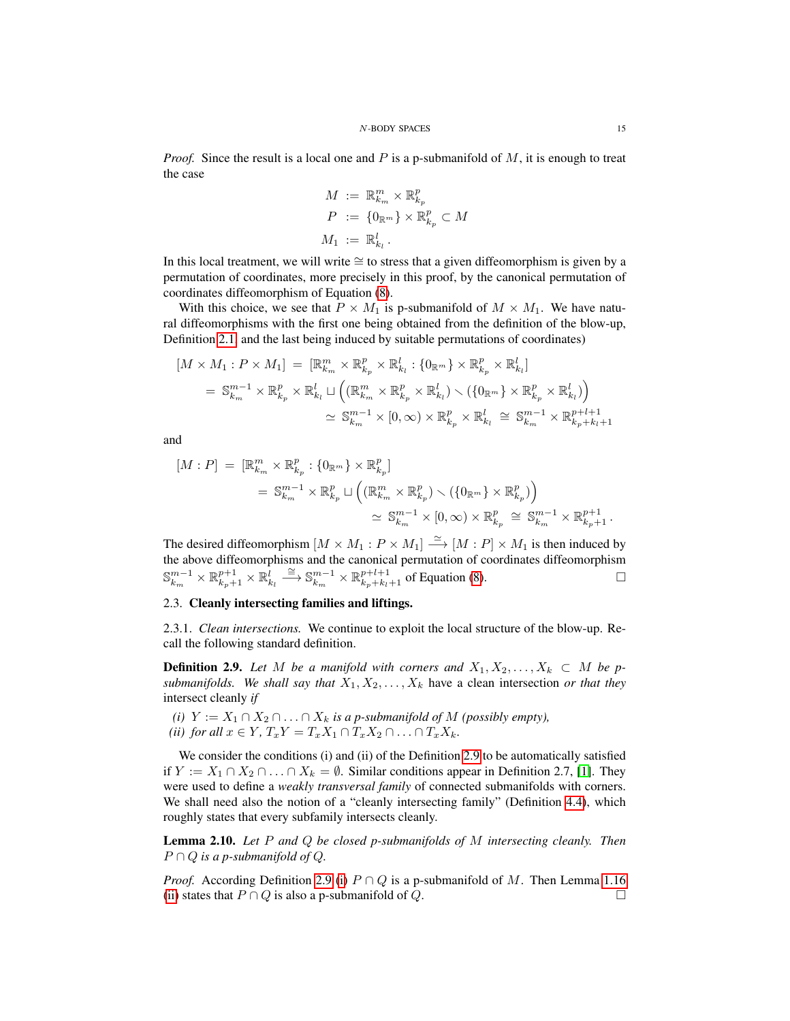*Proof.* Since the result is a local one and P is a p-submanifold of  $M$ , it is enough to treat the case

$$
M := \mathbb{R}_{k_m}^m \times \mathbb{R}_{k_p}^p
$$
  
\n
$$
P := \{0_{\mathbb{R}^m}\} \times \mathbb{R}_{k_p}^p \subset M
$$
  
\n
$$
M_1 := \mathbb{R}_{k_l}^l.
$$

In this local treatment, we will write ≅ to stress that a given diffeomorphism is given by a permutation of coordinates, more precisely in this proof, by the canonical permutation of coordinates diffeomorphism of Equation [\(8\)](#page-3-5).

With this choice, we see that  $P \times M_1$  is p-submanifold of  $M \times M_1$ . We have natural diffeomorphisms with the first one being obtained from the definition of the blow-up, Definition [2.1,](#page-11-2) and the last being induced by suitable permutations of coordinates)

$$
[M \times M_1 : P \times M_1] = [\mathbb{R}_{k_m}^m \times \mathbb{R}_{k_p}^p \times \mathbb{R}_{k_l}^l : \{0_{\mathbb{R}^m}\} \times \mathbb{R}_{k_p}^p \times \mathbb{R}_{k_l}^l]
$$
  
\n
$$
= \mathbb{S}_{k_m}^{m-1} \times \mathbb{R}_{k_p}^p \times \mathbb{R}_{k_l}^l \sqcup \left( (\mathbb{R}_{k_m}^m \times \mathbb{R}_{k_p}^p \times \mathbb{R}_{k_l}^l) \setminus (\{0_{\mathbb{R}^m}\} \times \mathbb{R}_{k_p}^p \times \mathbb{R}_{k_l}^l) \right)
$$
  
\n
$$
\simeq \mathbb{S}_{k_m}^{m-1} \times [0, \infty) \times \mathbb{R}_{k_p}^p \times \mathbb{R}_{k_l}^l \cong \mathbb{S}_{k_m}^{m-1} \times \mathbb{R}_{k_p+k_l+1}^{p+l+1}
$$

and

$$
[M:P] = [\mathbb{R}_{k_m}^m \times \mathbb{R}_{k_p}^p : \{0_{\mathbb{R}^m}\} \times \mathbb{R}_{k_p}^p]
$$
  

$$
= \mathbb{S}_{k_m}^{m-1} \times \mathbb{R}_{k_p}^p \sqcup \left( (\mathbb{R}_{k_m}^m \times \mathbb{R}_{k_p}^p) \smallsetminus (\{0_{\mathbb{R}^m}\} \times \mathbb{R}_{k_p}^p) \right)
$$
  

$$
\simeq \mathbb{S}_{k_m}^{m-1} \times [0, \infty) \times \mathbb{R}_{k_p}^p \cong \mathbb{S}_{k_m}^{m-1} \times \mathbb{R}_{k_p+1}^{p+1} .
$$

The desired diffeomorphism  $[M \times M_1 : P \times M_1] \stackrel{\simeq}{\longrightarrow} [M : P] \times M_1$  is then induced by the above diffeomorphisms and the canonical permutation of coordinates diffeomorphism  $\mathbb{S}_{k_m}^{m-1} \times \mathbb{R}_{k_p+1}^l \times \mathbb{R}_{k_l}^l \stackrel{\cong}{\longrightarrow} \mathbb{S}_{k_m}^{m-1} \times \mathbb{R}_{k_p+k_l+1}^{p+l+1}$  of Equation [\(8\)](#page-3-5).

# <span id="page-14-0"></span>2.3. Cleanly intersecting families and liftings.

2.3.1. *Clean intersections.* We continue to exploit the local structure of the blow-up. Recall the following standard definition.

<span id="page-14-1"></span>**Definition 2.9.** Let M be a manifold with corners and  $X_1, X_2, \ldots, X_k \subset M$  be p*submanifolds. We shall say that*  $X_1, X_2, \ldots, X_k$  have a clean intersection *or that they* intersect cleanly *if*

<span id="page-14-2"></span>*(i)*  $Y := X_1 ∩ X_2 ∩ ∴ ∩ X_k$  *is a p-submanifold of*  $M$  *(possibly empty), (ii) for all*  $x \in Y$ *,*  $T_xY = T_xX_1 \cap T_xX_2 \cap \ldots \cap T_xX_k$ *.* 

We consider the conditions (i) and (ii) of the Definition [2.9](#page-14-1) to be automatically satisfied if  $Y := X_1 \cap X_2 \cap \ldots \cap X_k = \emptyset$ . Similar conditions appear in Definition 2.7, [\[1\]](#page-33-6). They were used to define a *weakly transversal family* of connected submanifolds with corners. We shall need also the notion of a "cleanly intersecting family" (Definition [4.4\)](#page-20-0), which roughly states that every subfamily intersects cleanly.

Lemma 2.10. *Let* P *and* Q *be closed p-submanifolds of* M *intersecting cleanly. Then*  $P \cap Q$  *is a p-submanifold of Q.* 

*Proof.* According Definition [2.9](#page-14-1) [\(i\)](#page-14-2)  $P \cap Q$  is a p-submanifold of M. Then Lemma [1.16](#page-8-1) [\(ii\)](#page-8-2) states that  $P \cap Q$  is also a p-submanifold of  $Q$ .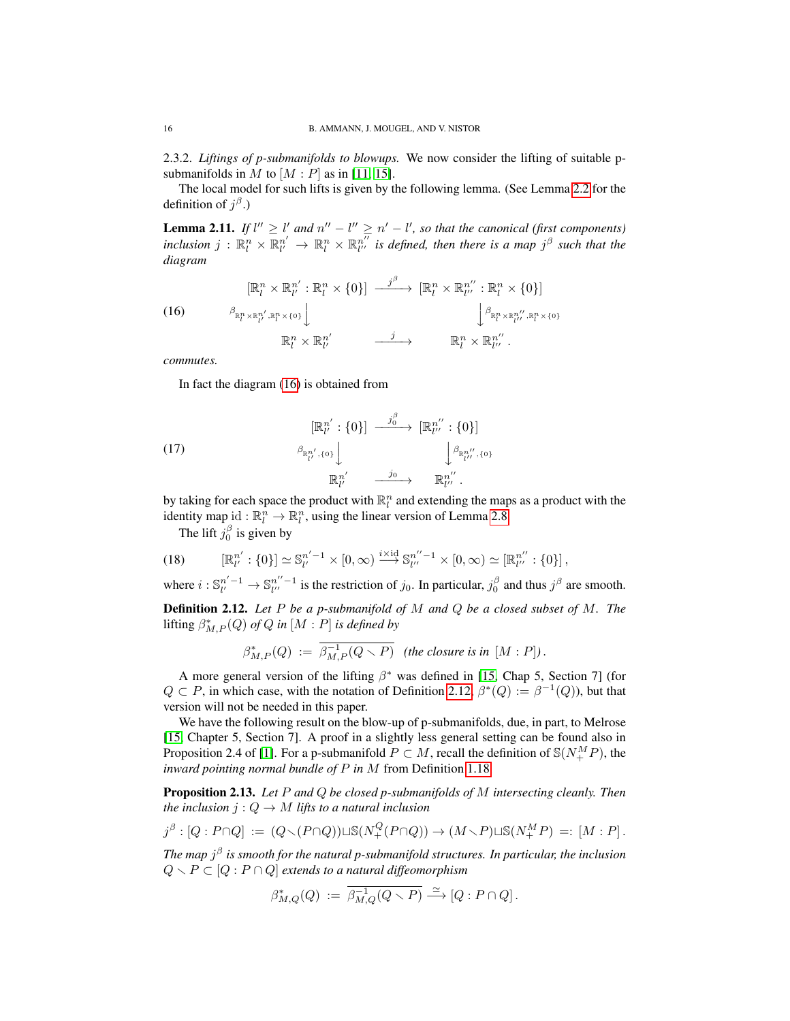2.3.2. *Liftings of p-submanifolds to blowups.* We now consider the lifting of suitable psubmanifolds in M to  $[M : P]$  as in [\[11,](#page-34-4) [15\]](#page-34-3).

The local model for such lifts is given by the following lemma. (See Lemma [2.2](#page-12-0) for the definition of  $j^{\beta}$ .)

**Lemma 2.11.** If  $l'' \ge l'$  and  $n'' - l'' \ge n' - l'$ , so that the canonical (first components)  $inclusion$   $j$  :  $\mathbb{R}^n_l \times \mathbb{R}^{n'}_{l'} \to \mathbb{R}^n_l \times \mathbb{R}^{n''}_{l''}$  is defined, then there is a map  $j^{\beta}$  such that the *diagram*

<span id="page-15-0"></span>(16) 
$$
\begin{aligned}\n[\mathbb{R}_l^n \times \mathbb{R}_{l'}^{n'} : \mathbb{R}_l^n \times \{0\}] &\xrightarrow{j^\beta} [\mathbb{R}_l^n \times \mathbb{R}_{l''}^{n'} : \mathbb{R}_l^n \times \{0\}] \\
&\xrightarrow{\beta_{\mathbb{R}_l^n \times \mathbb{R}_{l'}^n', \mathbb{R}_l^n \times \{0\}}} \downarrow{\beta_{\mathbb{R}_l^n \times \mathbb{R}_{l''}^n', \mathbb{R}_l^n \times \{0\}}} \\
\mathbb{R}_l^n \times \mathbb{R}_{l'}^{n'} &\xrightarrow{j} &\mathbb{R}_l^n \times \mathbb{R}_{l''}^{n'}.\n\end{aligned}
$$

*commutes.*

In fact the diagram [\(16\)](#page-15-0) is obtained from

(17) 
$$
\begin{array}{ccc}\n[\mathbb{R}^{n'}_l : \{0\}] & \xrightarrow{j_0^{\beta}} & [\mathbb{R}^{n''}_{l''} : \{0\}] \\
& \beta_{\mathbb{R}^{n'}_{l'}, \{0\}} \downarrow & & \beta_{\mathbb{R}^{n''}_{l''}, \{0\}} \\
& & \mathbb{R}^{n'}_{l'} & \xrightarrow{j_0} & \mathbb{R}^{n''}_{l''}.\n\end{array}
$$

by taking for each space the product with  $\mathbb{R}^n_l$  and extending the maps as a product with the identity map id :  $\mathbb{R}^n_l \to \mathbb{R}^n_l$ , using the linear version of Lemma [2.8.](#page-13-2)

The lift  $j_0^{\beta}$  is given by

(18) 
$$
[\mathbb{R}^{n'}_l : \{0\}] \simeq \mathbb{S}^{n'-1}_{l'} \times [0, \infty) \xrightarrow{i \times \mathrm{id}} \mathbb{S}^{n''-1}_{l''} \times [0, \infty) \simeq [\mathbb{R}^{n''}_{l''} : \{0\}],
$$

where  $i: \mathbb{S}_{l'}^{n'-1} \to \mathbb{S}_{l''}^{n''-1}$  is the restriction of  $j_0$ . In particular,  $j_0^{\beta}$  and thus  $j^{\beta}$  are smooth.

<span id="page-15-1"></span>Definition 2.12. *Let* P *be a p-submanifold of* M *and* Q *be a closed subset of* M*. The*  $\text{lifting } \beta^*_{M,P}(Q) \text{ of } Q \text{ in } [M:P] \text{ is defined by}$ 

$$
\beta^*_{M,P}(Q) := \overline{\beta^{-1}_{M,P}(Q \setminus P)} \quad \text{(the closure is in } [M:P]).
$$

A more general version of the lifting  $\beta^*$  was defined in [\[15,](#page-34-3) Chap 5, Section 7] (for  $Q \subset P$ , in which case, with the notation of Definition [2.12,](#page-15-1)  $\beta^*(Q) := \beta^{-1}(Q)$ , but that version will not be needed in this paper.

We have the following result on the blow-up of p-submanifolds, due, in part, to Melrose [\[15,](#page-34-3) Chapter 5, Section 7]. A proof in a slightly less general setting can be found also in Proposition 2.4 of [\[1\]](#page-33-6). For a p-submanifold  $P \subset M$ , recall the definition of  $\mathcal{S}(N_{+}^{M}P)$ , the *inward pointing normal bundle of* P *in* M from Definition [1.18.](#page-9-1)

<span id="page-15-2"></span>Proposition 2.13. *Let* P *and* Q *be closed p-submanifolds of* M *intersecting cleanly. Then the inclusion*  $j: Q \to M$  *lifts to a natural inclusion* 

$$
j^{\beta} : [Q : P \cap Q] := (Q \setminus (P \cap Q)) \sqcup \mathbb{S}(N^Q_+(P \cap Q)) \to (M \setminus P) \sqcup \mathbb{S}(N^M_+P) =: [M : P].
$$

*The map* j β *is smooth for the natural p-submanifold structures. In particular, the inclusion*  $Q \setminus P \subset [Q : P \cap Q]$  *extends to a natural diffeomorphism* 

$$
\beta^*_{M,Q}(Q) := \overline{\beta^{-1}_{M,Q}(Q \setminus P)} \xrightarrow{\simeq} [Q : P \cap Q].
$$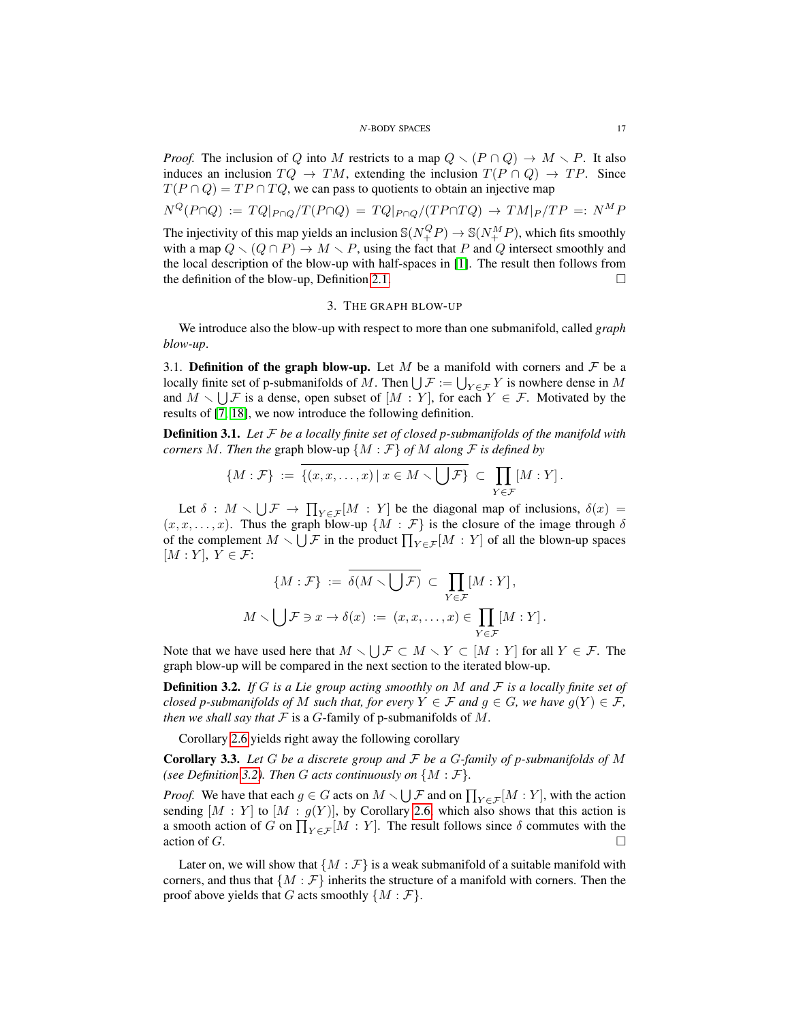*Proof.* The inclusion of Q into M restricts to a map  $Q \setminus (P \cap Q) \to M \setminus P$ . It also induces an inclusion  $TQ \rightarrow TM$ , extending the inclusion  $T(P \cap Q) \rightarrow TP$ . Since  $T(P \cap Q) = TP \cap TQ$ , we can pass to quotients to obtain an injective map

$$
N^{Q}(P \cap Q) := TQ|_{P \cap Q}/T(P \cap Q) = TQ|_{P \cap Q}/(TP \cap TQ) \rightarrow TM|_{P}/TP =: N^{M}P
$$
  
The injectivity of this map yields an inclusion  $\mathcal{S}(N^{Q}_{+}P) \rightarrow \mathcal{S}(N^{M}_{+}P)$ , which fits smoothly  
with a map  $Q \setminus (Q \cap P) \rightarrow M \setminus P$ , using the fact that P and Q intersect smoothly and  
the local description of the blow-up with half-spaces in [1]. The result then follows from  
the definition of the blow-up, Definition 2.1.

#### 3. THE GRAPH BLOW-UP

<span id="page-16-0"></span>We introduce also the blow-up with respect to more than one submanifold, called *graph blow-up*.

<span id="page-16-1"></span>3.1. Definition of the graph blow-up. Let M be a manifold with corners and  $\mathcal F$  be a locally finite set of p-submanifolds of M. Then  $\bigcup \mathcal{F} := \bigcup_{Y \in \mathcal{F}} Y$  is nowhere dense in M and  $M \setminus \bigcup \mathcal{F}$  is a dense, open subset of  $[M : Y]$ , for each  $Y \in \mathcal{F}$ . Motivated by the results of [\[7,](#page-33-4) [18\]](#page-34-2), we now introduce the following definition.

<span id="page-16-2"></span>Definition 3.1. *Let* F *be a locally finite set of closed p-submanifolds of the manifold with corners* M. Then the graph blow-up  $\{M : \mathcal{F}\}\$  of M along  $\mathcal{F}$  is defined by

$$
\{M:\mathcal{F}\} \ := \ \overline{\{(x,x,\ldots,x)\,|\,x\in M\smallsetminus\bigcup\mathcal{F}\}} \ \subset \ \prod_{Y\in\mathcal{F}}[M:Y]\,.
$$

Let  $\delta : M \setminus \bigcup \mathcal{F} \to \prod_{Y \in \mathcal{F}}[M : Y]$  be the diagonal map of inclusions,  $\delta(x) =$  $(x, x, \ldots, x)$ . Thus the graph blow-up  $\{M : \mathcal{F}\}\$ is the closure of the image through  $\delta$ of the complement  $M \setminus \bigcup \mathcal{F}$  in the product  $\prod_{Y \in \mathcal{F}} [M : Y]$  of all the blown-up spaces  $[M:Y], Y \in \mathcal{F}$ :

$$
\{M : \mathcal{F}\} := \overline{\delta(M \setminus \bigcup \mathcal{F})} \subset \prod_{Y \in \mathcal{F}} [M : Y],
$$
  

$$
M \setminus \bigcup \mathcal{F} \ni x \to \delta(x) := (x, x, \dots, x) \in \prod_{Y \in \mathcal{F}} [M : Y].
$$

Note that we have used here that  $M \setminus \bigcup \mathcal{F} \subset M \setminus Y \subset [M : Y]$  for all  $Y \in \mathcal{F}$ . The graph blow-up will be compared in the next section to the iterated blow-up.

<span id="page-16-3"></span>Definition 3.2. *If* G *is a Lie group acting smoothly on* M *and* F *is a locally finite set of closed p-submanifolds of* M *such that, for every*  $Y \in \mathcal{F}$  *and*  $g \in G$ *, we have*  $g(Y) \in \mathcal{F}$ *, then we shall say that*  $F$  is a  $G$ -family of p-submanifolds of  $M$ .

Corollary [2.6](#page-13-3) yields right away the following corollary

Corollary 3.3. *Let* G *be a discrete group and* F *be a* G*-family of p-submanifolds of* M *(see Definition [3.2\)](#page-16-3). Then G acts continuously on*  $\{M : \mathcal{F}\}.$ 

*Proof.* We have that each  $g \in G$  acts on  $M \setminus \bigcup \mathcal{F}$  and on  $\prod_{Y \in \mathcal{F}}[M : Y]$ , with the action sending  $[M : Y]$  to  $[M : g(Y)]$ , by Corollary [2.6,](#page-13-3) which also shows that this action is a smooth action of G on  $\prod_{Y \in \mathcal{F}} [M : Y]$ . The result follows since  $\delta$  commutes with the action of  $G$ .

Later on, we will show that  $\{M : \mathcal{F}\}\$ is a weak submanifold of a suitable manifold with corners, and thus that  $\{M : \mathcal{F}\}\$ inherits the structure of a manifold with corners. Then the proof above yields that G acts smoothly  $\{M : \mathcal{F}\}.$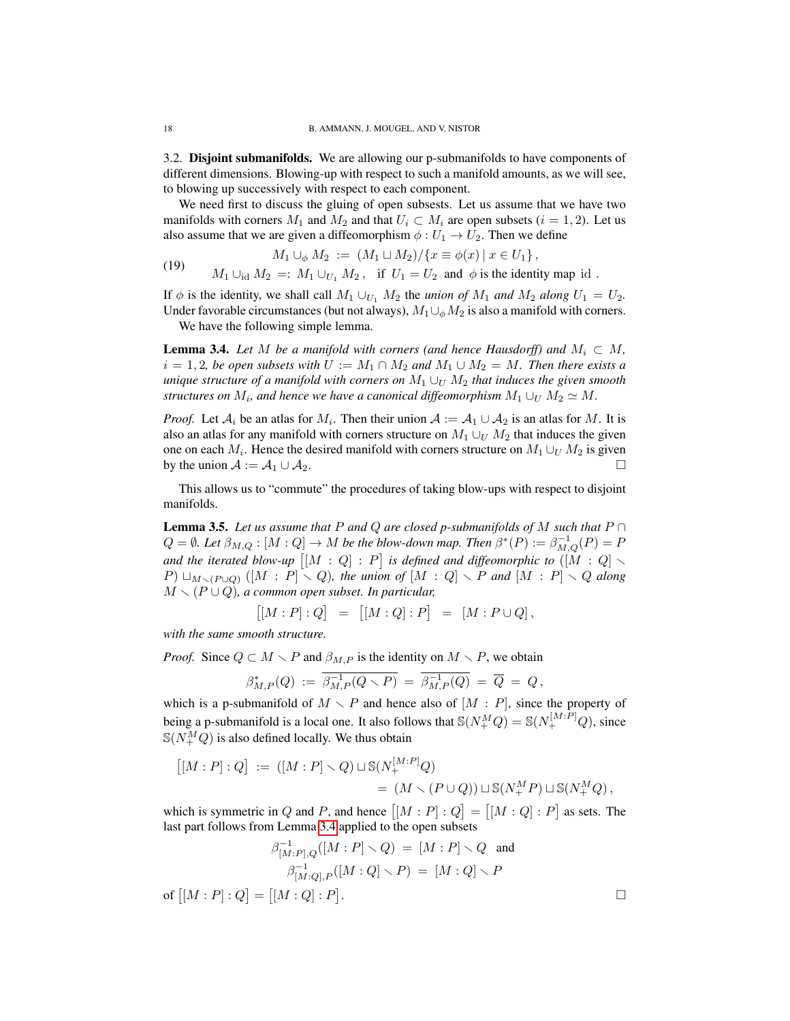<span id="page-17-0"></span>3.2. Disjoint submanifolds. We are allowing our p-submanifolds to have components of different dimensions. Blowing-up with respect to such a manifold amounts, as we will see, to blowing up successively with respect to each component.

We need first to discuss the gluing of open subsests. Let us assume that we have two manifolds with corners  $M_1$  and  $M_2$  and that  $U_i \subset M_i$  are open subsets  $(i = 1, 2)$ . Let us also assume that we are given a diffeomorphism  $\phi: U_1 \to U_2$ . Then we define

(19) 
$$
M_1 \cup_{\phi} M_2 := (M_1 \cup M_2) / \{x \equiv \phi(x) \mid x \in U_1\},
$$

$$
M_1 \cup_{\text{id}} M_2 =: M_1 \cup_{U_1} M_2, \text{ if } U_1 = U_2 \text{ and } \phi \text{ is the identity map id }.
$$

If  $\phi$  is the identity, we shall call  $M_1 \cup_{U_1} M_2$  the *union of*  $M_1$  *and*  $M_2$  *along*  $U_1 = U_2$ *.* Under favorable circumstances (but not always),  $M_1 \cup_{\phi} M_2$  is also a manifold with corners.

We have the following simple lemma.

<span id="page-17-1"></span>**Lemma 3.4.** Let M be a manifold with corners (and hence Hausdorff) and  $M_i \subset M$ ,  $i = 1, 2$ *, be open subsets with*  $U := M_1 \cap M_2$  *and*  $M_1 \cup M_2 = M$ *. Then there exists a unique structure of a manifold with corners on*  $M_1 \cup_U M_2$  *that induces the given smooth structures on*  $M_i$ *, and hence we have a canonical diffeomorphism*  $M_1 \cup_U M_2 \simeq M$ .

*Proof.* Let  $A_i$  be an atlas for  $M_i$ . Then their union  $A := A_1 \cup A_2$  is an atlas for M. It is also an atlas for any manifold with corners structure on  $M_1 \cup_{U} M_2$  that induces the given one on each  $M_i$ . Hence the desired manifold with corners structure on  $M_1 \cup_{U} M_2$  is given by the union  $A := A_1 \cup A_2$ .

This allows us to "commute" the procedures of taking blow-ups with respect to disjoint manifolds.

<span id="page-17-2"></span>**Lemma 3.5.** Let us assume that P and Q are closed p-submanifolds of M such that  $P \cap$  $Q = \emptyset$ . Let  $\beta_{M,Q} : [M:Q] \to M$  be the blow-down map. Then  $\beta^*(P) := \beta_{M,Q}^{-1}(P) = P$ and the iterated blow-up  $\big[ [M:Q] : P \big]$  is defined and diffeomorphic to  $([M:Q] \setminus P)$ P)  $\Box_{M \smallsetminus (P \cup Q)}$  ([M : P]  $\smallsetminus Q$ )*, the union of* [M : Q]  $\smallsetminus P$  *and* [M : P]  $\smallsetminus Q$  *along*  $M \setminus (P \cup Q)$ , a common open subset. In particular,

$$
[[M:P]:Q] = [[M:Q]:P] = [M:P\cup Q],
$$

*with the same smooth structure.*

*Proof.* Since  $Q \subset M \setminus P$  and  $\beta_{M,P}$  is the identity on  $M \setminus P$ , we obtain

$$
\beta^*_{M,P}(Q) \; := \; \overline{\beta^{-1}_{M,P}(Q \smallsetminus P)} \; = \; \overline{\beta^{-1}_{M,P}(Q)} \; = \; \overline{Q} \; = \; Q \, ,
$$

which is a p-submanifold of  $M \setminus P$  and hence also of  $[M : P]$ , since the property of being a p-submanifold is a local one. It also follows that  $\mathbb{S}(N_{+}^{M}Q) = \mathbb{S}(N_{+}^{[M:P]}Q)$ , since  $\mathbb{S}(N_{+}^{M}Q)$  is also defined locally. We thus obtain

$$
[[M:P]:Q] := ([M:P] \setminus Q) \sqcup \mathbb{S}(N_+^{[M:P]}Q) \\
= (M \setminus (P \cup Q)) \sqcup \mathbb{S}(N_+^M P) \sqcup \mathbb{S}(N_+^M Q),
$$

which is symmetric in Q and P, and hence  $[[M : P] : Q] = [[M : Q] : P]$  as sets. The last part follows from Lemma [3.4](#page-17-1) applied to the open subsets

$$
\beta_{[M:P],Q}^{-1}([M:P] \setminus Q) = [M:P] \setminus Q \text{ and}
$$

$$
\beta_{[M:Q],P}^{-1}([M:Q] \setminus P) = [M:Q] \setminus P
$$
of 
$$
[[M:P]:Q] = [[M:Q]:P].
$$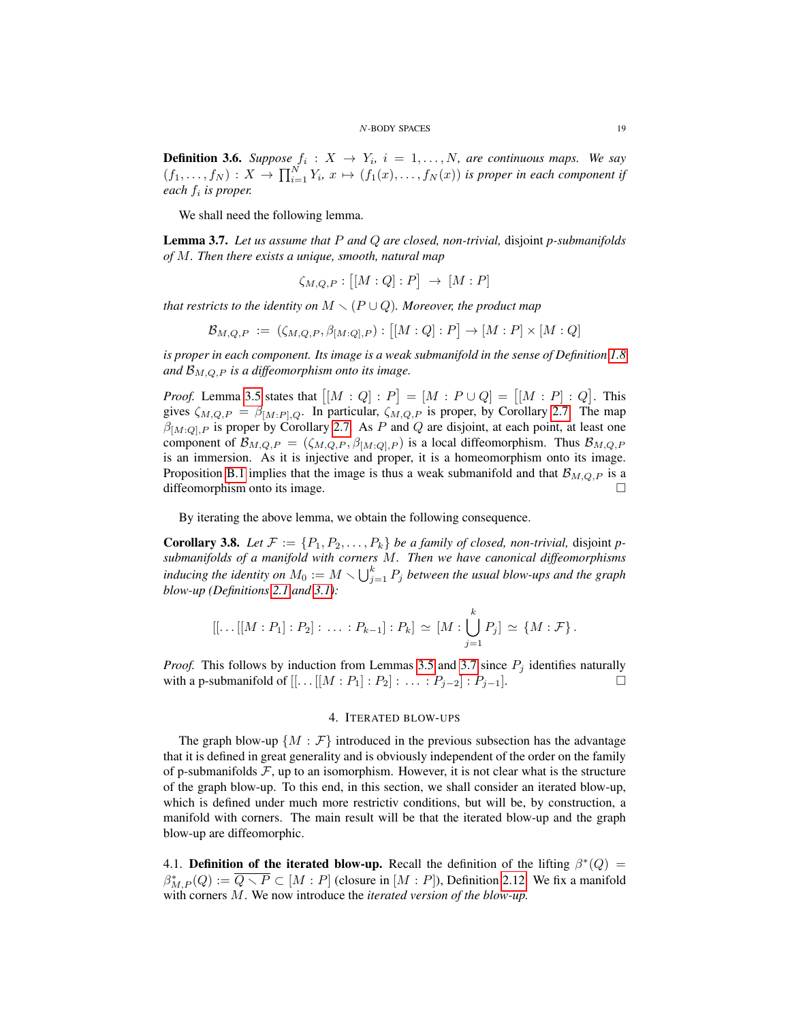**Definition 3.6.** Suppose  $f_i: X \to Y_i$ ,  $i = 1, ..., N$ , are continuous maps. We say  $(f_1,\ldots,f_N):X\to \prod_{i=1}^N Y_i, x\mapsto (f_1(x),\ldots,f_N(x))$  is proper in each component if *each* f<sup>i</sup> *is proper.*

We shall need the following lemma.

<span id="page-18-2"></span>Lemma 3.7. *Let us assume that* P *and* Q *are closed, non-trivial,* disjoint *p-submanifolds of* M*. Then there exists a unique, smooth, natural map*

$$
\zeta_{M,Q,P} : \big[ [M:Q] : P \big] \to [M:P]
$$

*that restricts to the identity on*  $M \setminus (P \cup Q)$ *. Moreover, the product map* 

$$
\mathcal{B}_{M,Q,P} := (\zeta_{M,Q,P}, \beta_{[M:Q],P}) : [[M:Q]:P] \to [M:P] \times [M:Q]
$$

*is proper in each component. Its image is a weak submanifold in the sense of Definition* [1.8](#page-5-1) and  $\mathcal{B}_{M,\Omega}$  *p* is a diffeomorphism onto its image.

*Proof.* Lemma [3.5](#page-17-2) states that  $[[M:Q]:P] = [M:P \cup Q] = [[M:P]:Q]$ . This gives  $\zeta_{M,Q,P} = \beta_{[M:P],Q}$ . In particular,  $\zeta_{M,Q,P}$  is proper, by Corollary [2.7.](#page-13-4) The map  $\beta_{[M:Q],P}$  is proper by Corollary [2.7.](#page-13-4) As P and Q are disjoint, at each point, at least one component of  $\mathcal{B}_{M,Q,P} = (\zeta_{M,Q,P}, \beta_{[M,Q],P})$  is a local diffeomorphism. Thus  $\mathcal{B}_{M,Q,P}$ is an immersion. As it is injective and proper, it is a homeomorphism onto its image. Proposition [B.1](#page-33-10) implies that the image is thus a weak submanifold and that  $\mathcal{B}_{M,Q,P}$  is a diffeomorphism onto its image.

By iterating the above lemma, we obtain the following consequence.

<span id="page-18-3"></span>**Corollary 3.8.** Let  $\mathcal{F} := \{P_1, P_2, \ldots, P_k\}$  be a family of closed, non-trivial, disjoint p*submanifolds of a manifold with corners* M*. Then we have canonical diffeomorphisms* inducing the identity on  $M_0 := M \setminus \bigcup_{j=1}^k P_j$  between the usual blow-ups and the graph *blow-up (Definitions [2.1](#page-11-2) and [3.1\)](#page-16-2):*

$$
[[...[[M:P_1]:P_2]:...:P_{k-1}]:P_k] \simeq [M:\bigcup_{j=1}^k P_j] \simeq \{M:\mathcal{F}\}.
$$

*Proof.* This follows by induction from Lemmas [3.5](#page-17-2) and [3.7](#page-18-2) since  $P_i$  identifies naturally with a p-submanifold of  $[[...[[M:P_1]:P_2]:...:P_{j-2}]:P_{j-1}].$ 

# 4. ITERATED BLOW-UPS

<span id="page-18-0"></span>The graph blow-up  $\{M : \mathcal{F}\}\$  introduced in the previous subsection has the advantage that it is defined in great generality and is obviously independent of the order on the family of p-submanifolds  $\mathcal{F}$ , up to an isomorphism. However, it is not clear what is the structure of the graph blow-up. To this end, in this section, we shall consider an iterated blow-up, which is defined under much more restrictiv conditions, but will be, by construction, a manifold with corners. The main result will be that the iterated blow-up and the graph blow-up are diffeomorphic.

<span id="page-18-1"></span>4.1. Definition of the iterated blow-up. Recall the definition of the lifting  $\beta^*(Q)$  =  $\beta_{M,P}^*(Q) := \overline{Q \setminus P} \subset [M : P]$  (closure in  $[M : P]$ ), Definition [2.12.](#page-15-1) We fix a manifold with corners M. We now introduce the *iterated version of the blow-up.*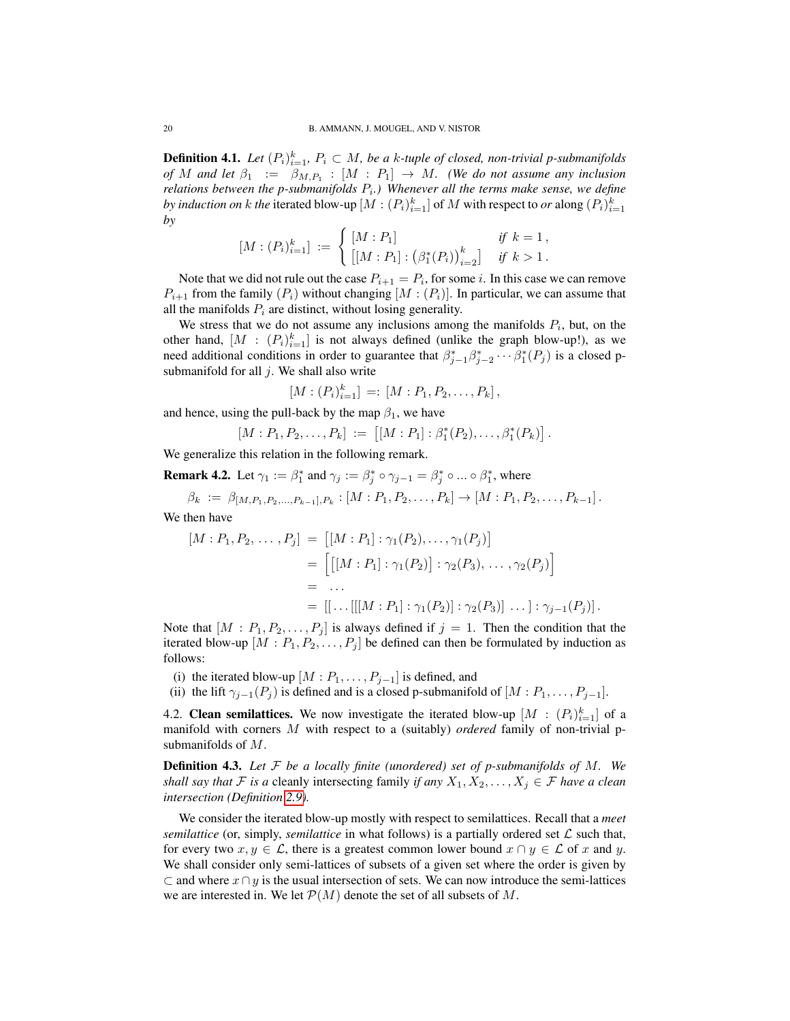**Definition 4.1.** Let  $(P_i)_{i=1}^k$ ,  $P_i \subset M$ , be a k-tuple of closed, non-trivial p-submanifolds *of* M and let  $\beta_1 := \beta_{M,P_1} : [M : P_1] \rightarrow M$ . (We do not assume any inclusion relations between the p-submanifolds  $P_i$ .) Whenever all the terms make sense, we define *by induction on*  $k$  *the iterated blow-up*  $[M:(P_i)_{i=1}^k]$  *of*  $M$  *with respect to*  $or$  *along*  $(P_i)_{i=1}^k$ *by*

$$
[M:(P_i)_{i=1}^k] := \begin{cases} [M:P_1] & \text{if } k=1, \\ \left[ [M:P_1] : (\beta_1^*(P_i))_{i=2}^k \right] & \text{if } k>1. \end{cases}
$$

Note that we did not rule out the case  $P_{i+1} = P_i$ , for some i. In this case we can remove  $P_{i+1}$  from the family  $(P_i)$  without changing  $[M:(P_i)]$ . In particular, we can assume that all the manifolds  $P_i$  are distinct, without losing generality.

We stress that we do not assume any inclusions among the manifolds  $P_i$ , but, on the other hand,  $[M : (P_i)_{i=1}^k]$  is not always defined (unlike the graph blow-up!), as we need additional conditions in order to guarantee that  $\beta_{j-1}^* \beta_{j-2}^* \cdots \beta_1^* (P_j)$  is a closed psubmanifold for all  $j$ . We shall also write

$$
[M:(P_i)_{i=1}^k] =: [M:P_1, P_2, \ldots, P_k],
$$

and hence, using the pull-back by the map  $\beta_1$ , we have

$$
[M:P_1,P_2,\ldots,P_k] := [[M:P_1] : \beta_1^*(P_2),\ldots,\beta_1^*(P_k)].
$$

We generalize this relation in the following remark.

<span id="page-19-2"></span>**Remark 4.2.** Let  $\gamma_1 := \beta_1^*$  and  $\gamma_j := \beta_j^* \circ \gamma_{j-1} = \beta_j^* \circ ... \circ \beta_1^*$ , where

$$
\beta_k := \beta_{[M,P_1,P_2,...,P_{k-1}],P_k}: [M:P_1,P_2,...,P_k] \to [M:P_1,P_2,...,P_{k-1}].
$$

We then have

$$
[M : P_1, P_2, \dots, P_j] = [[M : P_1] : \gamma_1(P_2), \dots, \gamma_1(P_j)]
$$
  
= 
$$
\left[ [[M : P_1] : \gamma_1(P_2)] : \gamma_2(P_3), \dots, \gamma_2(P_j) \right]
$$
  
= ...  
= 
$$
[[\dots[[M : P_1] : \gamma_1(P_2)] : \gamma_2(P_3)] \dots] : \gamma_{j-1}(P_j)].
$$

Note that  $[M : P_1, P_2, \ldots, P_j]$  is always defined if  $j = 1$ . Then the condition that the iterated blow-up  $[M : P_1, P_2, \ldots, P_j]$  be defined can then be formulated by induction as follows:

- (i) the iterated blow-up  $[M : P_1, \ldots, P_{j-1}]$  is defined, and
- (ii) the lift  $\gamma_{j-1}(P_j)$  is defined and is a closed p-submanifold of  $[M : P_1, \ldots, P_{j-1}].$

<span id="page-19-0"></span>4.2. Clean semilattices. We now investigate the iterated blow-up  $[M : (P_i)_{i=1}^k]$  of a manifold with corners M with respect to a (suitably) *ordered* family of non-trivial psubmanifolds of M.

<span id="page-19-1"></span>Definition 4.3. *Let* F *be a locally finite (unordered) set of p-submanifolds of* M*. We shall say that*  $\mathcal F$  *is a* cleanly intersecting family *if any*  $X_1, X_2, \ldots, X_j \in \mathcal F$  *have a clean intersection (Definition [2.9\)](#page-14-1).*

We consider the iterated blow-up mostly with respect to semilattices. Recall that a *meet semilattice* (or, simply, *semilattice* in what follows) is a partially ordered set  $\mathcal L$  such that, for every two  $x, y \in \mathcal{L}$ , there is a greatest common lower bound  $x \cap y \in \mathcal{L}$  of x and y. We shall consider only semi-lattices of subsets of a given set where the order is given by  $\subset$  and where  $x \cap y$  is the usual intersection of sets. We can now introduce the semi-lattices we are interested in. We let  $\mathcal{P}(M)$  denote the set of all subsets of M.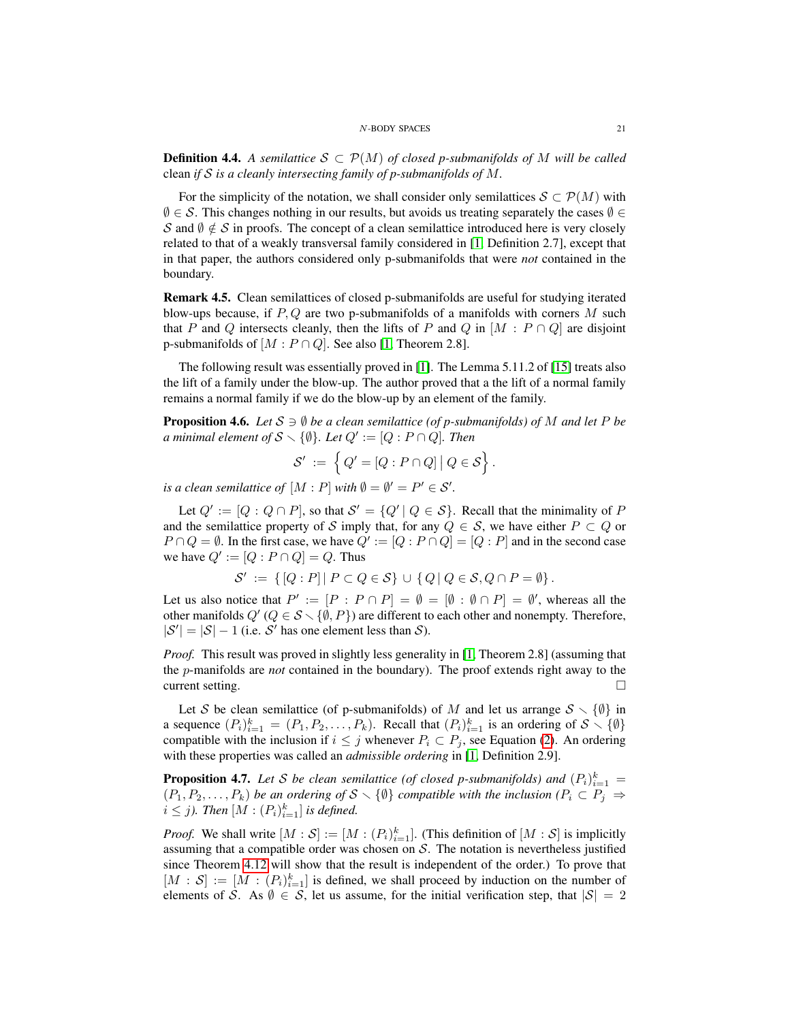<span id="page-20-0"></span>**Definition 4.4.** A semilattice  $S \subset \mathcal{P}(M)$  of closed p-submanifolds of M will be called clean *if* S *is a cleanly intersecting family of p-submanifolds of* M*.*

For the simplicity of the notation, we shall consider only semilattices  $S \subset \mathcal{P}(M)$  with  $\emptyset \in \mathcal{S}$ . This changes nothing in our results, but avoids us treating separately the cases  $\emptyset \in$ S and  $\emptyset \notin S$  in proofs. The concept of a clean semilattice introduced here is very closely related to that of a weakly transversal family considered in [\[1,](#page-33-6) Definition 2.7], except that in that paper, the authors considered only p-submanifolds that were *not* contained in the boundary.

Remark 4.5. Clean semilattices of closed p-submanifolds are useful for studying iterated blow-ups because, if  $P, Q$  are two p-submanifolds of a manifolds with corners M such that P and Q intersects cleanly, then the lifts of P and Q in  $[M : P \cap Q]$  are disjoint p-submanifolds of  $[M : P \cap Q]$ . See also [\[1,](#page-33-6) Theorem 2.8].

The following result was essentially proved in [\[1\]](#page-33-6). The Lemma 5.11.2 of [\[15\]](#page-34-3) treats also the lift of a family under the blow-up. The author proved that a the lift of a normal family remains a normal family if we do the blow-up by an element of the family.

<span id="page-20-1"></span>**Proposition 4.6.** *Let*  $S \ni \emptyset$  *be a clean semilattice (of p-submanifolds) of* M *and let* P *be a* minimal element of  $S \setminus \{\emptyset\}$ . Let  $Q' := [Q : P \cap Q]$ . Then

$$
\mathcal{S}' \ := \ \left\{ Q' = [Q : P \cap Q] \, \big| \, Q \in \mathcal{S} \right\}.
$$

*is a clean semilattice of*  $[M : P]$  *with*  $\emptyset = \emptyset' = P' \in \mathcal{S}'$ .

Let  $Q' := [Q : Q \cap P]$ , so that  $S' = \{Q' | Q \in S\}$ . Recall that the minimality of P and the semilattice property of S imply that, for any  $Q \in S$ , we have either  $P \subset Q$  or  $P \cap Q = \emptyset$ . In the first case, we have  $Q' := [Q : P \cap Q] = [Q : P]$  and in the second case we have  $Q' := [Q : P \cap Q] = Q$ . Thus

 $\mathcal{S}' \coloneqq \{[Q:P] | P \subset Q \in \mathcal{S}\} \cup \{Q | Q \in \mathcal{S}, Q \cap P = \emptyset\}.$ 

Let us also notice that  $P' := [P : P \cap P] = \emptyset = [\emptyset : \emptyset \cap P] = \emptyset'$ , whereas all the other manifolds  $Q'$  ( $Q \in S \setminus \{\emptyset, P\}$ ) are different to each other and nonempty. Therefore,  $|\mathcal{S}'| = |\mathcal{S}| - 1$  (i.e. S' has one element less than S).

*Proof.* This result was proved in slightly less generality in [\[1,](#page-33-6) Theorem 2.8] (assuming that the p-manifolds are *not* contained in the boundary). The proof extends right away to the  $\Box$  current setting.  $\Box$ 

Let S be clean semilattice (of p-submanifolds) of M and let us arrange  $S \setminus \{\emptyset\}$  in a sequence  $(P_i)_{i=1}^k = (P_1, P_2, \ldots, P_k)$ . Recall that  $(P_i)_{i=1}^k$  is an ordering of  $S \setminus \{\emptyset\}$ compatible with the inclusion if  $i \leq j$  whenever  $P_i \subset P_j$ , see Equation [\(2\)](#page-1-1). An ordering with these properties was called an *admissible ordering* in [\[1,](#page-33-6) Definition 2.9].

**Proposition 4.7.** Let S be clean semilattice (of closed p-submanifolds) and  $(P_i)_{i=1}^k =$  $(P_1, P_2, \ldots, P_k)$  *be an ordering of*  $S \setminus \{\emptyset\}$  *compatible with the inclusion*  $(P_i \subset P_j \Rightarrow$  $i \leq j$ ). Then  $[M : (P_i)_{i=1}^k]$  is defined.

*Proof.* We shall write  $[M : \mathcal{S}] := [M : (P_i)_{i=1}^k]$ . (This definition of  $[M : \mathcal{S}]$  is implicitly assuming that a compatible order was chosen on  $S$ . The notation is nevertheless justified since Theorem [4.12](#page-25-0) will show that the result is independent of the order.) To prove that  $[M : S] := [M : (P_i)_{i=1}^k]$  is defined, we shall proceed by induction on the number of elements of S. As  $\emptyset \in S$ , let us assume, for the initial verification step, that  $|S| = 2$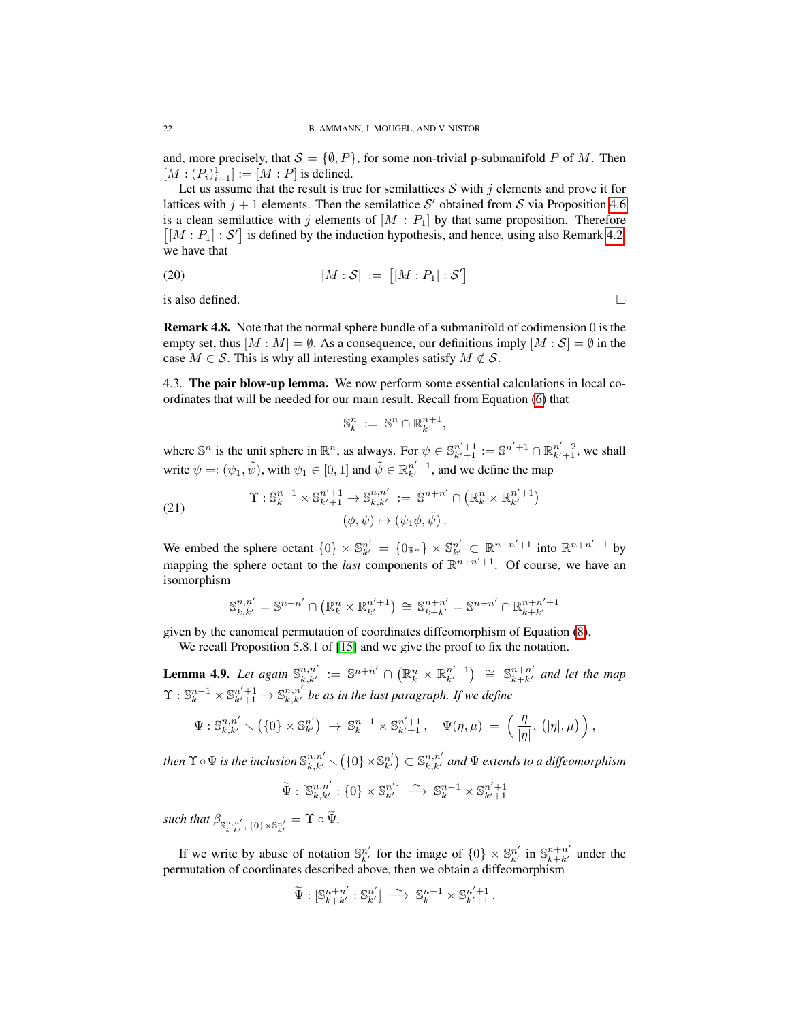and, more precisely, that  $S = \{\emptyset, P\}$ , for some non-trivial p-submanifold P of M. Then  $[M:(P_i)_{i=1}^1] := [M:P]$  is defined.

Let us assume that the result is true for semilattices  $S$  with j elements and prove it for lattices with  $j + 1$  elements. Then the semilattice S' obtained from S via Proposition [4.6](#page-20-1) is a clean semilattice with j elements of  $[M : P_1]$  by that same proposition. Therefore  $[[M : P_1] : S']$  is defined by the induction hypothesis, and hence, using also Remark [4.2,](#page-19-2) we have that

 $\mathcal{C}$ 

$$
[M:S] := [[M:P_1]:\mathcal{S}]
$$

is also defined.  $\Box$ 

Remark 4.8. Note that the normal sphere bundle of a submanifold of codimension 0 is the empty set, thus  $[M : M] = \emptyset$ . As a consequence, our definitions imply  $[M : S] = \emptyset$  in the case  $M \in \mathcal{S}$ . This is why all interesting examples satisfy  $M \notin \mathcal{S}$ .

<span id="page-21-0"></span>4.3. The pair blow-up lemma. We now perform some essential calculations in local coordinates that will be needed for our main result. Recall from Equation [\(6\)](#page-3-4) that

$$
\mathbb{S}_k^n := \mathbb{S}^n \cap \mathbb{R}_k^{n+1},
$$

where  $\mathbb{S}^n$  is the unit sphere in  $\mathbb{R}^n$ , as always. For  $\psi \in \mathbb{S}_{k'+1}^{n'+1} := \mathbb{S}^{n'+1} \cap \mathbb{R}_{k'+1}^{n'+2}$ , we shall write  $\psi =: (\psi_1, \tilde{\psi})$ , with  $\psi_1 \in [0, 1]$  and  $\tilde{\psi} \in \mathbb{R}^{n'+1}_{k'}$ , and we define the map

<span id="page-21-2"></span>(21) 
$$
\Upsilon : \mathbb{S}_k^{n-1} \times \mathbb{S}_{k'+1}^{n'+1} \to \mathbb{S}_{k,k'}^{n,n'} := \mathbb{S}^{n+n'} \cap \left( \mathbb{R}_k^n \times \mathbb{R}_{k'}^{n'+1} \right) (\phi, \psi) \mapsto (\psi_1 \phi, \tilde{\psi}).
$$

We embed the sphere octant  $\{0\} \times \mathbb{S}_{k'}^{n'} = \{0_{\mathbb{R}^n}\} \times \mathbb{S}_{k'}^{n'} \subset \mathbb{R}^{n+n'+1}$  into  $\mathbb{R}^{n+n'+1}$  by mapping the sphere octant to the *last* components of  $\mathbb{R}^{n+n'+1}$ . Of course, we have an isomorphism

$$
\mathbb{S}_{k,k'}^{n,n'} = \mathbb{S}^{n+n'} \cap \left( \mathbb{R}_k^n \times \mathbb{R}_{k'}^{n'+1} \right) \cong \mathbb{S}_{k+k'}^{n+n'} = \mathbb{S}^{n+n'} \cap \mathbb{R}_{k+k'}^{n+n'+1}
$$

given by the canonical permutation of coordinates diffeomorphism of Equation [\(8\)](#page-3-5).

We recall Proposition 5.8.1 of [\[15\]](#page-34-3) and we give the proof to fix the notation.

<span id="page-21-1"></span>**Lemma 4.9.** Let again  $\mathbb{S}_{k,k'}^{n,n'} := \mathbb{S}^{n+n'} \cap \left( \mathbb{R}_k^n \times \mathbb{R}_{k'}^{n'+1} \right) \cong \mathbb{S}_{k+k'}^{n+n'}$  and let the map  $\Upsilon$  :  $\mathbb{S}^{n-1}_k \times \mathbb{S}^{n'+1}_{k'+1} \to \mathbb{S}^{n,n'}_{k,k'}$  be as in the last paragraph. If we define

$$
\Psi: \mathbb{S}^{n,n'}_{k,k'} \setminus \left(\{0\} \times \mathbb{S}^{n'}_{k'}\right) \ \to \ \mathbb{S}^{n-1}_k \times \mathbb{S}^{n'+1}_{k'+1}, \quad \Psi(\eta,\mu) \ = \ \left(\frac{\eta}{|\eta|},\, \left(|\eta|,\mu\right)\right),
$$

then  $\Upsilon \circ \Psi$  is the inclusion  $\mathbb{S}^{n,n'}_{k,k'} \smallsetminus (\{0\}\times\mathbb{S}^{n'}_{k'})\subset \mathbb{S}^{n,n'}_{k,k'}$  and  $\Psi$  extends to a diffeomorphism

$$
\widetilde{\Psi}:[\mathbb{S}_{k,k'}^{n,n'}:\{0\}\times\mathbb{S}_{k'}^{n'}]\ \stackrel{\sim}{\longrightarrow}\ \mathbb{S}_k^{n-1}\times\mathbb{S}_{k'+1}^{n'+1}
$$

such that  $\beta_{\mathbb{S}^{n,n'}_{k,k'},\{0\}\times\mathbb{S}^{n'}_{k'}} = \Upsilon \circ \Psi$ .

If we write by abuse of notation  $\mathbb{S}_{k'}^{n'}$  for the image of  $\{0\} \times \mathbb{S}_{k'}^{n'}$  in  $\mathbb{S}_{k+k'}^{n+n'}$  under the permutation of coordinates described above, then we obtain a diffeomorphism

$$
\widetilde{\Psi}: [\mathbb{S}_{k+k'}^{n+n'} : \mathbb{S}_{k'}^{n'}] \longrightarrow \mathbb{S}_{k}^{n-1} \times \mathbb{S}_{k'+1}^{n'+1}.
$$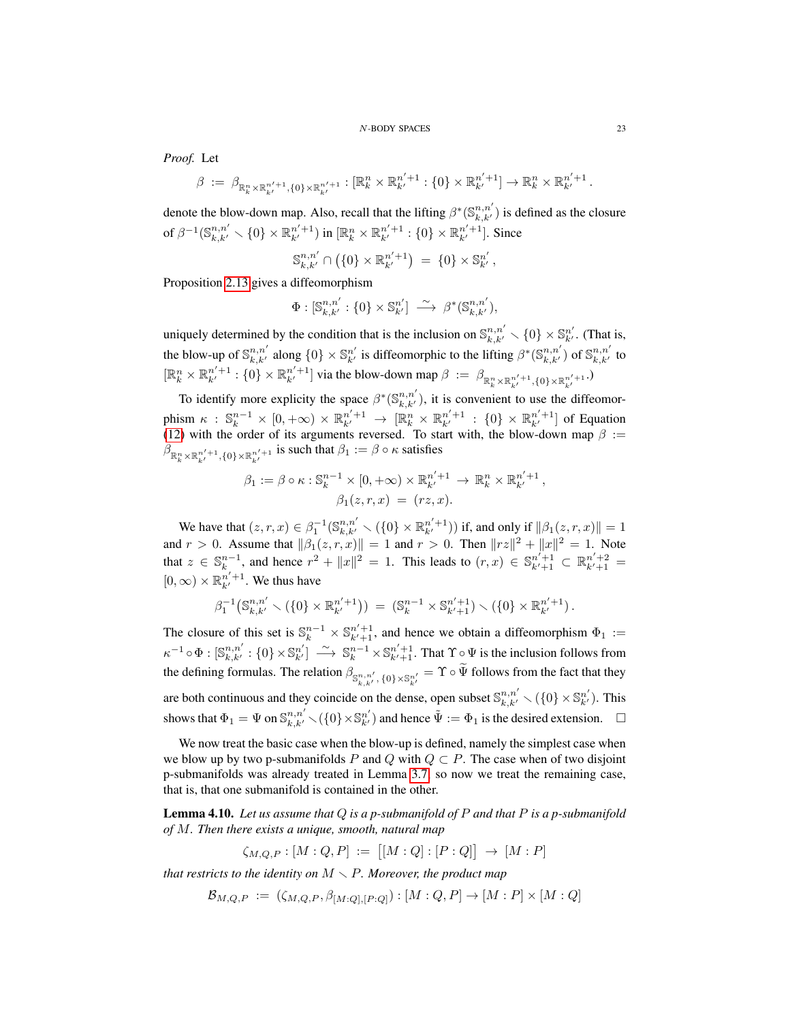*Proof.* Let

$$
\beta := \beta_{\mathbb{R}_k^n \times \mathbb{R}_{k'}^{n'+1}, \{0\} \times \mathbb{R}_{k'}^{n'+1}} : [\mathbb{R}_k^n \times \mathbb{R}_{k'}^{n'+1} : \{0\} \times \mathbb{R}_{k'}^{n'+1}] \to \mathbb{R}_k^n \times \mathbb{R}_{k'}^{n'+1}.
$$

denote the blow-down map. Also, recall that the lifting  $\beta^*(\mathbb{S}^{n,n'}_{k,k'})$  is defined as the closure of  $\beta^{-1}(\mathbb{S}^{n,n'}_{k,k'}\smallsetminus\{0\}\times\mathbb{R}^{n'+1}_{k'})$  in  $[\mathbb{R}^n_k\times\mathbb{R}^{n'+1}_{k'}:\{0\}\times\mathbb{R}^{n'+1}_{k'}].$  Since

$$
\mathbb{S}_{k,k'}^{n,n'} \cap (\{0\} \times \mathbb{R}_{k'}^{n'+1}) = \{0\} \times \mathbb{S}_{k'}^{n'},
$$

Proposition [2.13](#page-15-2) gives a diffeomorphism

$$
\Phi: [\mathbb{S}^{n,n'}_{k,k'}:\{0\}\times\mathbb{S}^{n'}_{k'}] \stackrel{\sim}{\longrightarrow} \beta^*(\mathbb{S}^{n,n'}_{k,k'}),
$$

uniquely determined by the condition that is the inclusion on  $\mathbb{S}_{k,k'}^{n,n'} \setminus \{0\} \times \mathbb{S}_{k'}^{n'}$ . (That is, the blow-up of  $\mathbb{S}_{k,k'}^{n,n'}$  along  $\{0\} \times \mathbb{S}_{k'}^{n'}$  is diffeomorphic to the lifting  $\beta^*(\mathbb{S}_{k,k'}^{n,n'})$  of  $\mathbb{S}_{k,k'}^{n,n'}$  to  $[\mathbb{R}_k^n \times \mathbb{R}_{k'}^{n'+1} : \{0\} \times \mathbb{R}_{k'}^{n'+1}]$  via the blow-down map  $\beta := \beta_{\mathbb{R}_k^n \times \mathbb{R}_{k'}^{n'+1}, \{0\} \times \mathbb{R}_{k'}^{n'+1}}$ .

To identify more explicity the space  $\beta^*(\mathbb{S}_{k,k'}^{n,n'})$ , it is convenient to use the diffeomorphism  $\kappa$ :  $\mathbb{S}_k^{n-1} \times [0, +\infty) \times \mathbb{R}_{k'}^{n'+1} \to [\mathbb{R}_k^n \times \mathbb{R}_{k'}^{n'+1} : \{0\} \times \mathbb{R}_{k'}^{n'+1}]$  of Equation [\(12\)](#page-12-4) with the order of its arguments reversed. To start with, the blow-down map  $\beta :=$  $\beta_{\mathbb{R}_k^n \times \mathbb{R}_{k'}^{n'+1}, \{0\} \times \mathbb{R}_{k'}^{n'+1}}$  is such that  $\beta_1 := \beta \circ \kappa$  satisfies

$$
\beta_1 := \beta \circ \kappa : \mathbb{S}_k^{n-1} \times [0, +\infty) \times \mathbb{R}_{k'}^{n'+1} \to \mathbb{R}_k^n \times \mathbb{R}_{k'}^{n'+1},
$$
  

$$
\beta_1(z, r, x) = (rz, x).
$$

We have that  $(z, r, x) \in \beta_1^{-1}(\mathbb{S}_{k,k'}^{n,n'} \setminus (\{0\} \times \mathbb{R}_{k'}^{n'+1}))$  if, and only if  $\|\beta_1(z, r, x)\| = 1$ and  $r > 0$ . Assume that  $\|\beta_1(z, r, x)\| = 1$  and  $r > 0$ . Then  $\|rz\|^2 + \|x\|^2 = 1$ . Note that  $z \in \mathbb{S}_k^{n-1}$ , and hence  $r^2 + ||x||^2 = 1$ . This leads to  $(r, x) \in \mathbb{S}_{k'+1}^{n'+1} \subset \mathbb{R}_{k'+1}^{n'+2} =$  $[0, \infty) \times \mathbb{R}_{k'}^{n'+1}$ . We thus have

$$
\beta_1^{-1}(\mathbb{S}_{k,k'}^{n,n'}\setminus(\{0\}\times\mathbb{R}_{k'}^{n'+1})) = (\mathbb{S}_k^{n-1}\times\mathbb{S}_{k'+1}^{n'+1})\setminus(\{0\}\times\mathbb{R}_{k'}^{n'+1}).
$$

The closure of this set is  $\mathbb{S}_k^{n-1} \times \mathbb{S}_{k'+1}^{n'+1}$ , and hence we obtain a diffeomorphism  $\Phi_1 :=$  $\kappa^{-1} \circ \Phi : [\mathbb{S}^{n,n'}_{k,k'} : \{0\} \times \mathbb{S}^{n'}_{k'}] \longrightarrow \mathbb{S}^{n-1}_{k} \times \mathbb{S}^{n'+1}_{k'+1}$ . That  $\Upsilon \circ \Psi$  is the inclusion follows from the defining formulas. The relation  $\beta_{\mathbb{S}^{n,n'}_{k,k'},\{0\}\times\mathbb{S}^{n'}_{k'}} = \Upsilon \circ \Psi$  follows from the fact that they are both continuous and they coincide on the dense, open subset  $\mathbb{S}_{k,k'}^{n,n'} \setminus (\{0\} \times \mathbb{S}_{k'}^{n'})$ . This shows that  $\Phi_1 = \Psi$  on  $\mathbb{S}_{k,k'}^{n,n'} \setminus (\{0\} \times \mathbb{S}_{k'}^{n'})$  and hence  $\tilde{\Psi} := \Phi_1$  is the desired extension.  $\Box$ 

We now treat the basic case when the blow-up is defined, namely the simplest case when we blow up by two p-submanifolds P and Q with  $Q \subset P$ . The case when of two disjoint p-submanifolds was already treated in Lemma [3.7,](#page-18-2) so now we treat the remaining case, that is, that one submanifold is contained in the other.

<span id="page-22-0"></span>Lemma 4.10. *Let us assume that* Q *is a p-submanifold of* P *and that* P *is a p-submanifold of* M*. Then there exists a unique, smooth, natural map*

$$
\zeta_{M,Q,P} : [M:Q,P] := [[M:Q] : [P:Q]] \to [M:P]
$$

*that restricts to the identity on*  $M \setminus P$ *. Moreover, the product map* 

$$
\mathcal{B}_{M,Q,P} := (\zeta_{M,Q,P}, \beta_{[M:Q],[P:Q]}) : [M:Q,P] \to [M:P] \times [M:Q]
$$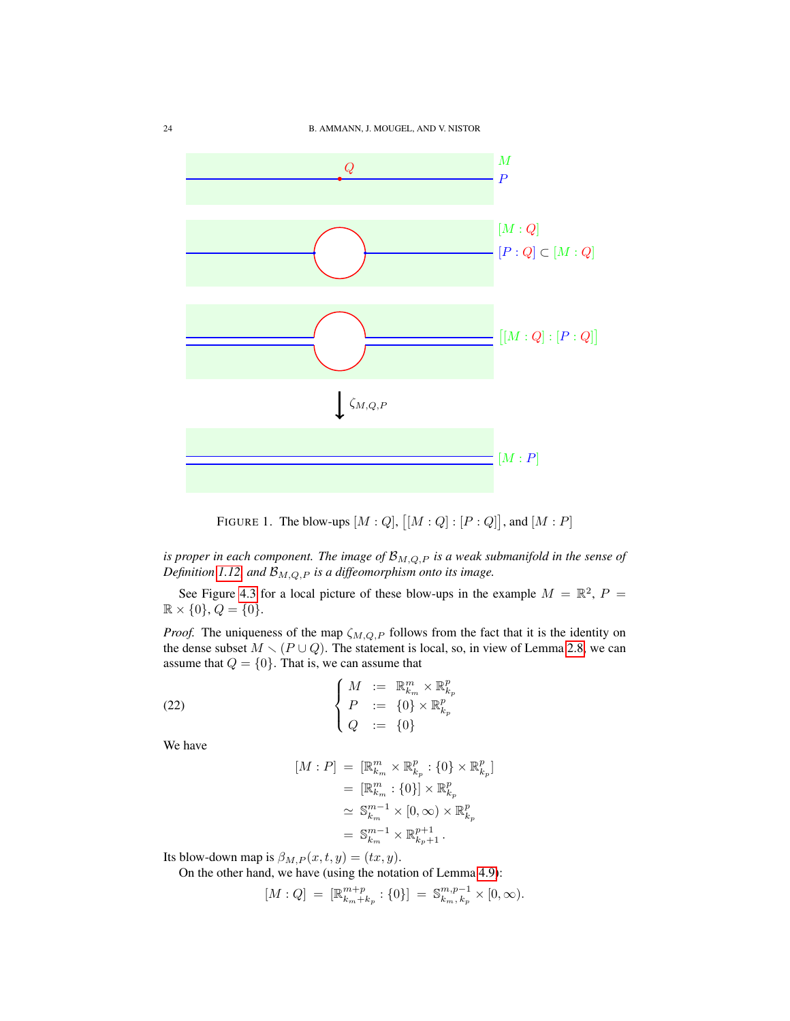

FIGURE 1. The blow-ups  $[M:Q], [[M:Q]: [P:Q]],$  and  $[M:P]$ 

*is proper in each component. The image of*  $\mathcal{B}_{M,Q,P}$  *is a weak submanifold in the sense of Definition* [1.12,](#page-7-0) and  $\mathcal{B}_{M,Q,P}$  *is a diffeomorphism onto its image.* 

See Figure [4.3](#page-22-0) for a local picture of these blow-ups in the example  $M = \mathbb{R}^2$ ,  $P =$  $\mathbb{R} \times \{0\}, Q = \{0\}.$ 

*Proof.* The uniqueness of the map  $\zeta_{M,Q,P}$  follows from the fact that it is the identity on the dense subset  $M \setminus (P \cup Q)$ . The statement is local, so, in view of Lemma [2.8,](#page-13-2) we can assume that  $Q = \{0\}$ . That is, we can assume that

(22) 
$$
\begin{cases} M := \mathbb{R}_{k_m}^m \times \mathbb{R}_{k_p}^p \\ P := \{0\} \times \mathbb{R}_{k_p}^p \\ Q := \{0\} \end{cases}
$$

We have

<span id="page-23-0"></span>
$$
[M : P] = [\mathbb{R}_{k_m}^m \times \mathbb{R}_{k_p}^p : \{0\} \times \mathbb{R}_{k_p}^p]
$$
  
\n
$$
= [\mathbb{R}_{k_m}^m : \{0\}] \times \mathbb{R}_{k_p}^p
$$
  
\n
$$
\simeq \mathbb{S}_{k_m}^{m-1} \times [0, \infty) \times \mathbb{R}_{k_p}^p
$$
  
\n
$$
= \mathbb{S}_{k_m}^{m-1} \times \mathbb{R}_{k_p+1}^{p+1}.
$$

Its blow-down map is  $\beta_{M,P}(x,t,y) = (tx, y)$ .

On the other hand, we have (using the notation of Lemma [4.9\)](#page-21-1):

$$
[M:Q] \ = \ [\mathbb{R}^{m+p}_{k_m+k_p}:\{0\}] \ = \ \mathbb{S}^{m,p-1}_{k_m,\,k_p}\times [0,\infty).
$$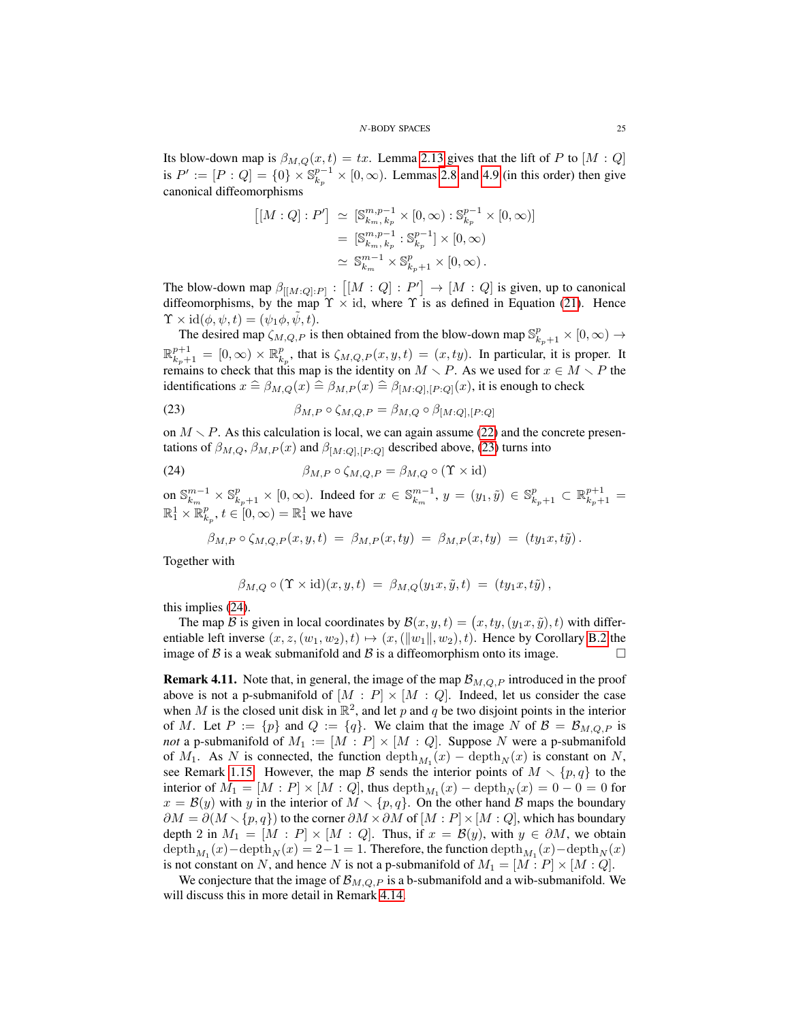Its blow-down map is  $\beta_{M,Q}(x,t) = tx$ . Lemma [2.13](#page-15-2) gives that the lift of P to  $[M:Q]$ is  $P' := [P:Q] = \{0\} \times \mathbb{S}_{k_p}^{p-1} \times [0,\infty)$ . Lemmas [2.8](#page-13-2) and [4.9](#page-21-1) (in this order) then give canonical diffeomorphisms

$$
\begin{aligned} [[M:Q]:P'] &\simeq [\mathbb{S}^{m,p-1}_{k_m,k_p} \times [0,\infty) : \mathbb{S}^{p-1}_{k_p} \times [0,\infty)] \\ &= [\mathbb{S}^{m,p-1}_{k_m,k_p} : \mathbb{S}^{p-1}_{k_p}] \times [0,\infty) \\ &\simeq \mathbb{S}^{m-1}_{k_m} \times \mathbb{S}^{p}_{k_p+1} \times [0,\infty) \,. \end{aligned}
$$

The blow-down map  $\beta_{[[M:Q]:P]} : [[M:Q]:P'] \rightarrow [M:Q]$  is given, up to canonical diffeomorphisms, by the map  $\Upsilon \times id$ , where  $\Upsilon$  is as defined in Equation [\(21\)](#page-21-2). Hence  $\Upsilon \times \mathrm{id}(\phi, \psi, t) = (\psi_1 \phi, \psi, t).$ 

The desired map  $\zeta_{M,Q,P}$  is then obtained from the blow-down map  $\mathbb{S}^p_{k_p+1} \times [0,\infty) \to$  $\mathbb{R}_{k_p+1}^{p+1} = [0,\infty) \times \mathbb{R}_{k_p}^p$ , that is  $\zeta_{M,Q,P}(x,y,t) = (x, ty)$ . In particular, it is proper. It remains to check that this map is the identity on  $M \setminus P$ . As we used for  $x \in M \setminus P$  the identifications  $x \triangleq \beta_{M,Q}(x) \triangleq \beta_{M,P}(x) \triangleq \beta_{[M:Q],[P :Q]}(x)$ , it is enough to check

<span id="page-24-1"></span>(23) 
$$
\beta_{M,P} \circ \zeta_{M,Q,P} = \beta_{M,Q} \circ \beta_{[M:Q],[P:Q]}
$$

on  $M \setminus P$ . As this calculation is local, we can again assume [\(22\)](#page-23-0) and the concrete presentations of  $\beta_{M,Q}, \beta_{M,P}(x)$  and  $\beta_{[M:Q],[P:Q]}$  described above, [\(23\)](#page-24-1) turns into

(24) 
$$
\beta_{M,P} \circ \zeta_{M,Q,P} = \beta_{M,Q} \circ (\Upsilon \times id)
$$

on  $\mathbb{S}_{k_m}^{m-1} \times \mathbb{S}_{k_p+1}^p \times [0, \infty)$ . Indeed for  $x \in \mathbb{S}_{k_m}^{m-1}$ ,  $y = (y_1, \tilde{y}) \in \mathbb{S}_{k_p+1}^p \subset \mathbb{R}_{k_p+1}^{p+1}$  $\mathbb{R}^1_1 \times \mathbb{R}^p_{k_p}, t \in [0, \infty) = \mathbb{R}^1_1$  we have

<span id="page-24-2"></span>
$$
\beta_{M,P}\circ\zeta_{M,Q,P}(x,y,t) = \beta_{M,P}(x,ty) = \beta_{M,P}(x,ty) = (ty_1x,t\tilde{y}).
$$

Together with

$$
\beta_{M,Q} \circ (\Upsilon \times \mathrm{id})(x,y,t) = \beta_{M,Q}(y_1x,\tilde{y},t) = (ty_1x,t\tilde{y}),
$$

this implies [\(24\)](#page-24-2).

The map  $\mathcal B$  is given in local coordinates by  $\mathcal B(x, y, t) = (x, ty, (y_1x, \tilde{y}), t)$  with differentiable left inverse  $(x, z, (w_1, w_2), t) \mapsto (x, (\Vert w_1 \Vert, w_2), t)$ . Hence by Corollary [B.2](#page-33-12) the image of B is a weak submanifold and B is a diffeomorphism onto its image.

<span id="page-24-0"></span>**Remark 4.11.** Note that, in general, the image of the map  $\mathcal{B}_{M,Q,P}$  introduced in the proof above is not a p-submanifold of  $[M : P] \times [M : Q]$ . Indeed, let us consider the case when M is the closed unit disk in  $\mathbb{R}^2$ , and let p and q be two disjoint points in the interior of M. Let  $P := \{p\}$  and  $Q := \{q\}$ . We claim that the image N of  $\mathcal{B} = \mathcal{B}_{M,Q,P}$  is *not* a p-submanifold of  $M_1 := [M : P] \times [M : Q]$ . Suppose N were a p-submanifold of  $M_1$ . As N is connected, the function  $\text{depth}_{M_1}(x) - \text{depth}_N(x)$  is constant on N, see Remark [1.15.](#page-8-3) However, the map B sends the interior points of  $M \setminus \{p,q\}$  to the interior of  $M_1 = [M : P] \times [M : Q]$ , thus  $\text{depth}_{M_1}(x) - \text{depth}_N(x) = 0 - 0 = 0$  for  $x = B(y)$  with y in the interior of  $M \setminus \{p, q\}$ . On the other hand B maps the boundary  $\partial M = \partial (M \setminus \{p, q\})$  to the corner  $\partial M \times \partial M$  of  $[M : P] \times [M : Q]$ , which has boundary depth 2 in  $M_1 = [M : P] \times [M : Q]$ . Thus, if  $x = B(y)$ , with  $y \in \partial M$ , we obtain  $\text{depth}_{M_1}(x) - \text{depth}_N(x) = 2 - 1 = 1$ . Therefore, the function  $\text{depth}_M(x) - \text{depth}_N(x)$ is not constant on N, and hence N is not a p-submanifold of  $M_1 = [M : P] \times [M : Q]$ .

We conjecture that the image of  $\mathcal{B}_{M,Q,P}$  is a b-submanifold and a wib-submanifold. We will discuss this in more detail in Remark [4.14.](#page-27-2)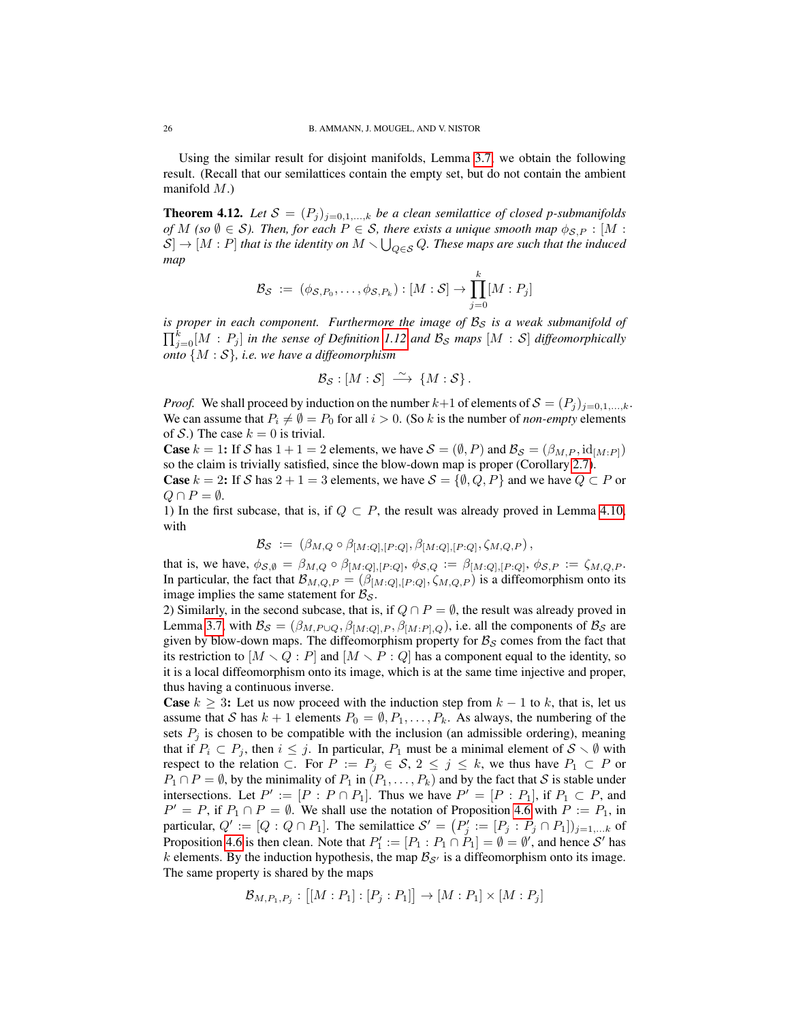Using the similar result for disjoint manifolds, Lemma [3.7,](#page-18-2) we obtain the following result. (Recall that our semilattices contain the empty set, but do not contain the ambient manifold  $M$ .)

<span id="page-25-0"></span>**Theorem 4.12.** Let  $S = (P_j)_{j=0,1,\dots,k}$  be a clean semilattice of closed p-submanifolds *of*  $M$  (so  $\emptyset \in S$ ). Then, for each  $P \in S$ , there exists a unique smooth map  $\phi_{S,P} : [M :$  $S] \to [M : P]$  that is the identity on  $M \setminus \bigcup_{Q \in \mathcal{S}} Q$ . These maps are such that the induced *map*

$$
\mathcal{B}_{\mathcal{S}} \ := \ (\phi_{\mathcal{S}, P_0}, \dots, \phi_{\mathcal{S}, P_k}) : [M : \mathcal{S}] \to \prod_{j=0}^k [M : P_j]
$$

*is proper in each component. Furthermore the image of*  $\mathcal{B}_{S}$  *is a weak submanifold of*  $\prod_{j=0}^{k}[M:P_j]$  *in the sense of Definition* [1.12](#page-7-0) and  $\mathcal{B}_{\mathcal{S}}$  maps  $[M:S]$  diffeomorphically *onto* {M : S}*, i.e. we have a diffeomorphism*

$$
\mathcal{B}_{\mathcal{S}}:[M:\mathcal{S}]\ \stackrel{\sim}{\longrightarrow}\ \{M:\mathcal{S}\}.
$$

*Proof.* We shall proceed by induction on the number  $k+1$  of elements of  $S = (P_i)_{i=0,1,\dots,k}$ . We can assume that  $P_i \neq \emptyset = P_0$  for all  $i > 0$ . (So k is the number of *non-empty* elements of S.) The case  $k = 0$  is trivial.

**Case**  $k = 1$ : If S has  $1 + 1 = 2$  elements, we have  $S = (\emptyset, P)$  and  $\mathcal{B}_{S} = (\beta_{M,P}, id_{[M,P]})$ so the claim is trivially satisfied, since the blow-down map is proper (Corollary [2.7\)](#page-13-4). **Case**  $k = 2$ : If S has  $2 + 1 = 3$  elements, we have  $S = \{\emptyset, Q, P\}$  and we have  $Q \subset P$  or  $Q \cap P = \emptyset$ .

1) In the first subcase, that is, if  $Q \subset P$ , the result was already proved in Lemma [4.10,](#page-22-0) with

$$
\mathcal{B}_{\mathcal{S}} := (\beta_{M,Q} \circ \beta_{[M:Q],[P:Q]}, \beta_{[M:Q],[P:Q]}, \zeta_{M,Q,P}),
$$

that is, we have,  $\phi_{\mathcal{S},\emptyset} = \beta_{M,Q} \circ \beta_{[M:Q],[P:Q]}, \phi_{\mathcal{S},Q} := \beta_{[M:Q],[P:Q]}, \phi_{\mathcal{S},P} := \zeta_{M,Q,P}$ . In particular, the fact that  $\mathcal{B}_{M,Q,P} = (\beta_{[M:Q],[P:Q]}, \zeta_{M,Q,P})$  is a diffeomorphism onto its image implies the same statement for  $\mathcal{B}_{\mathcal{S}}$ .

2) Similarly, in the second subcase, that is, if  $Q \cap P = \emptyset$ , the result was already proved in Lemma [3.7,](#page-18-2) with  $B_{\mathcal{S}} = (\beta_{M,P\cup Q}, \beta_{[M:Q],P}, \beta_{[M:P],Q})$ , i.e. all the components of  $B_{\mathcal{S}}$  are given by blow-down maps. The diffeomorphism property for  $B<sub>S</sub>$  comes from the fact that its restriction to  $[M \setminus Q : P]$  and  $[M \setminus P : Q]$  has a component equal to the identity, so it is a local diffeomorphism onto its image, which is at the same time injective and proper, thus having a continuous inverse.

**Case**  $k \geq 3$ : Let us now proceed with the induction step from  $k - 1$  to k, that is, let us assume that S has  $k + 1$  elements  $P_0 = \emptyset, P_1, \ldots, P_k$ . As always, the numbering of the sets  $P_j$  is chosen to be compatible with the inclusion (an admissible ordering), meaning that if  $P_i \subset P_j$ , then  $i \leq j$ . In particular,  $P_1$  must be a minimal element of  $S \setminus \emptyset$  with respect to the relation  $\subset$ . For  $P := P_j \in S$ ,  $2 \le j \le k$ , we thus have  $P_1 \subset P$  or  $P_1 \cap P = \emptyset$ , by the minimality of  $P_1$  in  $(P_1, \ldots, P_k)$  and by the fact that S is stable under intersections. Let  $P' := [P : P \cap P_1]$ . Thus we have  $P' = [P : P_1]$ , if  $P_1 \subset P$ , and  $P' = P$ , if  $P_1 \cap P = \emptyset$ . We shall use the notation of Proposition [4.6](#page-20-1) with  $P := P_1$ , in particular,  $Q' := [Q : Q \cap P_1]$ . The semilattice  $S' = (P'_j := [P_j : P_j \cap P_1])_{j=1,...k}$  of Proposition [4.6](#page-20-1) is then clean. Note that  $P'_1 := [P_1 : P_1 \cap P_1] = \emptyset = \emptyset'$ , and hence S' has k elements. By the induction hypothesis, the map  $\mathcal{B}_{S'}$  is a diffeomorphism onto its image. The same property is shared by the maps

$$
\mathcal{B}_{M,P_1,P_j} : [[M : P_1] : [P_j : P_1]] \to [M : P_1] \times [M : P_j]
$$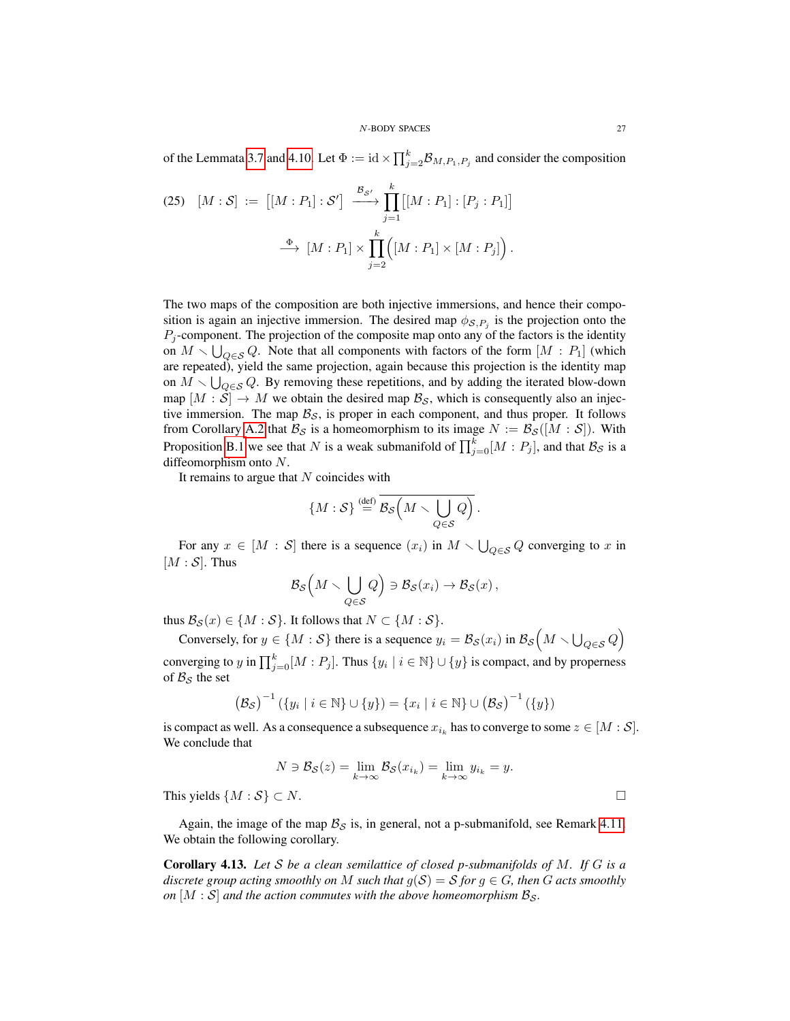of the Lemmata [3.7](#page-18-2) and [4.10.](#page-22-0) Let  $\Phi := id \times \prod_{j=2}^{k} B_{M,P_1,P_j}$  and consider the composition

(25) 
$$
[M:S] := [[M:P_1]:S'] \xrightarrow{\mathcal{B}_{S'}} \prod_{j=1}^{k} [[M:P_1]:[P_j:P_1]]
$$

$$
\xrightarrow{\Phi} [M:P_1] \times \prod_{j=2}^{k} ([M:P_1] \times [M:P_j]).
$$

The two maps of the composition are both injective immersions, and hence their composition is again an injective immersion. The desired map  $\phi_{\mathcal{S},P_j}$  is the projection onto the  $P_i$ -component. The projection of the composite map onto any of the factors is the identity on  $M \setminus \bigcup_{Q \in \mathcal{S}} Q$ . Note that all components with factors of the form  $[M : P_1]$  (which are repeated), yield the same projection, again because this projection is the identity map on  $M \setminus \bigcup_{Q \in \mathcal{S}} Q$ . By removing these repetitions, and by adding the iterated blow-down map  $[M : \mathcal{S}] \to M$  we obtain the desired map  $\mathcal{B}_{\mathcal{S}}$ , which is consequently also an injective immersion. The map  $\mathcal{B}_s$ , is proper in each component, and thus proper. It follows from Corollary [A.2](#page-32-2) that  $\mathcal{B}_{\mathcal{S}}$  is a homeomorphism to its image  $N := \mathcal{B}_{\mathcal{S}}([M : \mathcal{S}])$ . With Proposition [B.1](#page-33-10) we see that N is a weak submanifold of  $\prod_{j=0}^{k} [M : P_j]$ , and that  $\mathcal{B}_{\mathcal{S}}$  is a diffeomorphism onto N.

It remains to argue that  $N$  coincides with

$$
\{M:\mathcal{S}\} \stackrel{\text{(def)}}{=} \overline{\mathcal{B}_{\mathcal{S}}\left(M \smallsetminus \bigcup_{Q \in \mathcal{S}} Q\right)}.
$$

For any  $x \in [M : S]$  there is a sequence  $(x_i)$  in  $M \setminus \bigcup_{Q \in S} Q$  converging to x in  $[M : S]$ . Thus

$$
\mathcal{B}_{\mathcal{S}}\left(M\smallsetminus\bigcup_{Q\in\mathcal{S}}Q\right)\ni\mathcal{B}_{\mathcal{S}}(x_i)\to\mathcal{B}_{\mathcal{S}}(x)\,,
$$

thus  $\mathcal{B}_{\mathcal{S}}(x) \in \{M : \mathcal{S}\}$ . It follows that  $N \subset \{M : \mathcal{S}\}$ .

Conversely, for  $y \in \{M : S\}$  there is a sequence  $y_i = \mathcal{B}_{\mathcal{S}}(x_i)$  in  $\mathcal{B}_{\mathcal{S}}(M \setminus \bigcup_{Q \in \mathcal{S}} Q)$ converging to y in  $\prod_{j=0}^{k} [M : P_j]$ . Thus  $\{y_i \mid i \in \mathbb{N}\} \cup \{y\}$  is compact, and by properness of  $B_{\mathcal{S}}$  the set

$$
(\mathcal{B}_{\mathcal{S}})^{-1} (\{y_i \mid i \in \mathbb{N}\} \cup \{y\}) = \{x_i \mid i \in \mathbb{N}\} \cup (\mathcal{B}_{\mathcal{S}})^{-1} (\{y\})
$$

is compact as well. As a consequence a subsequence  $x_{i_k}$  has to converge to some  $z \in [M : \mathcal{S}]$ . We conclude that

$$
N \ni \mathcal{B}_{\mathcal{S}}(z) = \lim_{k \to \infty} \mathcal{B}_{\mathcal{S}}(x_{i_k}) = \lim_{k \to \infty} y_{i_k} = y.
$$

This yields  $\{M : S\} \subset N$ .

Again, the image of the map  $\mathcal{B}_{\mathcal{S}}$  is, in general, not a p-submanifold, see Remark [4.11.](#page-24-0) We obtain the following corollary.

Corollary 4.13. *Let* S *be a clean semilattice of closed p-submanifolds of* M*. If* G *is a discrete group acting smoothly on* M *such that*  $g(S) = S$  *for*  $g \in G$ *, then* G *acts smoothly on*  $[M : S]$  *and the action commutes with the above homeomorphism*  $B_s$ *.*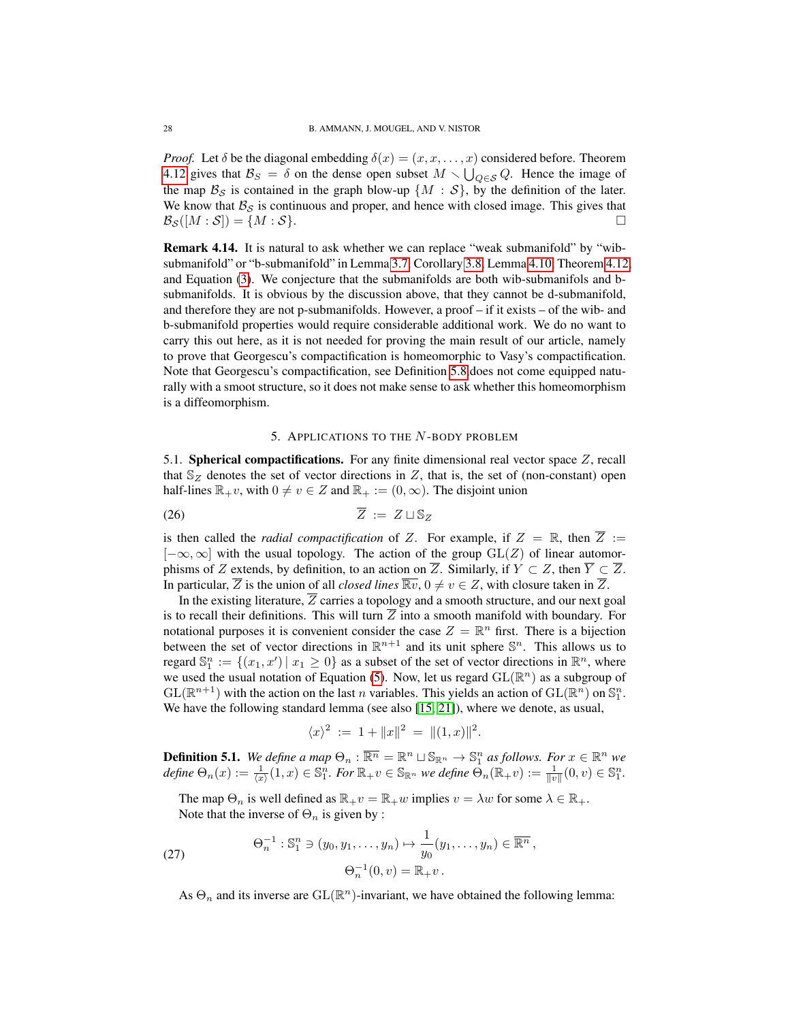*Proof.* Let  $\delta$  be the diagonal embedding  $\delta(x) = (x, x, \dots, x)$  considered before. Theorem [4.12](#page-25-0) gives that  $\mathcal{B}_S = \delta$  on the dense open subset  $M \setminus \bigcup_{Q \in S} Q$ . Hence the image of the map  $\mathcal{B}_{\mathcal{S}}$  is contained in the graph blow-up  $\{M : \mathcal{S}\}\)$ , by the definition of the later. We know that  $B_S$  is continuous and proper, and hence with closed image. This gives that  $\mathcal{B}_{\mathcal{S}}([M:\mathcal{S}]) = \{M:\mathcal{S}\}.$ 

<span id="page-27-2"></span>Remark 4.14. It is natural to ask whether we can replace "weak submanifold" by "wibsubmanifold" or "b-submanifold" in Lemma [3.7,](#page-18-2) Corollary [3.8,](#page-18-3) Lemma [4.10,](#page-22-0) Theorem [4.12,](#page-25-0) and Equation [\(3\)](#page-2-2). We conjecture that the submanifolds are both wib-submanifols and bsubmanifolds. It is obvious by the discussion above, that they cannot be d-submanifold, and therefore they are not p-submanifolds. However, a proof – if it exists – of the wib- and b-submanifold properties would require considerable additional work. We do no want to carry this out here, as it is not needed for proving the main result of our article, namely to prove that Georgescu's compactification is homeomorphic to Vasy's compactification. Note that Georgescu's compactification, see Definition [5.8,](#page-30-0)does not come equipped naturally with a smoot structure, so it does not make sense to ask whether this homeomorphism is a diffeomorphism.

# 5. APPLICATIONS TO THE N-BODY PROBLEM

<span id="page-27-1"></span><span id="page-27-0"></span>5.1. Spherical compactifications. For any finite dimensional real vector space  $Z$ , recall that  $\mathbb{S}_Z$  denotes the set of vector directions in Z, that is, the set of (non-constant) open half-lines  $\mathbb{R}_+v$ , with  $0 \neq v \in Z$  and  $\mathbb{R}_+ := (0, \infty)$ . The disjoint union

$$
\overline{Z} := Z \sqcup \mathbb{S}_Z
$$

is then called the *radial compactification* of Z. For example, if  $Z = \mathbb{R}$ , then  $\overline{Z} :=$  $[-\infty, \infty]$  with the usual topology. The action of the group  $GL(Z)$  of linear automorphisms of Z extends, by definition, to an action on  $\overline{Z}$ . Similarly, if  $Y \subset Z$ , then  $\overline{Y} \subset \overline{Z}$ . In particular,  $\overline{Z}$  is the union of all *closed lines*  $\overline{\mathbb{R}v}$ ,  $0 \neq v \in Z$ , with closure taken in  $\overline{Z}$ .

In the existing literature,  $\overline{Z}$  carries a topology and a smooth structure, and our next goal is to recall their definitions. This will turn  $\overline{Z}$  into a smooth manifold with boundary. For notational purposes it is convenient consider the case  $Z = \mathbb{R}^n$  first. There is a bijection between the set of vector directions in  $\mathbb{R}^{n+1}$  and its unit sphere  $\mathbb{S}^n$ . This allows us to regard  $\mathbb{S}_1^n := \{(x_1, x') \mid x_1 \geq 0\}$  as a subset of the set of vector directions in  $\mathbb{R}^n$ , where we used the usual notation of Equation [\(5\)](#page-3-0). Now, let us regard  $GL(\mathbb{R}^n)$  as a subgroup of  $GL(\mathbb{R}^{n+1})$  with the action on the last n variables. This yields an action of  $GL(\mathbb{R}^n)$  on  $\mathbb{S}^n_1$ . We have the following standard lemma (see also [\[15,](#page-34-3) [21\]](#page-34-0)), where we denote, as usual,

$$
\langle x \rangle^2 := 1 + ||x||^2 = ||(1, x)||^2.
$$

<span id="page-27-3"></span>**Definition 5.1.** We define a map  $\Theta_n : \overline{\mathbb{R}^n} = \mathbb{R}^n \cup \mathbb{S}_{\mathbb{R}^n} \to \mathbb{S}^n_1$  as follows. For  $x \in \mathbb{R}^n$  we  $\textit{define } \Theta_n(x) := \frac{1}{\langle x \rangle}(1,x) \in \mathbb{S}_1^n.$  For  $\mathbb{R}_+v \in \mathbb{S}_{\mathbb{R}^n}$  we define  $\tilde{\Theta}_n(\mathbb{R}_+v) := \frac{1}{\|v\|}(0,v) \in \mathbb{S}_1^n.$ 

The map  $\Theta_n$  is well defined as  $\mathbb{R}_+v = \mathbb{R}_+w$  implies  $v = \lambda w$  for some  $\lambda \in \mathbb{R}_+$ . Note that the inverse of  $\Theta_n$  is given by :

(27) 
$$
\Theta_n^{-1}: \mathbb{S}_1^n \ni (y_0, y_1, \dots, y_n) \mapsto \frac{1}{y_0}(y_1, \dots, y_n) \in \overline{\mathbb{R}^n},
$$

$$
\Theta_n^{-1}(0, v) = \mathbb{R}_+ v.
$$

<span id="page-27-4"></span>As  $\Theta_n$  and its inverse are  $GL(\mathbb{R}^n)$ -invariant, we have obtained the following lemma: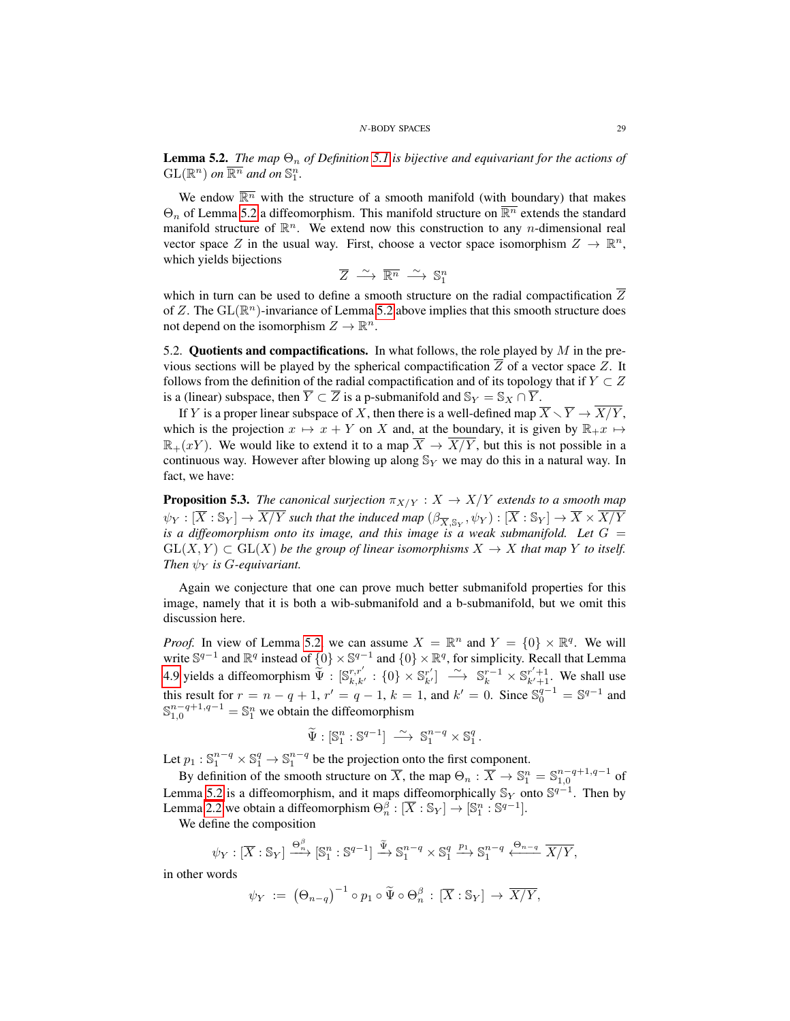<span id="page-28-1"></span>**Lemma 5.2.** *The map*  $\Theta_n$  *of Definition* [5.1](#page-27-3) *is bijective and equivariant for the actions of*  $\text{GL}(\mathbb{R}^n)$  on  $\overline{\mathbb{R}^n}$  and on  $\mathbb{S}^n_1$ .

We endow  $\overline{\mathbb{R}^n}$  with the structure of a smooth manifold (with boundary) that makes  $\Theta_n$  of Lemma [5.2](#page-28-1) a diffeomorphism. This manifold structure on  $\overline{\mathbb{R}^n}$  extends the standard manifold structure of  $\mathbb{R}^n$ . We extend now this construction to any *n*-dimensional real vector space Z in the usual way. First, choose a vector space isomorphism  $Z \to \mathbb{R}^n$ , which yields bijections

$$
\overline{Z} \stackrel{\sim}{\longrightarrow} \overline{\mathbb{R}^n} \stackrel{\sim}{\longrightarrow} \mathbb{S}^n_1
$$

which in turn can be used to define a smooth structure on the radial compactification  $\overline{Z}$ of Z. The  $\text{GL}(\mathbb{R}^n)$ -invariance of Lemma [5.2](#page-28-1) above implies that this smooth structure does not depend on the isomorphism  $Z \to \mathbb{R}^n$ .

<span id="page-28-0"></span>5.2. Quotients and compactifications. In what follows, the role played by  $M$  in the previous sections will be played by the spherical compactification  $\overline{Z}$  of a vector space Z. It follows from the definition of the radial compactification and of its topology that if  $Y \subset Z$ is a (linear) subspace, then  $\overline{Y} \subset \overline{Z}$  is a p-submanifold and  $\mathbb{S}_Y = \mathbb{S}_X \cap \overline{Y}$ .

If Y is a proper linear subspace of X, then there is a well-defined map  $\overline{X} \setminus \overline{Y} \to \overline{X/Y}$ , which is the projection  $x \mapsto x + Y$  on X and, at the boundary, it is given by  $\mathbb{R}_+ x \mapsto$  $\mathbb{R}_+(xY)$ . We would like to extend it to a map  $\overline{X} \to \overline{X/Y}$ , but this is not possible in a continuous way. However after blowing up along  $\mathbb{S}_Y$  we may do this in a natural way. In fact, we have:

<span id="page-28-2"></span>**Proposition 5.3.** *The canonical surjection*  $\pi_{X/Y} : X \to X/Y$  *extends to a smooth map*  $\psi_Y:[\overline X:\mathbb S_Y]\to \overline{X/Y}$  such that the induced map  $(\beta_{\overline X, \mathbb S_Y}, \psi_Y):[\overline X:\mathbb S_Y]\to \overline X\times \overline{X/Y}$ *is a diffeomorphism onto its image, and this image is a weak submanifold. Let*  $G =$  $GL(X, Y) \subset GL(X)$  *be the group of linear isomorphisms*  $X \to X$  *that map* Y *to itself. Then*  $\psi_Y$  *is G-equivariant.* 

Again we conjecture that one can prove much better submanifold properties for this image, namely that it is both a wib-submanifold and a b-submanifold, but we omit this discussion here.

*Proof.* In view of Lemma [5.2,](#page-28-1) we can assume  $X = \mathbb{R}^n$  and  $Y = \{0\} \times \mathbb{R}^q$ . We will write  $\mathbb{S}^{q-1}$  and  $\mathbb{R}^q$  instead of  $\{0\} \times \mathbb{S}^{q-1}$  and  $\{0\} \times \mathbb{R}^q$ , for simplicity. Recall that Lemma [4.9](#page-21-1) yields a diffeomorphism  $\widetilde{\Psi} : [\mathbb{S}_{k,k'}^{r,r'} : \{0\} \times \mathbb{S}_{k'}^{r'}] \longrightarrow \mathbb{S}_{k}^{r-1} \times \mathbb{S}_{k'+1}^{r'+1}$ . We shall use this result for  $r = n - q + 1$ ,  $r' = q - 1$ ,  $k = 1$ , and  $k' = 0$ . Since  $\mathbb{S}_0^{q-1} = \mathbb{S}^{q-1}$  and  $\mathbb{S}^{n-q+1,q-1}_{1,0} = \mathbb{S}^n_1$  we obtain the diffeomorphism

$$
\widetilde{\Psi}: \mathbb{S}_1^n : \mathbb{S}^{q-1} \right] \longrightarrow \mathbb{S}_1^{n-q} \times \mathbb{S}_1^q.
$$

Let  $p_1 : \mathbb{S}_1^{n-q} \times \mathbb{S}_1^q \to \mathbb{S}_1^{n-q}$  be the projection onto the first component.

By definition of the smooth structure on  $\overline{X}$ , the map  $\Theta_n : \overline{X} \to \mathbb{S}^n_1 = \mathbb{S}^{n-q+1,q-1}_{1,0}$  of Lemma [5.2](#page-28-1) is a diffeomorphism, and it maps diffeomorphically  $\mathbb{S}_Y$  onto  $\mathbb{S}^{q-1}$ . Then by Lemma [2.2](#page-12-0) we obtain a diffeomorphism  $\Theta_n^{\beta}: [\overline{X} : \mathbb{S}_Y] \to [\mathbb{S}_1^n : \mathbb{S}^{q-1}].$ 

We define the composition

$$
\psi_Y : [\overline{X} : \mathbb{S}_Y] \xrightarrow{\Theta_n^{\beta}} [\mathbb{S}_1^n : \mathbb{S}^{q-1}] \xrightarrow{\widetilde{\Psi}} \mathbb{S}_1^{n-q} \times \mathbb{S}_1^q \xrightarrow{p_1} \mathbb{S}_1^{n-q} \xleftarrow{\Theta_{n-q}} \overline{X/Y},
$$

in other words

$$
\psi_Y \; := \; \big(\Theta_{n-q}\big)^{-1} \circ p_1 \circ \widetilde{\Psi} \circ \Theta_n^{\beta} \, : \, [\overline{X} : \mathbb{S}_Y] \to \overline{X/Y},
$$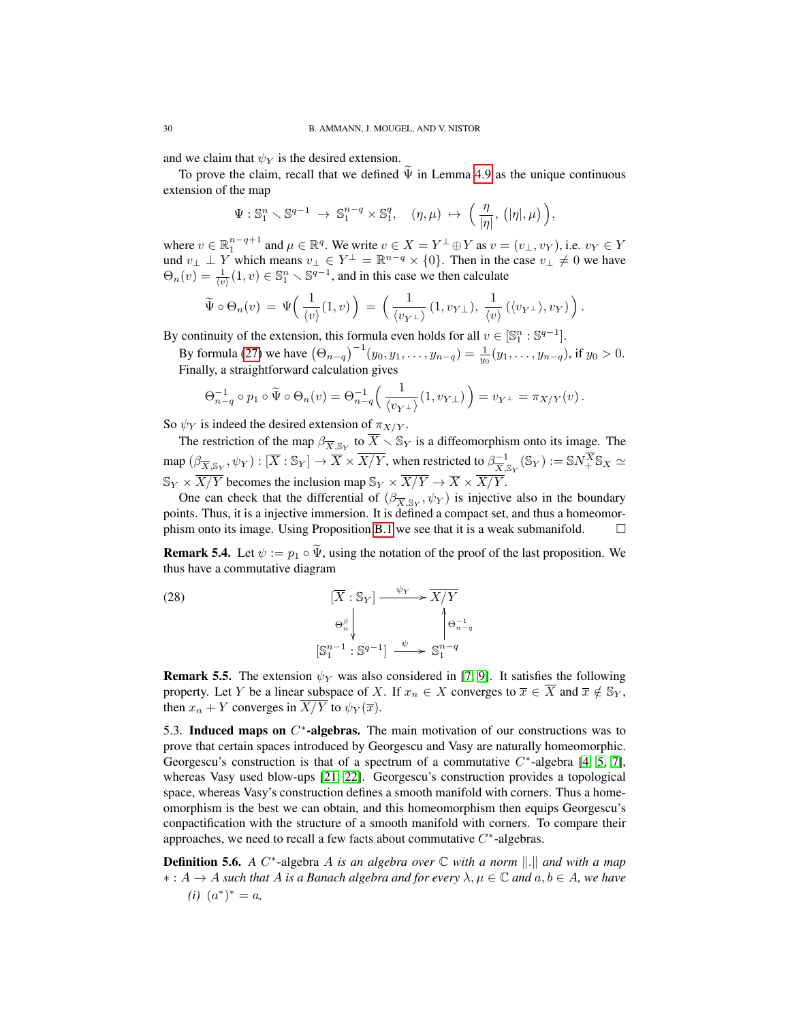and we claim that  $\psi_Y$  is the desired extension.

To prove the claim, recall that we defined  $\Psi$  in Lemma [4.9](#page-21-1) as the unique continuous extension of the map

$$
\Psi: \mathbb{S}^n_1 \setminus \mathbb{S}^{q-1} \to \mathbb{S}^{n-q}_1 \times \mathbb{S}^q_1, \quad (\eta, \mu) \mapsto \left( \frac{\eta}{|\eta|}, \left( |\eta|, \mu \right) \right),
$$

where  $v \in \mathbb{R}_1^{n-q+1}$  and  $\mu \in \mathbb{R}^q$ . We write  $v \in X = Y^{\perp} \oplus Y$  as  $v = (v_{\perp}, v_Y)$ , i.e.  $v_Y \in Y$ und  $v_{\perp} \perp Y$  which means  $v_{\perp} \in Y^{\perp} = \mathbb{R}^{n-q} \times \{0\}$ . Then in the case  $v_{\perp} \neq 0$  we have  $\Theta_n(v) = \frac{1}{\langle v \rangle}(1, v) \in \mathbb{S}_1^n \setminus \mathbb{S}^{q-1}$ , and in this case we then calculate

$$
\widetilde{\Psi} \circ \Theta_n(v) = \Psi\left(\frac{1}{\langle v \rangle}(1,v)\right) = \left(\frac{1}{\langle v_{Y^{\perp}} \rangle}(1,v_{Y^{\perp}}), \frac{1}{\langle v \rangle}(\langle v_{Y^{\perp}} \rangle, v_Y)\right).
$$

By continuity of the extension, this formula even holds for all  $v \in [\mathbb{S}_1^n : \mathbb{S}^{q-1}]$ .

By formula [\(27\)](#page-27-4) we have  $(\Theta_{n-q})^{-1}(y_0, y_1, \dots, y_{n-q}) = \frac{1}{y_0}(y_1, \dots, y_{n-q})$ , if  $y_0 > 0$ . Finally, a straightforward calculation gives

$$
\Theta_{n-q}^{-1} \circ p_1 \circ \widetilde{\Psi} \circ \Theta_n(v) = \Theta_{n-q}^{-1} \left( \frac{1}{\langle v_{Y^{\perp}} \rangle} (1, v_{Y^{\perp}}) \right) = v_{Y^{\perp}} = \pi_{X/Y}(v).
$$

So  $\psi_Y$  is indeed the desired extension of  $\pi_{X/Y}$ .

The restriction of the map  $\beta_{\overline{X}, \mathbb{S}_Y}$  to  $\overline{X} \setminus \mathbb{S}_Y$  is a diffeomorphism onto its image. The map  $(\beta_{\overline{X}, \mathbb{S}_Y}, \psi_Y) : [\overline{X} : \mathbb{S}_Y] \to \overline{X} \times \overline{X/Y}$ , when restricted to  $\beta_{\overline{X}, \mathbb{S}_Y}^{-1}(\mathbb{S}_Y) := \mathbb{S} N_+^{\overline{X}} \mathbb{S}_X \simeq$  $\mathbb{S}_Y \times \overline{X/Y}$  becomes the inclusion map  $\mathbb{S}_Y \times \overline{X/Y} \to \overline{X} \times \overline{X/Y}$ .

One can check that the differential of  $(\beta_{\overline{X}, \mathbb{S}_Y}, \psi_Y)$  is injective also in the boundary points. Thus, it is a injective immersion. It is defined a compact set, and thus a homeomor-phism onto its image. Using Proposition [B.1](#page-33-10) we see that it is a weak submanifold.  $\square$ 

**Remark 5.4.** Let  $\psi := p_1 \circ \widetilde{\Psi}$ , using the notation of the proof of the last proposition. We thus have a commutative diagram

(28) 
$$
\left[\overline{X} : \mathbb{S}_Y\right] \xrightarrow{\psi_Y} \overline{X/Y}
$$

$$
\Theta_n^{\beta} \downarrow \qquad \qquad \left(\Theta_{n-q}^{-1}\right)
$$

$$
\left[\mathbb{S}_1^{n-1} : \mathbb{S}^{q-1}\right] \xrightarrow{\psi} \mathbb{S}_1^{n-q}
$$

**Remark 5.5.** The extension  $\psi_Y$  was also considered in [\[7,](#page-33-4) [9\]](#page-33-11). It satisfies the following property. Let Y be a linear subspace of X. If  $x_n \in X$  converges to  $\overline{x} \in \overline{X}$  and  $\overline{x} \notin \mathbb{S}_Y$ , then  $x_n + Y$  converges in  $\overline{X/Y}$  to  $\psi_Y(\overline{x})$ .

<span id="page-29-0"></span>5.3. Induced maps on  $C^*$ -algebras. The main motivation of our constructions was to prove that certain spaces introduced by Georgescu and Vasy are naturally homeomorphic. Georgescu's construction is that of a spectrum of a commutative  $C^*$ -algebra [\[4,](#page-33-2) [5,](#page-33-13) [7\]](#page-33-4), whereas Vasy used blow-ups [\[21,](#page-34-0) [22\]](#page-34-1). Georgescu's construction provides a topological space, whereas Vasy's construction defines a smooth manifold with corners. Thus a homeomorphism is the best we can obtain, and this homeomorphism then equips Georgescu's conpactification with the structure of a smooth manifold with corners. To compare their approaches, we need to recall a few facts about commutative  $C^*$ -algebras.

**Definition 5.6.** A C<sup>\*</sup>-algebra A is an algebra over ℂ with a norm ||.|| and with a map ∗ : A → A *such that* A *is a Banach algebra and for every* λ, µ ∈ C *and* a, b ∈ A*, we have*  $(i)$   $(a^*)^* = a$ ,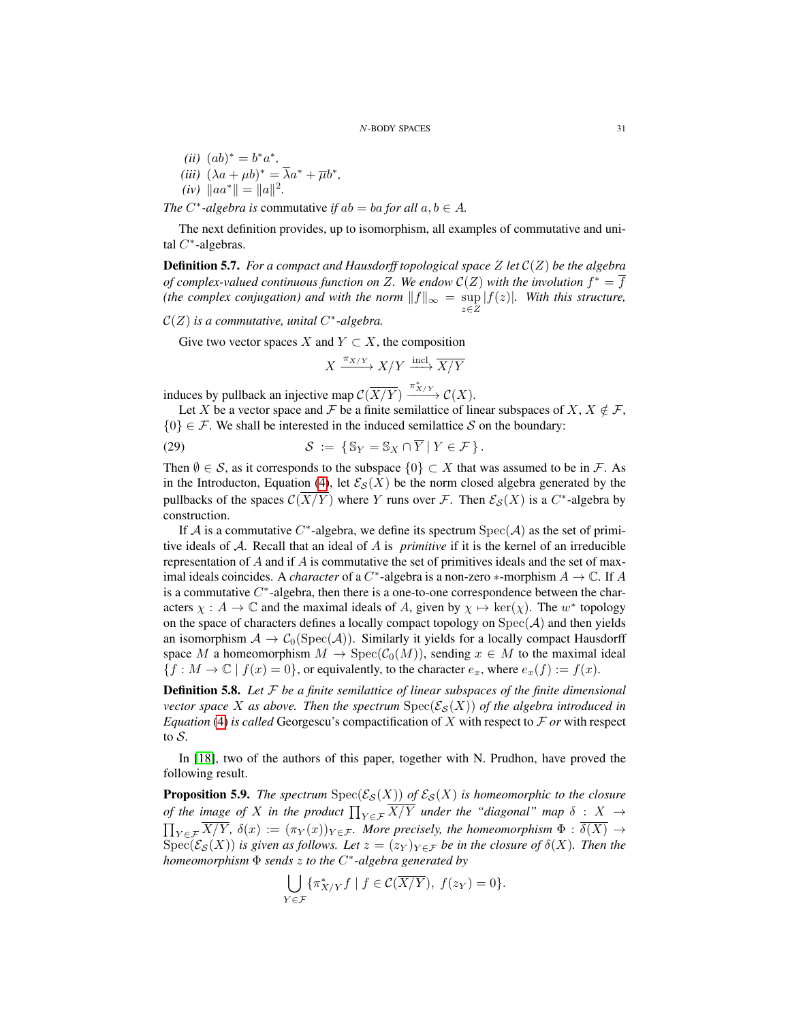(*ii*) 
$$
(ab)^* = b^*a^*
$$
,  
\n(*iii*)  $(\lambda a + \mu b)^* = \overline{\lambda}a^* + \overline{\mu}b^*$ ,  
\n(*iv*)  $||aa^*|| = ||a||^2$ .

*The*  $C^*$ -algebra is commutative *if*  $ab = ba$  *for all*  $a, b \in A$ *.* 

The next definition provides, up to isomorphism, all examples of commutative and unital  $C^*$ -algebras.

Definition 5.7. *For a compact and Hausdorff topological space* Z *let* C(Z) *be the algebra of complex-valued continuous function on Z. We endow*  $C(Z)$  with the involution  $f^* = \overline{f}$ *(the complex conjugation) and with the norm*  $||f||_{\infty} = \sup_{z \in Z} |f(z)|$ *. With this structure,* 

 $\mathcal{C}(Z)$  is a commutative, unital  $C^*$ -algebra.

Give two vector spaces X and  $Y \subset X$ , the composition

<span id="page-30-2"></span> $X \xrightarrow{\pi_{X/Y}} X/Y \xrightarrow{\text{incl}} \overline{X/Y}$ 

induces by pullback an injective map  $\mathcal{C}(\overline{X/Y}) \xrightarrow{\pi_{X/Y}^*} \mathcal{C}(X)$ .

Let X be a vector space and F be a finite semilattice of linear subspaces of X,  $X \notin \mathcal{F}$ ,  ${0} \in \mathcal{F}$ . We shall be interested in the induced semilattice S on the boundary:

(29) 
$$
\mathcal{S} := \{ \mathbb{S}_Y = \mathbb{S}_X \cap \overline{Y} \mid Y \in \mathcal{F} \}.
$$

Then  $\emptyset \in \mathcal{S}$ , as it corresponds to the subspace  $\{0\} \subset X$  that was assumed to be in  $\mathcal{F}$ . As in the Introducton, Equation [\(4\)](#page-2-3), let  $\mathcal{E}_{\mathcal{S}}(X)$  be the norm closed algebra generated by the pullbacks of the spaces  $\mathcal{C}(\overline{X/Y})$  where Y runs over F. Then  $\mathcal{E}_{\mathcal{S}}(X)$  is a  $C^*$ -algebra by construction.

If A is a commutative C<sup>\*</sup>-algebra, we define its spectrum  $Spec(\mathcal{A})$  as the set of primitive ideals of A. Recall that an ideal of A is *primitive* if it is the kernel of an irreducible representation of  $A$  and if  $A$  is commutative the set of primitives ideals and the set of maximal ideals coincides. A *character* of a  $C^*$ -algebra is a non-zero  $*$ -morphism  $A \to \mathbb{C}$ . If A is a commutative  $C^*$ -algebra, then there is a one-to-one correspondence between the characters  $\chi : A \to \mathbb{C}$  and the maximal ideals of A, given by  $\chi \mapsto \ker(\chi)$ . The  $w^*$  topology on the space of characters defines a locally compact topology on  $Spec(\mathcal{A})$  and then yields an isomorphism  $A \to C_0(\text{Spec}(\mathcal{A}))$ . Similarly it yields for a locally compact Hausdorff space M a homeomorphism  $M \to \text{Spec}(\mathcal{C}_0(M))$ , sending  $x \in M$  to the maximal ideal  ${f : M \to \mathbb{C} \mid f(x) = 0}$ , or equivalently, to the character  $e_x$ , where  $e_x(f) := f(x)$ .

<span id="page-30-0"></span>Definition 5.8. *Let* F *be a finite semilattice of linear subspaces of the finite dimensional vector space* X *as above. Then the spectrum*  $Spec(\mathcal{E}_{\mathcal{S}}(X))$  *of the algebra introduced in Equation* [\(4\)](#page-2-3) *is called* Georgescu's compactification of X with respect to  $\mathcal F$  *or* with respect to S*.*

In [\[18\]](#page-34-2), two of the authors of this paper, together with N. Prudhon, have proved the following result.

<span id="page-30-1"></span>**Proposition 5.9.** *The spectrum*  $Spec(\mathcal{E}_{\mathcal{S}}(X))$  *of*  $\mathcal{E}_{\mathcal{S}}(X)$  *is homeomorphic to the closure of the image of* X *in the product*  $\prod_{Y \in \mathcal{F}} X/Y$  *under the "diagonal" map*  $\delta$  :  $X$   $\rightarrow$  $\prod_{Y \in \mathcal{F}} X/Y$ ,  $\delta(x) := (\pi_Y(x))_{Y \in \mathcal{F}}$ *. More precisely, the homeomorphism*  $\Phi : \delta(X) \to$  $\operatorname{Spec}(\mathcal{E}_{\mathcal{S}}(X))$  *is given as follows. Let*  $z = (z_Y)_{Y \in \mathcal{F}}$  *be in the closure of*  $\delta(X)$ *. Then the homeomorphism* Φ *sends* z *to the* C ∗ *-algebra generated by*

$$
\bigcup_{Y \in \mathcal{F}} \{ \pi^*_{X/Y} f \mid f \in \mathcal{C}(\overline{X/Y}), \ f(z_Y) = 0 \}.
$$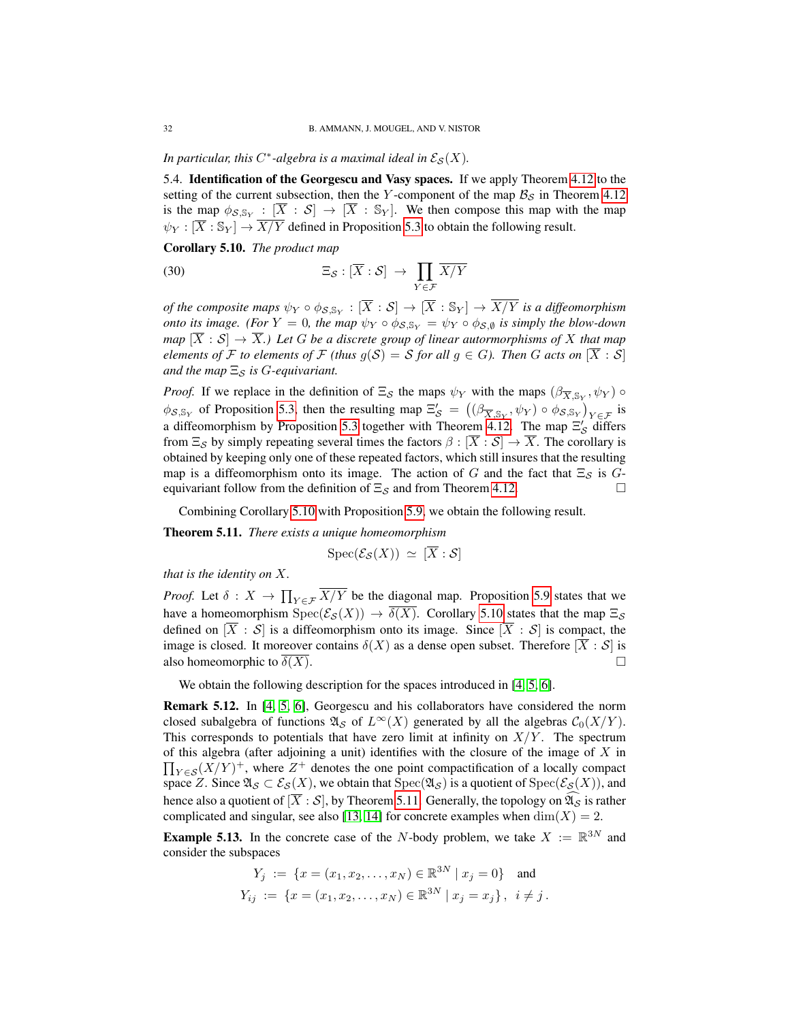In particular, this  $C^*$ -algebra is a maximal ideal in  $\mathcal{E}_{\mathcal{S}}(X)$ .

<span id="page-31-0"></span>5.4. Identification of the Georgescu and Vasy spaces. If we apply Theorem [4.12](#page-25-0) to the setting of the current subsection, then the Y-component of the map  $B<sub>S</sub>$  in Theorem [4.12](#page-25-0) is the map  $\phi_{\mathcal{S}, \mathbb{S}_Y} : [\overline{X} : \mathcal{S}] \to [\overline{X} : \mathbb{S}_Y]$ . We then compose this map with the map  $\psi_Y : [\overline{X} : \mathbb{S}_Y] \to \overline{X/Y}$  defined in Proposition [5.3](#page-28-2) to obtain the following result.

<span id="page-31-1"></span>Corollary 5.10. *The product map*

(30) 
$$
\Xi_{\mathcal{S}} : [\overline{X} : \mathcal{S}] \to \prod_{Y \in \mathcal{F}} \overline{X/Y}
$$

*of the composite maps*  $\psi_Y \circ \phi_{\mathcal{S}, \mathbb{S}_Y} : [\overline{X} : \mathcal{S}] \to [\overline{X} : \mathbb{S}_Y] \to \overline{X/Y}$  *is a diffeomorphism onto its image. (For*  $Y = 0$ *, the map*  $\psi_Y \circ \phi_{S, \mathbb{S}_Y} = \psi_Y \circ \phi_{S, \emptyset}$  *is simply the blow-down map*  $[\overline{X} : \mathcal{S}] \to \overline{X}$ .) Let G be a discrete group of linear autormorphisms of X that map *elements of* F *to elements of* F *(thus*  $g(S) = S$  *for all*  $g \in G$ *). Then* G *acts on*  $[\overline{X} : S]$ *and the map*  $\Xi$ *s is G*-equivariant.

*Proof.* If we replace in the definition of  $\Xi_{\mathcal{S}}$  the maps  $\psi_Y$  with the maps  $(\beta_{\overline{X}, \mathbb{S}_Y}, \psi_Y)$   $\circ$  $\phi_{S,S_Y}$  of Proposition [5.3,](#page-28-2) then the resulting map  $\Xi_S' = ((\beta_{\overline{X},S_Y}, \psi_Y) \circ \phi_{S,S_Y})_{Y \in \mathcal{F}}$  is a diffeomorphism by Proposition [5.3](#page-28-2) together with Theorem [4.12.](#page-25-0) The map  $\Xi'_{\mathcal{S}}$  differs from  $\Xi_S$  by simply repeating several times the factors  $\beta : [\overline{X} : \mathcal{S}] \to \overline{X}$ . The corollary is obtained by keeping only one of these repeated factors, which still insures that the resulting map is a diffeomorphism onto its image. The action of G and the fact that  $\Xi_{\mathcal{S}}$  is Gequivariant follow from the definition of  $\Xi_{\mathcal{S}}$  and from Theorem [4.12.](#page-25-0)

Combining Corollary [5.10](#page-31-1) with Proposition [5.9,](#page-30-1) we obtain the following result.

<span id="page-31-2"></span>Theorem 5.11. *There exists a unique homeomorphism*

$$
\text{Spec}(\mathcal{E}_{\mathcal{S}}(X)) \simeq [X:\mathcal{S}]
$$

*that is the identity on* X*.*

*Proof.* Let  $\delta: X \to \prod_{Y \in \mathcal{F}} X/Y$  be the diagonal map. Proposition [5.9](#page-30-1) states that we have a homeomorphism  $Spec(\mathcal{E}_{\mathcal{S}}(X)) \to \overline{\delta(X)}$ . Corollary [5.10](#page-31-1) states that the map  $\Xi_{\mathcal{S}}$ defined on  $[\overline{X} : S]$  is a diffeomorphism onto its image. Since  $[\overline{X} : S]$  is compact, the image is closed. It moreover contains  $\delta(X)$  as a dense open subset. Therefore  $[\overline{X} : S]$  is also homeomorphic to  $\delta(X)$ .

We obtain the following description for the spaces introduced in [\[4,](#page-33-2) [5,](#page-33-13) [6\]](#page-33-3).

Remark 5.12. In [\[4,](#page-33-2) [5,](#page-33-13) [6\]](#page-33-3), Georgescu and his collaborators have considered the norm closed subalgebra of functions  $\mathfrak{A}_{\mathcal{S}}$  of  $L^{\infty}(X)$  generated by all the algebras  $C_0(X/Y)$ . This corresponds to potentials that have zero limit at infinity on  $X/Y$ . The spectrum of this algebra (after adjoining a unit) identifies with the closure of the image of  $X$  in  $\prod_{Y \in \mathcal{S}} (X/Y)^+$ , where  $Z^+$  denotes the one point compactification of a locally compact space Z. Since  $\mathfrak{A}_{\mathcal{S}} \subset \mathcal{E}_{\mathcal{S}}(X)$ , we obtain that  $\text{Spec}(\mathfrak{A}_{\mathcal{S}})$  is a quotient of  $\text{Spec}(\mathcal{E}_{\mathcal{S}}(X))$ , and hence also a quotient of  $[\overline{X} : S]$ , by Theorem [5.11.](#page-31-2) Generally, the topology on  $\widehat{\mathfrak{A}}_S$  is rather complicated and singular, see also [\[13,](#page-34-7) [14\]](#page-34-8) for concrete examples when  $\dim(X) = 2$ .

**Example 5.13.** In the concrete case of the N-body problem, we take  $X := \mathbb{R}^{3N}$  and consider the subspaces

$$
Y_j := \{ x = (x_1, x_2, \dots, x_N) \in \mathbb{R}^{3N} \mid x_j = 0 \}
$$
 and  

$$
Y_{ij} := \{ x = (x_1, x_2, \dots, x_N) \in \mathbb{R}^{3N} \mid x_j = x_j \}, i \neq j.
$$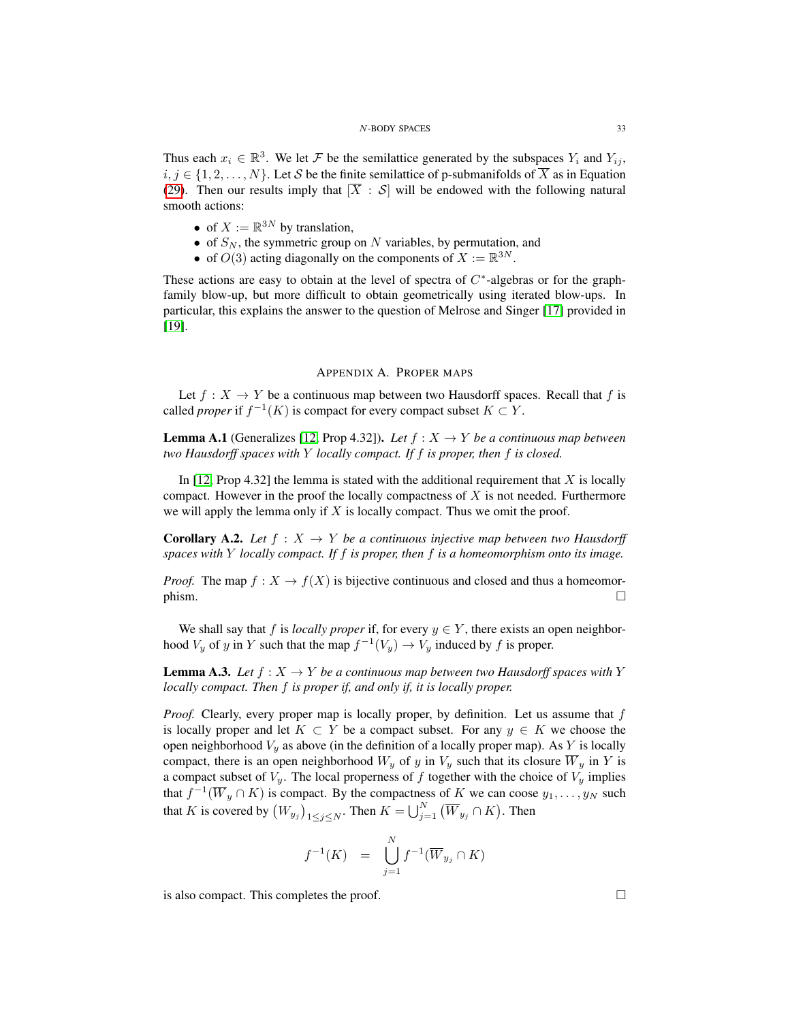Thus each  $x_i \in \mathbb{R}^3$ . We let F be the semilattice generated by the subspaces  $Y_i$  and  $Y_{ij}$ ,  $i, j \in \{1, 2, \ldots, N\}$ . Let S be the finite semilattice of p-submanifolds of  $\overline{X}$  as in Equation [\(29\)](#page-30-2). Then our results imply that  $[\overline{X} : S]$  will be endowed with the following natural smooth actions:

- of  $X := \mathbb{R}^{3N}$  by translation,
- of  $S_N$ , the symmetric group on N variables, by permutation, and
- of  $O(3)$  acting diagonally on the components of  $X := \mathbb{R}^{3N}$ .

These actions are easy to obtain at the level of spectra of  $C^*$ -algebras or for the graphfamily blow-up, but more difficult to obtain geometrically using iterated blow-ups. In particular, this explains the answer to the question of Melrose and Singer [\[17\]](#page-34-9) provided in [\[19\]](#page-34-10).

### APPENDIX A. PROPER MAPS

<span id="page-32-0"></span>Let  $f : X \to Y$  be a continuous map between two Hausdorff spaces. Recall that f is called *proper* if  $f^{-1}(K)$  is compact for every compact subset  $K \subset Y$ .

**Lemma A.1** (Generalizes [\[12,](#page-34-11) Prop 4.32]). Let  $f : X \to Y$  be a continuous map between *two Hausdorff spaces with* Y *locally compact. If* f *is proper, then* f *is closed.*

In  $[12, \text{Prop } 4.32]$  $[12, \text{Prop } 4.32]$  the lemma is stated with the additional requirement that X is locally compact. However in the proof the locally compactness of  $X$  is not needed. Furthermore we will apply the lemma only if  $X$  is locally compact. Thus we omit the proof.

<span id="page-32-2"></span>**Corollary A.2.** Let  $f : X \to Y$  be a continuous injective map between two Hausdorff *spaces with* Y *locally compact. If* f *is proper, then* f *is a homeomorphism onto its image.*

*Proof.* The map  $f: X \to f(X)$  is bijective continuous and closed and thus a homeomor- $\Box$ 

We shall say that f is *locally proper* if, for every  $y \in Y$ , there exists an open neighborhood  $V_y$  of y in Y such that the map  $f^{-1}(V_y) \to V_y$  induced by f is proper.

<span id="page-32-1"></span>**Lemma A.3.** *Let*  $f : X \to Y$  *be a continuous map between two Hausdorff spaces with* Y *locally compact. Then* f *is proper if, and only if, it is locally proper.*

*Proof.* Clearly, every proper map is locally proper, by definition. Let us assume that f is locally proper and let  $K \subset Y$  be a compact subset. For any  $y \in K$  we choose the open neighborhood  $V_y$  as above (in the definition of a locally proper map). As Y is locally compact, there is an open neighborhood  $W_y$  of y in  $V_y$  such that its closure  $\overline{W}_y$  in Y is a compact subset of  $V_y$ . The local properness of f together with the choice of  $V_y$  implies that  $f^{-1}(\overline{W}_y \cap K)$  is compact. By the compactness of K we can coose  $y_1, \ldots, y_N$  such that K is covered by  $(W_{y_j})_{1 \leq j \leq N}$ . Then  $K = \bigcup_{j=1}^N (\overline{W}_{y_j} \cap K)$ . Then

$$
f^{-1}(K) = \bigcup_{j=1}^{N} f^{-1}(\overline{W}_{y_j} \cap K)
$$

is also compact. This completes the proof.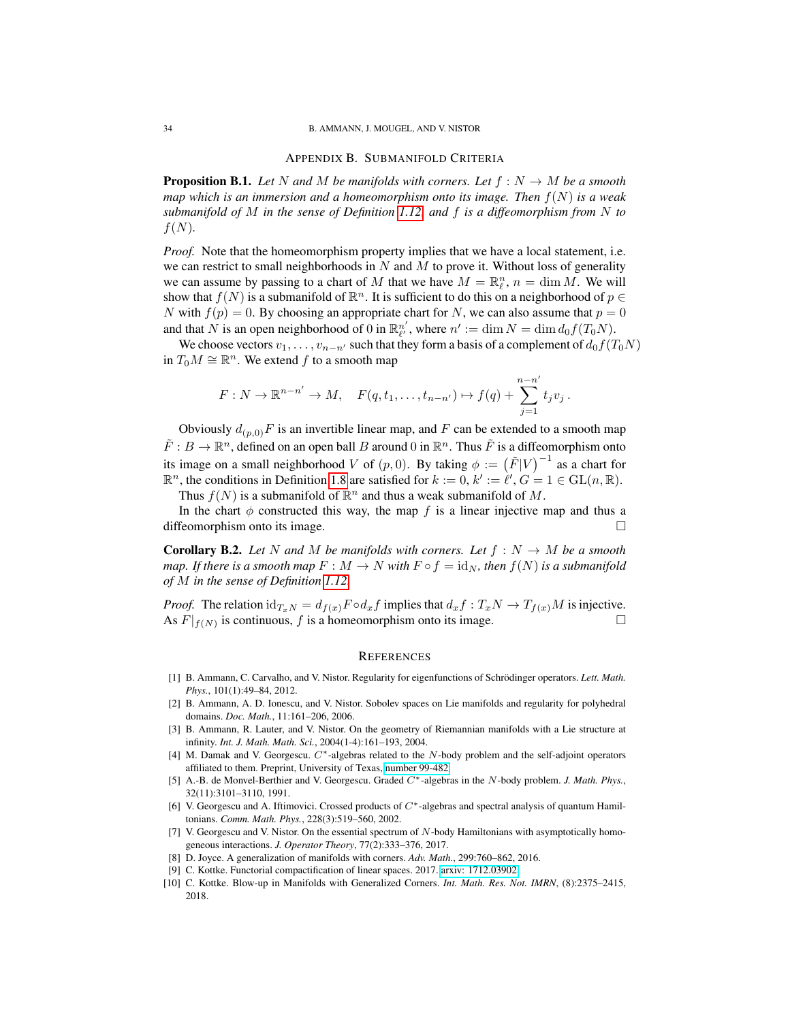### APPENDIX B. SUBMANIFOLD CRITERIA

<span id="page-33-10"></span><span id="page-33-0"></span>**Proposition B.1.** Let N and M be manifolds with corners. Let  $f : N \to M$  be a smooth *map which is an immersion and a homeomorphism onto its image. Then* f(N) *is a weak submanifold of* M *in the sense of Definition [1.12,](#page-7-0) and* f *is a diffeomorphism from* N *to*  $f(N)$ .

*Proof.* Note that the homeomorphism property implies that we have a local statement, i.e. we can restrict to small neighborhoods in  $N$  and  $M$  to prove it. Without loss of generality we can assume by passing to a chart of M that we have  $M = \mathbb{R}_{\ell}^n$ ,  $n = \dim M$ . We will show that  $f(N)$  is a submanifold of  $\mathbb{R}^n$ . It is sufficient to do this on a neighborhood of  $p \in$ N with  $f(p) = 0$ . By choosing an appropriate chart for N, we can also assume that  $p = 0$ and that N is an open neighborhood of 0 in  $\mathbb{R}_{\ell}^{n'}$ , where  $n' := \dim N = \dim d_0 f(T_0 N)$ .

We choose vectors  $v_1, \ldots, v_{n-n'}$  such that they form a basis of a complement of  $d_0f(T_0N)$ in  $T_0M \cong \mathbb{R}^n$ . We extend f to a smooth map

$$
F: N \to \mathbb{R}^{n-n'} \to M
$$
,  $F(q, t_1, ..., t_{n-n'}) \mapsto f(q) + \sum_{j=1}^{n-n'} t_j v_j$ .

Obviously  $d_{(p,0)}F$  is an invertible linear map, and F can be extended to a smooth map  $\tilde{F}: B \to \mathbb{R}^n$ , defined on an open ball B around 0 in  $\mathbb{R}^n$ . Thus  $\tilde{F}$  is a diffeomorphism onto its image on a small neighborhood V of  $(p, 0)$ . By taking  $\phi := (\tilde{F}|V)^{-1}$  as a chart for  $\mathbb{R}^n$ , the conditions in Definition [1.8](#page-5-1) are satisfied for  $k := 0$ ,  $k' := \ell', G = 1 \in GL(n, \mathbb{R})$ .

Thus  $f(N)$  is a submanifold of  $\mathbb{R}^n$  and thus a weak submanifold of M.

In the chart  $\phi$  constructed this way, the map f is a linear injective map and thus a diffeomorphism onto its image.

<span id="page-33-12"></span>**Corollary B.2.** Let N and M be manifolds with corners. Let  $f : N \to M$  be a smooth *map. If there is a smooth map*  $F : M \to N$  *with*  $F \circ f = id_N$ *, then*  $f(N)$  *is a submanifold of* M *in the sense of Definition [1.12.](#page-7-0)*

*Proof.* The relation  $id_{T_xN} = d_{f(x)}F \circ d_x f$  implies that  $d_x f : T_xN \to T_{f(x)}M$  is injective. As  $F|_{f(N)}$  is continuous, f is a homeomorphism onto its image.

### <span id="page-33-1"></span>**REFERENCES**

- <span id="page-33-6"></span>[1] B. Ammann, C. Carvalho, and V. Nistor. Regularity for eigenfunctions of Schrödinger operators. Lett. Math. *Phys.*, 101(1):49–84, 2012.
- <span id="page-33-9"></span>[2] B. Ammann, A. D. Ionescu, and V. Nistor. Sobolev spaces on Lie manifolds and regularity for polyhedral domains. *Doc. Math.*, 11:161–206, 2006.
- <span id="page-33-8"></span>[3] B. Ammann, R. Lauter, and V. Nistor. On the geometry of Riemannian manifolds with a Lie structure at infinity. *Int. J. Math. Math. Sci.*, 2004(1-4):161–193, 2004.
- <span id="page-33-2"></span>[4] M. Damak and V. Georgescu. C∗-algebras related to the N-body problem and the self-adjoint operators affiliated to them. Preprint, University of Texas, [number 99-482.](https://web.ma.utexas.edu/mp_arc-bin/mpa?yn=99-482)
- <span id="page-33-13"></span>[5] A.-B. de Monvel-Berthier and V. Georgescu. Graded C∗-algebras in the N-body problem. *J. Math. Phys.*, 32(11):3101–3110, 1991.
- <span id="page-33-3"></span>[6] V. Georgescu and A. Iftimovici. Crossed products of C∗-algebras and spectral analysis of quantum Hamiltonians. *Comm. Math. Phys.*, 228(3):519–560, 2002.
- <span id="page-33-4"></span>[7] V. Georgescu and V. Nistor. On the essential spectrum of N-body Hamiltonians with asymptotically homogeneous interactions. *J. Operator Theory*, 77(2):333–376, 2017.
- <span id="page-33-5"></span>[8] D. Joyce. A generalization of manifolds with corners. *Adv. Math.*, 299:760–862, 2016.
- <span id="page-33-11"></span>[9] C. Kottke. Functorial compactification of linear spaces. 2017. [arxiv: 1712.03902.](http://arxiv.org/abs/1712.03902)
- <span id="page-33-7"></span>[10] C. Kottke. Blow-up in Manifolds with Generalized Corners. *Int. Math. Res. Not. IMRN*, (8):2375–2415, 2018.